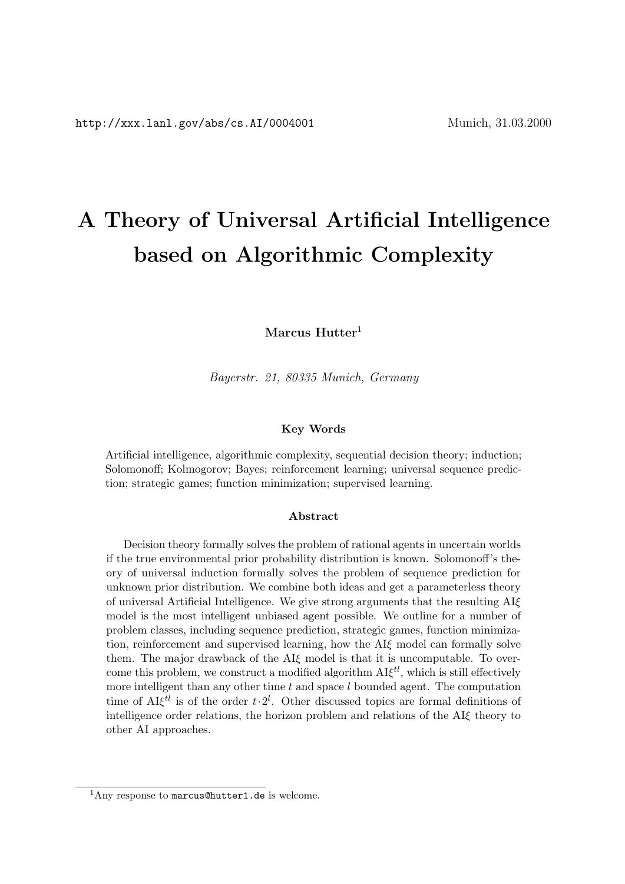# A Theory of Universal Artificial Intelligence based on Algorithmic Complexity

Marcus Hutter<sup>1</sup>

Bayerstr. 21, 80335 Munich, Germany

#### Key Words

Artificial intelligence, algorithmic complexity, sequential decision theory; induction; Solomonoff; Kolmogorov; Bayes; reinforcement learning; universal sequence prediction; strategic games; function minimization; supervised learning.

#### Abstract

Decision theory formally solves the problem of rational agents in uncertain worlds if the true environmental prior probability distribution is known. Solomonoff's theory of universal induction formally solves the problem of sequence prediction for unknown prior distribution. We combine both ideas and get a parameterless theory of universal Artificial Intelligence. We give strong arguments that the resulting AIξ model is the most intelligent unbiased agent possible. We outline for a number of problem classes, including sequence prediction, strategic games, function minimization, reinforcement and supervised learning, how the AIξ model can formally solve them. The major drawback of the AIξ model is that it is uncomputable. To overcome this problem, we construct a modified algorithm  $\text{AI}\xi^{tl}$ , which is still effectively more intelligent than any other time  $t$  and space  $l$  bounded agent. The computation time of  $A\mathbf{I}\xi^{tl}$  is of the order  $t\cdot 2^l$ . Other discussed topics are formal definitions of intelligence order relations, the horizon problem and relations of the AIξ theory to other AI approaches.

 $1$ Any response to marcus@hutter1.de is welcome.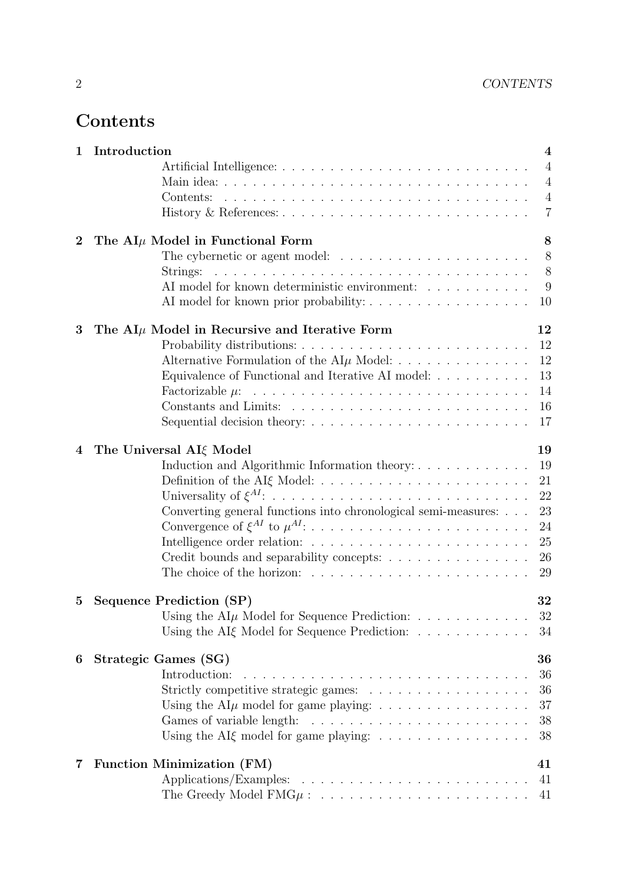#### 2 CONTENTS

## **Contents**

|          | 1 Introduction                                                                      | $\overline{4}$ |
|----------|-------------------------------------------------------------------------------------|----------------|
|          |                                                                                     | $\overline{4}$ |
|          |                                                                                     | $\overline{4}$ |
|          | Contents:                                                                           | $\overline{4}$ |
|          |                                                                                     | $\overline{7}$ |
| $\bf{2}$ | The $AI\mu$ Model in Functional Form                                                | 8              |
|          |                                                                                     | 8              |
|          | Strings:                                                                            | 8              |
|          | AI model for known deterministic environment:                                       | $\overline{9}$ |
|          |                                                                                     | 10             |
| 3        | The $AI\mu$ Model in Recursive and Iterative Form                                   | 12             |
|          |                                                                                     | 12             |
|          |                                                                                     | 12             |
|          | Equivalence of Functional and Iterative AI model:                                   | 13             |
|          |                                                                                     | 14             |
|          |                                                                                     | 16             |
|          | Sequential decision theory: $\dots \dots \dots \dots \dots \dots \dots \dots \dots$ | 17             |
| 4        | The Universal AI& Model                                                             | 19             |
|          | Induction and Algorithmic Information theory:                                       | 19             |
|          |                                                                                     | 21             |
|          |                                                                                     | 22             |
|          | Converting general functions into chronological semi-measures:                      | 23             |
|          |                                                                                     | 24             |
|          |                                                                                     | 25             |
|          | Credit bounds and separability concepts: $\ldots \ldots \ldots \ldots \ldots$       | 26             |
|          | The choice of the horizon: $\dots \dots \dots \dots \dots \dots \dots \dots \dots$  | 29             |
| $\bf{5}$ | Sequence Prediction (SP)                                                            | 32             |
|          | Using the AI $\mu$ Model for Sequence Prediction: 32                                |                |
|          | Using the AI $\xi$ Model for Sequence Prediction: 34                                |                |
| 6        | Strategic Games (SG)                                                                | 36             |
|          | Introduction:                                                                       | 36             |
|          |                                                                                     | 36             |
|          |                                                                                     | 37             |
|          |                                                                                     | 38             |
|          |                                                                                     | 38             |
|          |                                                                                     |                |
| 7        | Function Minimization (FM)                                                          | 41             |
|          |                                                                                     | 41             |
|          |                                                                                     | 41             |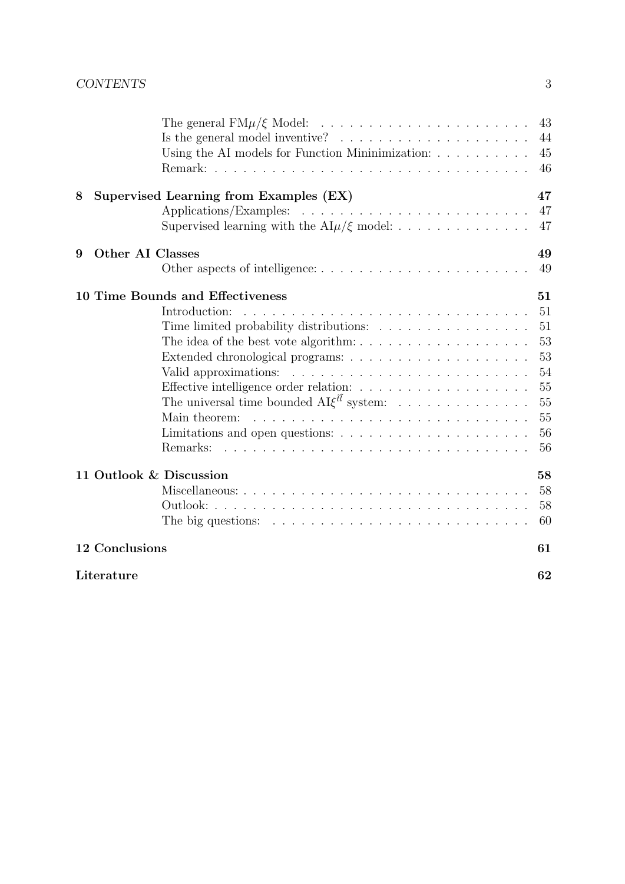|   | Is the general model inventive? $\ldots \ldots \ldots \ldots \ldots \ldots$<br>Using the AI models for Function Minimization: $\ldots$ ,                                                                                                                                                                                              | 43<br>44<br>45<br>46                                           |
|---|---------------------------------------------------------------------------------------------------------------------------------------------------------------------------------------------------------------------------------------------------------------------------------------------------------------------------------------|----------------------------------------------------------------|
| 8 | Supervised Learning from Examples (EX)<br>Applications/Examples:<br>Supervised learning with the $AI\mu/\xi$ model:                                                                                                                                                                                                                   | 47<br>47<br>47                                                 |
| 9 | <b>Other AI Classes</b>                                                                                                                                                                                                                                                                                                               | 49<br>49                                                       |
|   | 10 Time Bounds and Effectiveness<br>Introduction:<br>Time limited probability distributions:<br>The idea of the best vote algorithm: $\dots \dots \dots \dots \dots \dots \dots$<br>The universal time bounded $AI\xi^{tl}$ system:<br>Limitations and open questions: $\ldots \ldots \ldots \ldots \ldots \ldots \ldots$<br>Remarks: | 51<br>51<br>51<br>53<br>53<br>54<br>55<br>55<br>55<br>56<br>56 |
|   | 11 Outlook & Discussion<br>The big questions: $\ldots \ldots \ldots \ldots \ldots \ldots \ldots \ldots \ldots$                                                                                                                                                                                                                        | 58<br>58<br>58<br>60                                           |
|   | 12 Conclusions                                                                                                                                                                                                                                                                                                                        | 61                                                             |
|   | Literature                                                                                                                                                                                                                                                                                                                            | 62                                                             |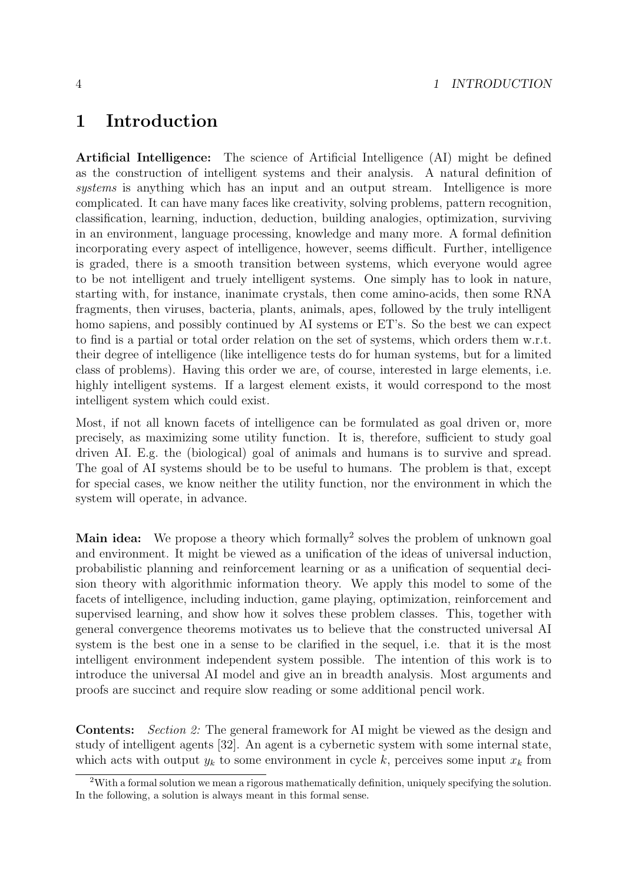### 1 Introduction

Artificial Intelligence: The science of Artificial Intelligence (AI) might be defined as the construction of intelligent systems and their analysis. A natural definition of systems is anything which has an input and an output stream. Intelligence is more complicated. It can have many faces like creativity, solving problems, pattern recognition, classification, learning, induction, deduction, building analogies, optimization, surviving in an environment, language processing, knowledge and many more. A formal definition incorporating every aspect of intelligence, however, seems difficult. Further, intelligence is graded, there is a smooth transition between systems, which everyone would agree to be not intelligent and truely intelligent systems. One simply has to look in nature, starting with, for instance, inanimate crystals, then come amino-acids, then some RNA fragments, then viruses, bacteria, plants, animals, apes, followed by the truly intelligent homo sapiens, and possibly continued by AI systems or ET's. So the best we can expect to find is a partial or total order relation on the set of systems, which orders them w.r.t. their degree of intelligence (like intelligence tests do for human systems, but for a limited class of problems). Having this order we are, of course, interested in large elements, i.e. highly intelligent systems. If a largest element exists, it would correspond to the most intelligent system which could exist.

Most, if not all known facets of intelligence can be formulated as goal driven or, more precisely, as maximizing some utility function. It is, therefore, sufficient to study goal driven AI. E.g. the (biological) goal of animals and humans is to survive and spread. The goal of AI systems should be to be useful to humans. The problem is that, except for special cases, we know neither the utility function, nor the environment in which the system will operate, in advance.

**Main idea:** We propose a theory which formally<sup>2</sup> solves the problem of unknown goal and environment. It might be viewed as a unification of the ideas of universal induction, probabilistic planning and reinforcement learning or as a unification of sequential decision theory with algorithmic information theory. We apply this model to some of the facets of intelligence, including induction, game playing, optimization, reinforcement and supervised learning, and show how it solves these problem classes. This, together with general convergence theorems motivates us to believe that the constructed universal AI system is the best one in a sense to be clarified in the sequel, i.e. that it is the most intelligent environment independent system possible. The intention of this work is to introduce the universal AI model and give an in breadth analysis. Most arguments and proofs are succinct and require slow reading or some additional pencil work.

Contents: Section 2: The general framework for AI might be viewed as the design and study of intelligent agents [32]. An agent is a cybernetic system with some internal state, which acts with output  $y_k$  to some environment in cycle k, perceives some input  $x_k$  from

<sup>2</sup>With a formal solution we mean a rigorous mathematically definition, uniquely specifying the solution. In the following, a solution is always meant in this formal sense.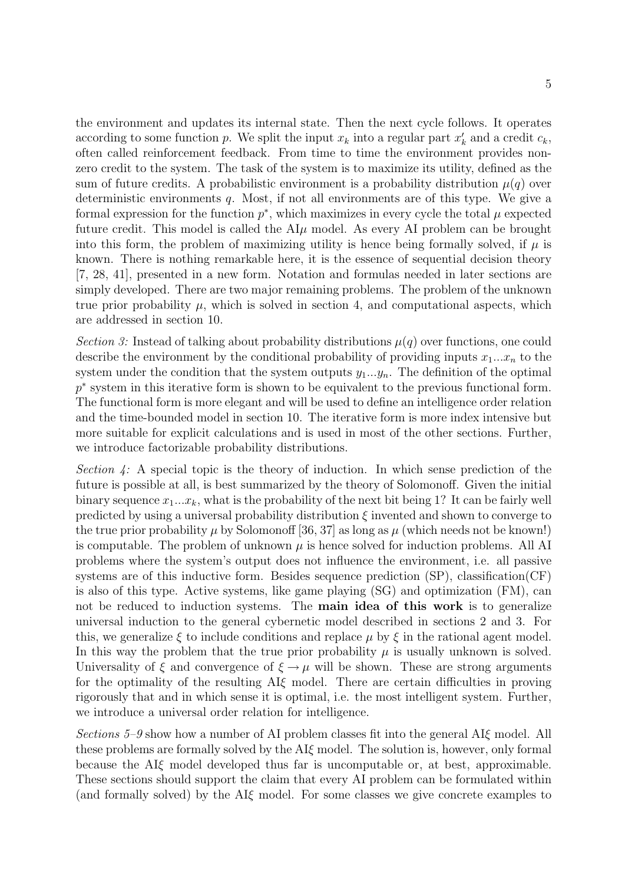the environment and updates its internal state. Then the next cycle follows. It operates according to some function p. We split the input  $x_k$  into a regular part  $x'_k$  and a credit  $c_k$ , often called reinforcement feedback. From time to time the environment provides nonzero credit to the system. The task of the system is to maximize its utility, defined as the sum of future credits. A probabilistic environment is a probability distribution  $\mu(q)$  over deterministic environments q. Most, if not all environments are of this type. We give a formal expression for the function  $p^*$ , which maximizes in every cycle the total  $\mu$  expected future credit. This model is called the  $\mathbf{A}I\mu$  model. As every AI problem can be brought into this form, the problem of maximizing utility is hence being formally solved, if  $\mu$  is known. There is nothing remarkable here, it is the essence of sequential decision theory [7, 28, 41], presented in a new form. Notation and formulas needed in later sections are simply developed. There are two major remaining problems. The problem of the unknown true prior probability  $\mu$ , which is solved in section 4, and computational aspects, which are addressed in section 10.

Section 3: Instead of talking about probability distributions  $\mu(q)$  over functions, one could describe the environment by the conditional probability of providing inputs  $x_1...x_n$  to the system under the condition that the system outputs  $y_1...y_n$ . The definition of the optimal p<sup>\*</sup> system in this iterative form is shown to be equivalent to the previous functional form. The functional form is more elegant and will be used to define an intelligence order relation and the time-bounded model in section 10. The iterative form is more index intensive but more suitable for explicit calculations and is used in most of the other sections. Further, we introduce factorizable probability distributions.

Section  $\lambda$ : A special topic is the theory of induction. In which sense prediction of the future is possible at all, is best summarized by the theory of Solomonoff. Given the initial binary sequence  $x_1...x_k$ , what is the probability of the next bit being 1? It can be fairly well predicted by using a universal probability distribution  $\xi$  invented and shown to converge to the true prior probability  $\mu$  by Solomonoff [36, 37] as long as  $\mu$  (which needs not be known!) is computable. The problem of unknown  $\mu$  is hence solved for induction problems. All AI problems where the system's output does not influence the environment, i.e. all passive systems are of this inductive form. Besides sequence prediction (SP), classification(CF) is also of this type. Active systems, like game playing (SG) and optimization (FM), can not be reduced to induction systems. The **main idea of this work** is to generalize universal induction to the general cybernetic model described in sections 2 and 3. For this, we generalize  $\xi$  to include conditions and replace  $\mu$  by  $\xi$  in the rational agent model. In this way the problem that the true prior probability  $\mu$  is usually unknown is solved. Universality of  $\xi$  and convergence of  $\xi \to \mu$  will be shown. These are strong arguments for the optimality of the resulting AIξ model. There are certain difficulties in proving rigorously that and in which sense it is optimal, i.e. the most intelligent system. Further, we introduce a universal order relation for intelligence.

Sections 5–9 show how a number of AI problem classes fit into the general  $\overline{Alg}$  model. All these problems are formally solved by the AIξ model. The solution is, however, only formal because the AIξ model developed thus far is uncomputable or, at best, approximable. These sections should support the claim that every AI problem can be formulated within (and formally solved) by the AIξ model. For some classes we give concrete examples to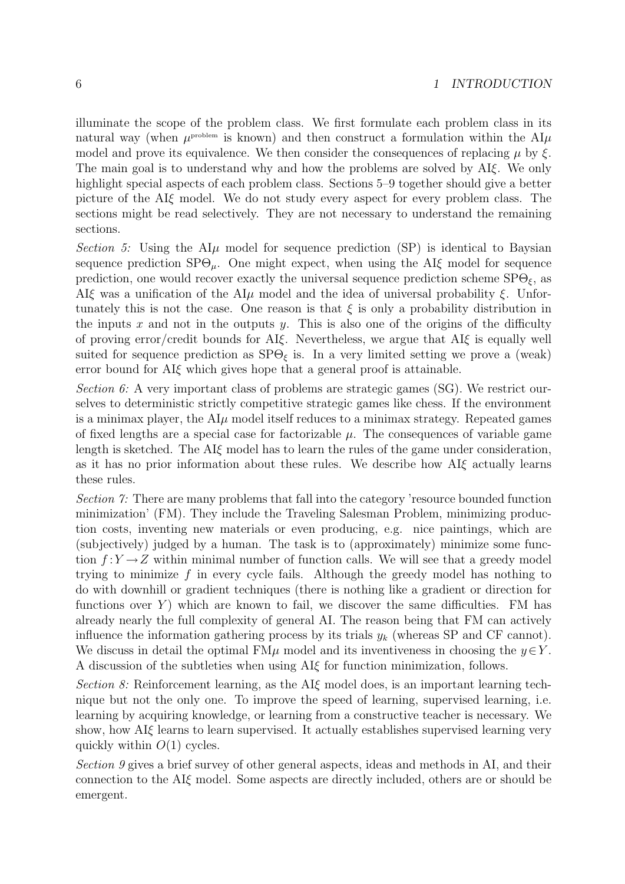illuminate the scope of the problem class. We first formulate each problem class in its natural way (when  $\mu^{\text{problem}}$  is known) and then construct a formulation within the AI $\mu$ model and prove its equivalence. We then consider the consequences of replacing  $\mu$  by  $\xi$ . The main goal is to understand why and how the problems are solved by AIξ. We only highlight special aspects of each problem class. Sections 5–9 together should give a better picture of the AIξ model. We do not study every aspect for every problem class. The sections might be read selectively. They are not necessary to understand the remaining sections.

Section 5: Using the  $\Lambda I\mu$  model for sequence prediction (SP) is identical to Baysian sequence prediction  $SP\Theta_{\mu}$ . One might expect, when using the AI $\xi$  model for sequence prediction, one would recover exactly the universal sequence prediction scheme  $SP\Theta_{\xi}$ , as AIξ was a unification of the AI $\mu$  model and the idea of universal probability  $\xi$ . Unfortunately this is not the case. One reason is that  $\xi$  is only a probability distribution in the inputs  $x$  and not in the outputs  $y$ . This is also one of the origins of the difficulty of proving error/credit bounds for AIξ. Nevertheless, we argue that AIξ is equally well suited for sequence prediction as  $SP\Theta_{\xi}$  is. In a very limited setting we prove a (weak) error bound for  $\overline{A}I\xi$  which gives hope that a general proof is attainable.

Section 6: A very important class of problems are strategic games (SG). We restrict ourselves to deterministic strictly competitive strategic games like chess. If the environment is a minimax player, the  $\Lambda\mu$  model itself reduces to a minimax strategy. Repeated games of fixed lengths are a special case for factorizable  $\mu$ . The consequences of variable game length is sketched. The AIξ model has to learn the rules of the game under consideration, as it has no prior information about these rules. We describe how AIξ actually learns these rules.

Section 7: There are many problems that fall into the category 'resource bounded function minimization' (FM). They include the Traveling Salesman Problem, minimizing production costs, inventing new materials or even producing, e.g. nice paintings, which are (subjectively) judged by a human. The task is to (approximately) minimize some function  $f:Y\to Z$  within minimal number of function calls. We will see that a greedy model trying to minimize  $f$  in every cycle fails. Although the greedy model has nothing to do with downhill or gradient techniques (there is nothing like a gradient or direction for functions over  $Y$ ) which are known to fail, we discover the same difficulties. FM has already nearly the full complexity of general AI. The reason being that FM can actively influence the information gathering process by its trials  $y_k$  (whereas SP and CF cannot). We discuss in detail the optimal FM $\mu$  model and its inventiveness in choosing the  $y \in Y$ . A discussion of the subtleties when using AIξ for function minimization, follows.

Section 8: Reinforcement learning, as the AI $\xi$  model does, is an important learning technique but not the only one. To improve the speed of learning, supervised learning, i.e. learning by acquiring knowledge, or learning from a constructive teacher is necessary. We show, how  $\overline{A}I\xi$  learns to learn supervised. It actually establishes supervised learning very quickly within  $O(1)$  cycles.

Section 9 gives a brief survey of other general aspects, ideas and methods in AI, and their connection to the AIξ model. Some aspects are directly included, others are or should be emergent.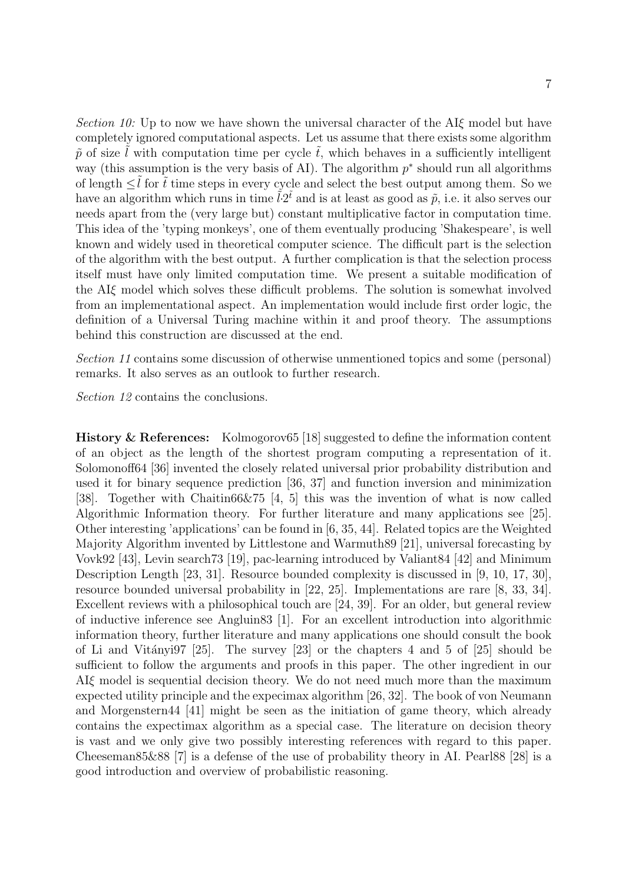Section 10: Up to now we have shown the universal character of the AI $\xi$  model but have completely ignored computational aspects. Let us assume that there exists some algorithm  $\tilde{p}$  of size l with computation time per cycle  $\tilde{t}$ , which behaves in a sufficiently intelligent way (this assumption is the very basis of AI). The algorithm  $p^*$  should run all algorithms of length  $\leq l$  for  $\tilde{t}$  time steps in every cycle and select the best output among them. So we have an algorithm which runs in time  $\tilde{l} \cdot 2^{\tilde{t}}$  and is at least as good as  $\tilde{p}$ , i.e. it also serves our needs apart from the (very large but) constant multiplicative factor in computation time. This idea of the 'typing monkeys', one of them eventually producing 'Shakespeare', is well known and widely used in theoretical computer science. The difficult part is the selection of the algorithm with the best output. A further complication is that the selection process itself must have only limited computation time. We present a suitable modification of the AIξ model which solves these difficult problems. The solution is somewhat involved from an implementational aspect. An implementation would include first order logic, the definition of a Universal Turing machine within it and proof theory. The assumptions behind this construction are discussed at the end.

Section 11 contains some discussion of otherwise unmentioned topics and some (personal) remarks. It also serves as an outlook to further research.

Section 12 contains the conclusions.

History & References: Kolmogorov65 [18] suggested to define the information content of an object as the length of the shortest program computing a representation of it. Solomonoff64 [36] invented the closely related universal prior probability distribution and used it for binary sequence prediction [36, 37] and function inversion and minimization [38]. Together with Chaitin66&75 [4, 5] this was the invention of what is now called Algorithmic Information theory. For further literature and many applications see [25]. Other interesting 'applications' can be found in [6, 35, 44]. Related topics are the Weighted Majority Algorithm invented by Littlestone and Warmuth89 [21], universal forecasting by Vovk92 [43], Levin search73 [19], pac-learning introduced by Valiant84 [42] and Minimum Description Length [23, 31]. Resource bounded complexity is discussed in [9, 10, 17, 30], resource bounded universal probability in [22, 25]. Implementations are rare [8, 33, 34]. Excellent reviews with a philosophical touch are [24, 39]. For an older, but general review of inductive inference see Angluin83 [1]. For an excellent introduction into algorithmic information theory, further literature and many applications one should consult the book of Li and Vitányi97 [25]. The survey  $[23]$  or the chapters 4 and 5 of  $[25]$  should be sufficient to follow the arguments and proofs in this paper. The other ingredient in our AIξ model is sequential decision theory. We do not need much more than the maximum expected utility principle and the expecimax algorithm [26, 32]. The book of von Neumann and Morgenstern44 [41] might be seen as the initiation of game theory, which already contains the expectimax algorithm as a special case. The literature on decision theory is vast and we only give two possibly interesting references with regard to this paper. Cheeseman85&88 [7] is a defense of the use of probability theory in AI. Pearl88 [28] is a good introduction and overview of probabilistic reasoning.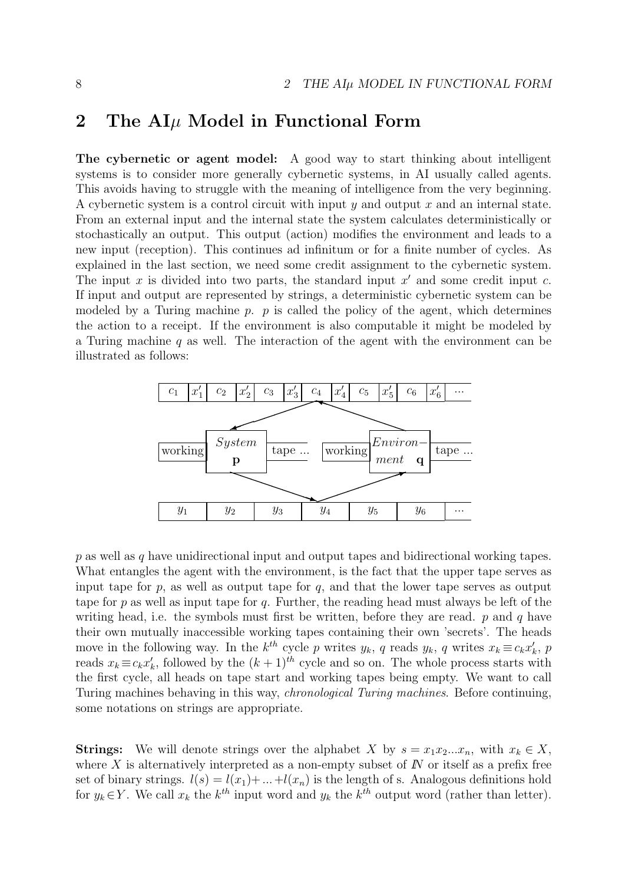#### 2 The  $AI\mu$  Model in Functional Form

The cybernetic or agent model: A good way to start thinking about intelligent systems is to consider more generally cybernetic systems, in AI usually called agents. This avoids having to struggle with the meaning of intelligence from the very beginning. A cybernetic system is a control circuit with input y and output x and an internal state. From an external input and the internal state the system calculates deterministically or stochastically an output. This output (action) modifies the environment and leads to a new input (reception). This continues ad infinitum or for a finite number of cycles. As explained in the last section, we need some credit assignment to the cybernetic system. The input  $x$  is divided into two parts, the standard input  $x'$  and some credit input  $c$ . If input and output are represented by strings, a deterministic cybernetic system can be modeled by a Turing machine  $p$ .  $p$  is called the policy of the agent, which determines the action to a receipt. If the environment is also computable it might be modeled by a Turing machine  $q$  as well. The interaction of the agent with the environment can be illustrated as follows:



 $p$  as well as  $q$  have unidirectional input and output tapes and bidirectional working tapes. What entangles the agent with the environment, is the fact that the upper tape serves as input tape for  $p$ , as well as output tape for  $q$ , and that the lower tape serves as output tape for  $p$  as well as input tape for  $q$ . Further, the reading head must always be left of the writing head, i.e. the symbols must first be written, before they are read.  $p$  and  $q$  have their own mutually inaccessible working tapes containing their own 'secrets'. The heads move in the following way. In the  $k^{th}$  cycle p writes  $y_k$ , q reads  $y_k$ , q writes  $x_k \equiv c_k x'_k$ , p reads  $x_k \equiv c_k x'_k$ , followed by the  $(k+1)^{th}$  cycle and so on. The whole process starts with the first cycle, all heads on tape start and working tapes being empty. We want to call Turing machines behaving in this way, chronological Turing machines. Before continuing, some notations on strings are appropriate.

**Strings:** We will denote strings over the alphabet X by  $s = x_1 x_2 ... x_n$ , with  $x_k \in X$ , where X is alternatively interpreted as a non-empty subset of  $\mathbb N$  or itself as a prefix free set of binary strings.  $l(s) = l(x_1) + ... + l(x_n)$  is the length of s. Analogous definitions hold for  $y_k \in Y$ . We call  $x_k$  the  $k^{th}$  input word and  $y_k$  the  $k^{th}$  output word (rather than letter).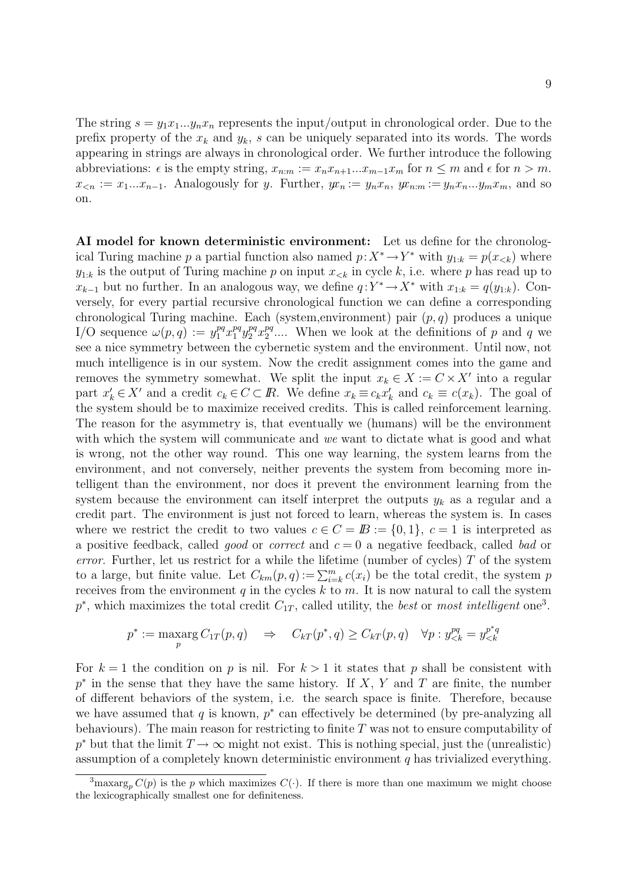The string  $s = y_1 x_1 ... y_n x_n$  represents the input/output in chronological order. Due to the prefix property of the  $x_k$  and  $y_k$ , s can be uniquely separated into its words. The words appearing in strings are always in chronological order. We further introduce the following abbreviations:  $\epsilon$  is the empty string,  $x_{n:m} := x_n x_{n+1} \dots x_{m-1} x_m$  for  $n \leq m$  and  $\epsilon$  for  $n > m$ .  $x_{\leq n} := x_1...x_{n-1}$ . Analogously for y. Further,  $y_n := y_n x_n$ ,  $y x_{n-m} := y_n x_n...y_m x_m$ , and so on.

AI model for known deterministic environment: Let us define for the chronological Turing machine p a partial function also named  $p: X^* \to Y^*$  with  $y_{1:k} = p(x_{< k})$  where  $y_{1:k}$  is the output of Turing machine p on input  $x_{< k}$  in cycle k, i.e. where p has read up to  $x_{k-1}$  but no further. In an analogous way, we define  $q: Y^* \to X^*$  with  $x_{1:k} = q(y_{1:k})$ . Conversely, for every partial recursive chronological function we can define a corresponding chronological Turing machine. Each (system,environment) pair  $(p, q)$  produces a unique I/O sequence  $\omega(p,q) := y_1^{pq} x_1^{pq} y_2^{pq} x_2^{pq}$  $2^{pq}$ .... When we look at the definitions of p and q we see a nice symmetry between the cybernetic system and the environment. Until now, not much intelligence is in our system. Now the credit assignment comes into the game and removes the symmetry somewhat. We split the input  $x_k \in X := C \times X'$  into a regular part  $x'_k \in X'$  and a credit  $c_k \in C \subset \mathbb{R}$ . We define  $x_k \equiv c_k x'_k$  and  $c_k \equiv c(x_k)$ . The goal of the system should be to maximize received credits. This is called reinforcement learning. The reason for the asymmetry is, that eventually we (humans) will be the environment with which the system will communicate and we want to dictate what is good and what is wrong, not the other way round. This one way learning, the system learns from the environment, and not conversely, neither prevents the system from becoming more intelligent than the environment, nor does it prevent the environment learning from the system because the environment can itself interpret the outputs  $y_k$  as a regular and a credit part. The environment is just not forced to learn, whereas the system is. In cases where we restrict the credit to two values  $c \in C = \mathbb{B} := \{0, 1\}, c = 1$  is interpreted as a positive feedback, called *good* or *correct* and  $c = 0$  a negative feedback, called *bad* or error. Further, let us restrict for a while the lifetime (number of cycles)  $T$  of the system to a large, but finite value. Let  $C_{km}(p,q) := \sum_{i=k}^{m} c(x_i)$  be the total credit, the system p receives from the environment  $q$  in the cycles  $k$  to  $m$ . It is now natural to call the system  $p^*$ , which maximizes the total credit  $C_{1T}$ , called utility, the *best* or *most intelligent* one<sup>3</sup>.

$$
p^* := \max_p C_{1T}(p, q) \quad \Rightarrow \quad C_{kT}(p^*, q) \ge C_{kT}(p, q) \quad \forall p: y_{< k}^{pq} = y_{< k}^{p^*q}
$$

For  $k = 1$  the condition on p is nil. For  $k > 1$  it states that p shall be consistent with  $p^*$  in the sense that they have the same history. If X, Y and T are finite, the number of different behaviors of the system, i.e. the search space is finite. Therefore, because we have assumed that  $q$  is known,  $p^*$  can effectively be determined (by pre-analyzing all behaviours). The main reason for restricting to finite  $T$  was not to ensure computability of  $p^*$  but that the limit  $T \to \infty$  might not exist. This is nothing special, just the (unrealistic) assumption of a completely known deterministic environment  $q$  has trivialized everything.

 $3_{\text{maxarg}_p} C(p)$  is the p which maximizes  $C(\cdot)$ . If there is more than one maximum we might choose the lexicographically smallest one for definiteness.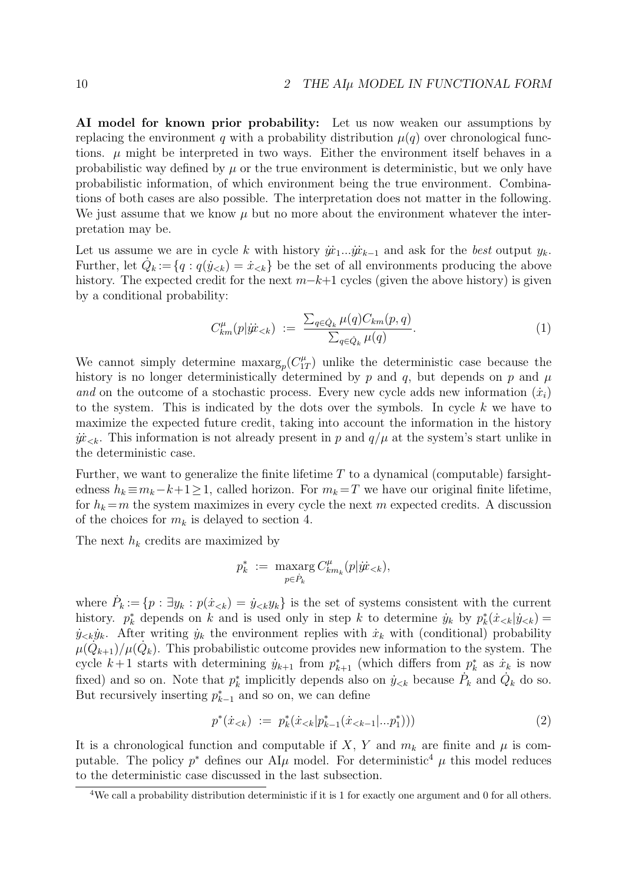AI model for known prior probability: Let us now weaken our assumptions by replacing the environment q with a probability distribution  $\mu(q)$  over chronological functions.  $\mu$  might be interpreted in two ways. Either the environment itself behaves in a probabilistic way defined by  $\mu$  or the true environment is deterministic, but we only have probabilistic information, of which environment being the true environment. Combinations of both cases are also possible. The interpretation does not matter in the following. We just assume that we know  $\mu$  but no more about the environment whatever the interpretation may be.

Let us assume we are in cycle k with history  $\ddot{w}_1...\dot{w}_{k-1}$  and ask for the best output  $y_k$ . Further, let  $\dot{Q}_k := \{q : q(j_{\le k}) = x_{\le k}\}\$  be the set of all environments producing the above history. The expected credit for the next  $m-k+1$  cycles (given the above history) is given by a conditional probability:

$$
C_{km}^{\mu}(p|\dot{w}_{< k}) := \frac{\sum_{q \in \dot{Q}_k} \mu(q) C_{km}(p, q)}{\sum_{q \in \dot{Q}_k} \mu(q)}.
$$
\n(1)

We cannot simply determine  $\max_{p} (C_{1}^{\mu})$  $\binom{\mu}{1T}$  unlike the deterministic case because the history is no longer deterministically determined by p and q, but depends on p and  $\mu$ and on the outcome of a stochastic process. Every new cycle adds new information  $(\dot{x}_i)$ to the system. This is indicated by the dots over the symbols. In cycle  $k$  we have to maximize the expected future credit, taking into account the information in the history  $\dot{w}_{\leq k}$ . This information is not already present in p and  $q/\mu$  at the system's start unlike in the deterministic case.

Further, we want to generalize the finite lifetime  $T$  to a dynamical (computable) farsightedness  $h_k \equiv m_k - k + 1 \geq 1$ , called horizon. For  $m_k = T$  we have our original finite lifetime, for  $h_k = m$  the system maximizes in every cycle the next m expected credits. A discussion of the choices for  $m_k$  is delayed to section 4.

The next  $h_k$  credits are maximized by

$$
p_k^* := \max_{p \in \dot{P}_k} C_{km_k}^{\mu}(p|\dot{w}_{< k}),
$$

where  $\dot{P}_k := \{p : \exists y_k : p(\dot{x}_{< k}) = \dot{y}_{< k} y_k\}$  is the set of systems consistent with the current history.  $p_k^*$  depends on k and is used only in step k to determine  $\dot{y}_k$  by  $p_k^*(\dot{x}_{< k}|\dot{y}_{< k})$  $\dot{y}_{\leq k}\dot{y}_k$ . After writing  $\dot{y}_k$  the environment replies with  $\dot{x}_k$  with (conditional) probability  $\mu(\tilde{Q}_{k+1})/\mu(\dot{Q}_k)$ . This probabilistic outcome provides new information to the system. The cycle  $k+1$  starts with determining  $\dot{y}_{k+1}$  from  $p_{k+1}^*$  (which differs from  $p_k^*$  as  $\dot{x}_k$  is now fixed) and so on. Note that  $p_k^*$  implicitly depends also on  $\dot{y}_{< k}$  because  $\dot{P}_k$  and  $\dot{Q}_k$  do so. But recursively inserting  $p_{k-1}^*$  and so on, we can define

$$
p^*(\dot{x}_{< k}) := p_k^*(\dot{x}_{< k} | p_{k-1}^*(\dot{x}_{< k-1} | ... p_1^*)) \tag{2}
$$

It is a chronological function and computable if X, Y and  $m_k$  are finite and  $\mu$  is computable. The policy  $p^*$  defines our AI $\mu$  model. For deterministic<sup>4</sup>  $\mu$  this model reduces to the deterministic case discussed in the last subsection.

<sup>&</sup>lt;sup>4</sup>We call a probability distribution deterministic if it is 1 for exactly one argument and 0 for all others.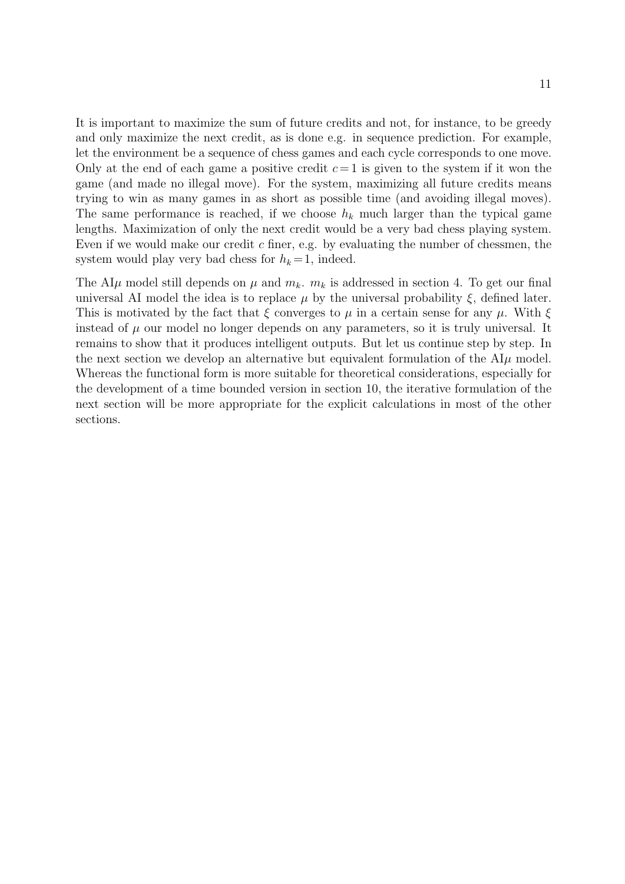It is important to maximize the sum of future credits and not, for instance, to be greedy and only maximize the next credit, as is done e.g. in sequence prediction. For example, let the environment be a sequence of chess games and each cycle corresponds to one move. Only at the end of each game a positive credit  $c=1$  is given to the system if it won the game (and made no illegal move). For the system, maximizing all future credits means trying to win as many games in as short as possible time (and avoiding illegal moves). The same performance is reached, if we choose  $h_k$  much larger than the typical game lengths. Maximization of only the next credit would be a very bad chess playing system. Even if we would make our credit  $c$  finer, e.g. by evaluating the number of chessmen, the system would play very bad chess for  $h_k = 1$ , indeed.

The AI $\mu$  model still depends on  $\mu$  and  $m_k$ .  $m_k$  is addressed in section 4. To get our final universal AI model the idea is to replace  $\mu$  by the universal probability  $\xi$ , defined later. This is motivated by the fact that  $\xi$  converges to  $\mu$  in a certain sense for any  $\mu$ . With  $\xi$ instead of  $\mu$  our model no longer depends on any parameters, so it is truly universal. It remains to show that it produces intelligent outputs. But let us continue step by step. In the next section we develop an alternative but equivalent formulation of the  $\Lambda\mu$  model. Whereas the functional form is more suitable for theoretical considerations, especially for the development of a time bounded version in section 10, the iterative formulation of the next section will be more appropriate for the explicit calculations in most of the other sections.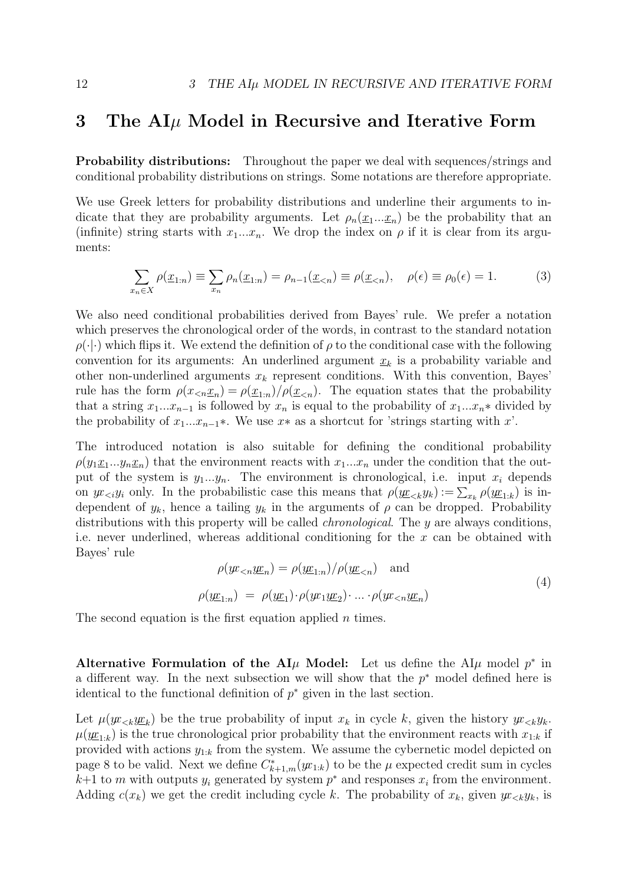#### 3 The  $AI\mu$  Model in Recursive and Iterative Form

**Probability distributions:** Throughout the paper we deal with sequences/strings and conditional probability distributions on strings. Some notations are therefore appropriate.

We use Greek letters for probability distributions and underline their arguments to indicate that they are probability arguments. Let  $\rho_n(\underline{x}_1...\underline{x}_n)$  be the probability that an (infinite) string starts with  $x_1...x_n$ . We drop the index on  $\rho$  if it is clear from its arguments:

$$
\sum_{x_n \in X} \rho(\underline{x}_{1:n}) \equiv \sum_{x_n} \rho_n(\underline{x}_{1:n}) = \rho_{n-1}(\underline{x}_{<} n) \equiv \rho(\underline{x}_{<} n), \quad \rho(\epsilon) \equiv \rho_0(\epsilon) = 1. \tag{3}
$$

We also need conditional probabilities derived from Bayes' rule. We prefer a notation which preserves the chronological order of the words, in contrast to the standard notation  $\rho(\cdot|\cdot)$  which flips it. We extend the definition of  $\rho$  to the conditional case with the following convention for its arguments: An underlined argument  $\underline{x}_k$  is a probability variable and other non-underlined arguments  $x_k$  represent conditions. With this convention, Bayes' rule has the form  $\rho(x_{\langle n}x_n)=\rho(x_{1:n})/\rho(x_{\langle n\rangle})$ . The equation states that the probability that a string  $x_1...x_{n-1}$  is followed by  $x_n$  is equal to the probability of  $x_1...x_n*$  divided by the probability of  $x_1...x_{n-1}$ ∗. We use  $x*$  as a shortcut for 'strings starting with x'.

The introduced notation is also suitable for defining the conditional probability  $\rho(y_1 \underline{x}_1 ... y_n \underline{x}_n)$  that the environment reacts with  $x_1 ... x_n$  under the condition that the output of the system is  $y_1...y_n$ . The environment is chronological, i.e. input  $x_i$  depends on  $\psi_{\leq i} y_i$  only. In the probabilistic case this means that  $\rho(\underline{w}_{\leq k} y_k) := \sum_{x_k} \rho(\underline{w}_{1:k})$  is independent of  $y_k$ , hence a tailing  $y_k$  in the arguments of  $\rho$  can be dropped. Probability distributions with this property will be called *chronological*. The y are always conditions, i.e. never underlined, whereas additional conditioning for the  $x$  can be obtained with Bayes' rule

$$
\rho(y_{\ell \langle n}y_{\ell n}) = \rho(y_{\ell 1:n})/\rho(y_{\ell \langle n} \rangle) \quad \text{and}
$$
\n
$$
\rho(y_{\ell 1:n}) = \rho(y_{\ell 1}) \cdot \rho(y_{\ell 1}y_{\ell 2}) \cdot \dots \cdot \rho(y_{\ell \langle n}y_{\ell n} \rangle) \tag{4}
$$

The second equation is the first equation applied n times.

Alternative Formulation of the AI $\mu$  Model: Let us define the AI $\mu$  model  $p^*$  in a different way. In the next subsection we will show that the  $p^*$  model defined here is identical to the functional definition of  $p^*$  given in the last section.

Let  $\mu(w_{< k}y_{\underline{r}_k})$  be the true probability of input  $x_k$  in cycle k, given the history  $y_{k}$ ,  $y_k$ .  $\mu(\underline{w}_{1:k})$  is the true chronological prior probability that the environment reacts with  $x_{1:k}$  if provided with actions  $y_{1:k}$  from the system. We assume the cybernetic model depicted on page 8 to be valid. Next we define  $C_{k+1,m}^*(y_{1:k})$  to be the  $\mu$  expected credit sum in cycles  $k+1$  to m with outputs  $y_i$  generated by system  $p^*$  and responses  $x_i$  from the environment. Adding  $c(x_k)$  we get the credit including cycle k. The probability of  $x_k$ , given  $\overline{w}_{< k}y_k$ , is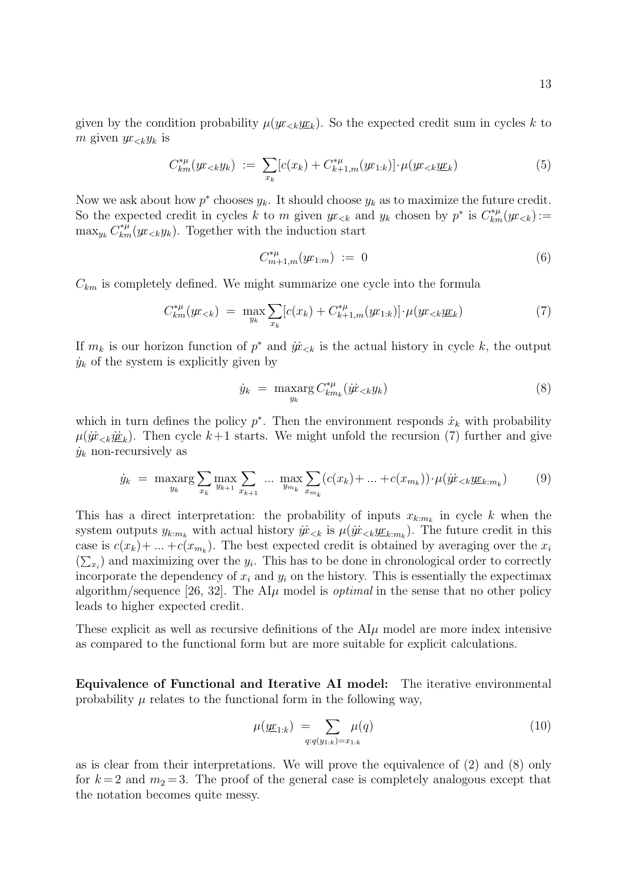$$
C_{km}^{*\mu}(yx_{< k}y_k) := \sum_{x_k} [c(x_k) + C_{k+1,m}^{*\mu}(yx_{1:k})] \cdot \mu(y_{< k}y_{k}) \tag{5}
$$

Now we ask about how  $p^*$  chooses  $y_k$ . It should choose  $y_k$  as to maximize the future credit. So the expected credit in cycles k to m given  $\mathfrak{w}_{< k}$  and  $y_k$  chosen by  $p^*$  is  $C_{km}^{*\mu}(\mathfrak{w}_{< k})$ :=  $\max_{y_k} C_{km}^{*\mu}(y_{k}z_k,y_k)$ . Together with the induction start

$$
C_{m+1,m}^{*\mu}(y_{1:m}) := 0 \tag{6}
$$

 $C_{km}$  is completely defined. We might summarize one cycle into the formula

$$
C_{km}^{*\mu}(y x_{< k}) = \max_{y_k} \sum_{x_k} [c(x_k) + C_{k+1,m}^{*\mu}(y x_{1:k})] \cdot \mu(y x_{< k} y x_k) \tag{7}
$$

If  $m_k$  is our horizon function of  $p^*$  and  $\dot{w}_{< k}$  is the actual history in cycle k, the output  $\dot{y}_k$  of the system is explicitly given by

$$
\dot{y}_k = \max_{y_k} C_{km_k}^{*\mu}(\dot{y}\dot{x}_{< k}y_k) \tag{8}
$$

which in turn defines the policy  $p^*$ . Then the environment responds  $\dot{x}_k$  with probability  $\mu(\dot{w}_{< k}\dot{w}_{k})$ . Then cycle  $k+1$  starts. We might unfold the recursion (7) further and give  $\dot{y}_k$  non-recursively as

$$
\dot{y}_k = \max_{y_k} \sum_{x_k} \max_{y_{k+1}} \sum_{x_{k+1}} \dots \max_{y_{m_k}} \sum_{x_{m_k}} (c(x_k) + \dots + c(x_{m_k})) \cdot \mu(\dot{y}\dot{c}_{k}y\mathcal{L}_{k:m_k}) \tag{9}
$$

This has a direct interpretation: the probability of inputs  $x_{k:m_k}$  in cycle k when the system outputs  $y_{k:m_k}$  with actual history  $\dot{w}_{< k}$  is  $\mu(\dot{w}_{< k} \underline{w}_{k:m_k})$ . The future credit in this case is  $c(x_k) + ... + c(x_{m_k})$ . The best expected credit is obtained by averaging over the  $x_i$  $(\sum_{x_i})$  and maximizing over the  $y_i$ . This has to be done in chronological order to correctly incorporate the dependency of  $x_i$  and  $y_i$  on the history. This is essentially the expectimax algorithm/sequence [26, 32]. The  $\Lambda\mu$  model is *optimal* in the sense that no other policy leads to higher expected credit.

These explicit as well as recursive definitions of the  $AI\mu$  model are more index intensive as compared to the functional form but are more suitable for explicit calculations.

Equivalence of Functional and Iterative AI model: The iterative environmental probability  $\mu$  relates to the functional form in the following way,

$$
\mu(\underline{w}_{1:k}) = \sum_{q:q(y_{1:k})=x_{1:k}} \mu(q) \tag{10}
$$

as is clear from their interpretations. We will prove the equivalence of (2) and (8) only for  $k = 2$  and  $m_2 = 3$ . The proof of the general case is completely analogous except that the notation becomes quite messy.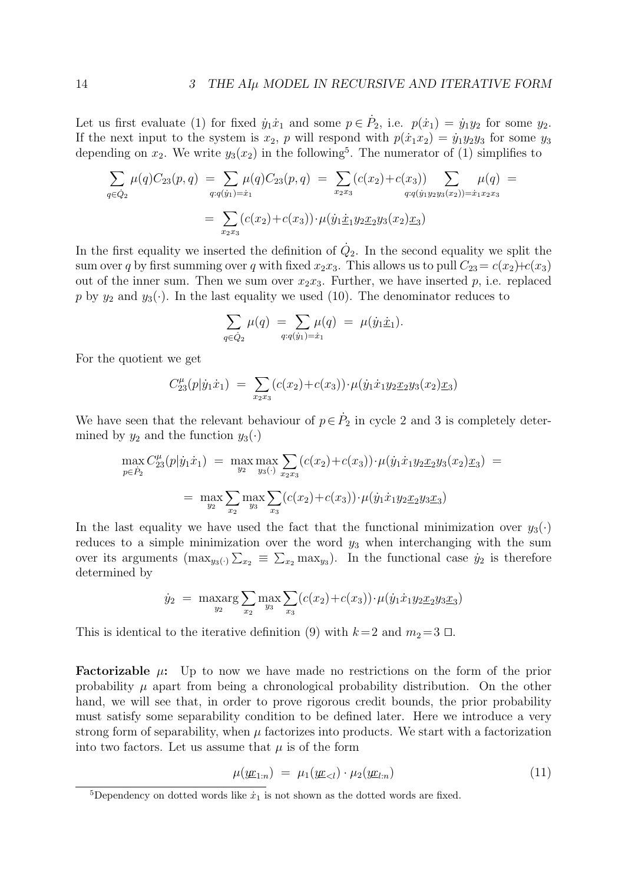Let us first evaluate (1) for fixed  $\dot{y}_1 \dot{x}_1$  and some  $p \in \dot{P}_2$ , i.e.  $p(\dot{x}_1) = \dot{y}_1 y_2$  for some  $y_2$ . If the next input to the system is  $x_2$ , p will respond with  $p(\dot{x}_1x_2) = \dot{y}_1y_2y_3$  for some  $y_3$ depending on  $x_2$ . We write  $y_3(x_2)$  in the following<sup>5</sup>. The numerator of (1) simplifies to

$$
\sum_{q \in \hat{Q}_2} \mu(q) C_{23}(p,q) = \sum_{q:q(\hat{y}_1) = \hat{x}_1} \mu(q) C_{23}(p,q) = \sum_{x_2 x_3} (c(x_2) + c(x_3)) \sum_{q:q(\hat{y}_1 y_2 y_3(x_2)) = \hat{x}_1 x_2 x_3} \mu(q) =
$$
\n
$$
= \sum_{x_2 x_3} (c(x_2) + c(x_3)) \cdot \mu(\hat{y}_1 \hat{x}_1 y_2 x_2 y_3(x_2) x_3)
$$

In the first equality we inserted the definition of  $\dot{Q}_2$ . In the second equality we split the sum over q by first summing over q with fixed  $x_2x_3$ . This allows us to pull  $C_{23} = c(x_2)+c(x_3)$ out of the inner sum. Then we sum over  $x_2x_3$ . Further, we have inserted p, i.e. replaced p by  $y_2$  and  $y_3(\cdot)$ . In the last equality we used (10). The denominator reduces to

$$
\sum_{q \in \dot{Q}_2} \mu(q) = \sum_{q: q(\dot{y}_1) = \dot{x}_1} \mu(q) = \mu(\dot{y}_1 \dot{\underline{x}}_1).
$$

For the quotient we get

$$
C_{23}^{\mu}(p|\dot{y}_1\dot{x}_1) = \sum_{x_2x_3} (c(x_2) + c(x_3)) \cdot \mu(\dot{y}_1\dot{x}_1y_2\dot{x}_2y_3(x_2)\dot{x}_3)
$$

We have seen that the relevant behaviour of  $p \in \dot{P}_2$  in cycle 2 and 3 is completely determined by  $y_2$  and the function  $y_3(\cdot)$ 

$$
\max_{p \in \hat{P}_2} C_{23}^{\mu}(p|\dot{y}_1\dot{x}_1) = \max_{y_2} \max_{y_3(\cdot)} \sum_{x_2x_3} (c(x_2) + c(x_3)) \cdot \mu(\dot{y}_1\dot{x}_1y_2\dot{x}_2y_3(x_2)\dot{x}_3) =
$$

$$
= \max_{y_2} \sum_{x_2} \max_{y_3} \sum_{x_3} (c(x_2) + c(x_3)) \cdot \mu(\dot{y}_1\dot{x}_1y_2\dot{x}_2y_3\dot{x}_3)
$$

In the last equality we have used the fact that the functional minimization over  $y_3(\cdot)$ reduces to a simple minimization over the word  $y_3$  when interchanging with the sum over its arguments  $(\max_{y_3(\cdot)} \sum_{x_2} \equiv \sum_{x_2} \max_{y_3})$ . In the functional case  $\dot{y}_2$  is therefore determined by

$$
\dot{y}_2 = \max_{y_2} \sum_{x_2} \max_{y_3} \sum_{x_3} (c(x_2) + c(x_3)) \cdot \mu(\dot{y}_1 \dot{x}_1 y_2 \dot{x}_2 y_3 \dot{x}_3)
$$

This is identical to the iterative definition (9) with  $k=2$  and  $m_2=3$   $\Box$ .

**Factorizable**  $\mu$ : Up to now we have made no restrictions on the form of the prior probability  $\mu$  apart from being a chronological probability distribution. On the other hand, we will see that, in order to prove rigorous credit bounds, the prior probability must satisfy some separability condition to be defined later. Here we introduce a very strong form of separability, when  $\mu$  factorizes into products. We start with a factorization into two factors. Let us assume that  $\mu$  is of the form

$$
\mu(\underline{w}_{1:n}) = \mu_1(\underline{w}_{<}) \cdot \mu_2(\underline{w}_{l:n}) \tag{11}
$$

<sup>&</sup>lt;sup>5</sup>Dependency on dotted words like  $\dot{x}_1$  is not shown as the dotted words are fixed.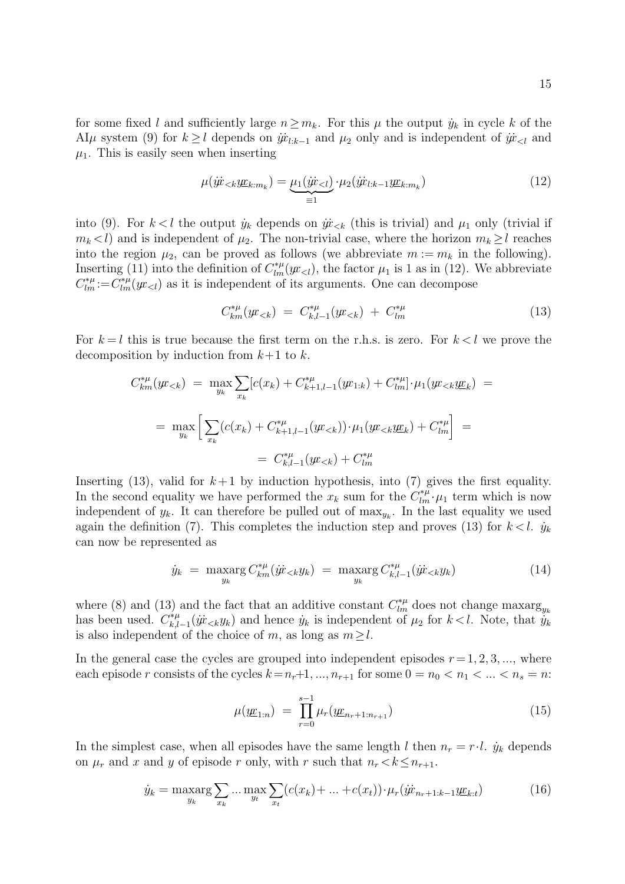for some fixed l and sufficiently large  $n \geq m_k$ . For this  $\mu$  the output  $\dot{y}_k$  in cycle k of the AI $\mu$  system (9) for  $k \geq l$  depends on  $\dot{w}_{l:k-1}$  and  $\mu_2$  only and is independent of  $\dot{w}_{l}$  and  $\mu_1$ . This is easily seen when inserting

$$
\mu(\dot{w}_{< k} w_{k:m_k}) = \underbrace{\mu_1(\dot{w}_{< l})}_{\equiv 1} \cdot \mu_2(\dot{w}_{l:k-1} w_{k:m_k}) \tag{12}
$$

into (9). For  $k < l$  the output  $\dot{y}_k$  depends on  $\dot{w}_{\leq k}$  (this is trivial) and  $\mu_1$  only (trivial if  $m_k < l$ ) and is independent of  $\mu_2$ . The non-trivial case, where the horizon  $m_k \geq l$  reaches into the region  $\mu_2$ , can be proved as follows (we abbreviate  $m := m_k$  in the following). Inserting (11) into the definition of  $C_{lm}^{*\mu}(w_{\leq l})$ , the factor  $\mu_1$  is 1 as in (12). We abbreviate  $C_{lm}^{*\mu} := C_{lm}^{*\mu}(y \epsilon_{ll})$  as it is independent of its arguments. One can decompose

$$
C_{km}^{*\mu}(y_{\kappa k}) = C_{k,l-1}^{*\mu}(y_{\kappa k}) + C_{lm}^{*\mu} \tag{13}
$$

For  $k = l$  this is true because the first term on the r.h.s. is zero. For  $k < l$  we prove the decomposition by induction from  $k+1$  to k.

$$
C_{km}^{*\mu}(y_{\kappa k}) = \max_{y_k} \sum_{x_k} [c(x_k) + C_{k+1,l-1}^{*\mu}(y_{1:k}) + C_{lm}^{*\mu}] \cdot \mu_1(y_{\kappa k}y_{\kappa k}) =
$$
  

$$
= \max_{y_k} \left[ \sum_{x_k} (c(x_k) + C_{k+1,l-1}^{*\mu}(y_{\kappa k})) \cdot \mu_1(y_{\kappa k}y_{\kappa k}) + C_{lm}^{*\mu} \right] =
$$
  

$$
= C_{k,l-1}^{*\mu}(y_{\kappa k}) + C_{lm}^{*\mu}
$$

Inserting (13), valid for  $k+1$  by induction hypothesis, into (7) gives the first equality. In the second equality we have performed the  $x_k$  sum for the  $C_{lm}^{*\mu} \cdot \mu_1$  term which is now independent of  $y_k$ . It can therefore be pulled out of  $\max_{y_k}$ . In the last equality we used again the definition (7). This completes the induction step and proves (13) for  $k < l$ .  $\dot{y}_k$ can now be represented as

$$
\dot{y}_k = \max_{y_k} C_{km}^{*\mu}(\dot{y}\dot{x}_{< k}y_k) = \max_{y_k} C_{k,l-1}^{*\mu}(\dot{y}\dot{x}_{< k}y_k) \tag{14}
$$

where (8) and (13) and the fact that an additive constant  $C_{lm}^{*\mu}$  does not change  $\max_{y_k}$ has been used.  $C_{k,l}^{*\mu}$  $\psi_{k,l-1}^*$  ( $\dot{w}_{< k}$ ,y<sub>k</sub>) and hence  $\dot{y}_k$  is independent of  $\mu_2$  for  $k < l$ . Note, that  $\dot{y}_k$ is also independent of the choice of m, as long as  $m \geq l$ .

In the general case the cycles are grouped into independent episodes  $r = 1, 2, 3, \dots$ , where each episode r consists of the cycles  $k=n_r+1, ..., n_{r+1}$  for some  $0 = n_0 < n_1 < ... < n_s = n$ :

$$
\mu(\underline{w}_{1:n}) = \prod_{r=0}^{s-1} \mu_r(\underline{w}_{n_r+1:n_{r+1}})
$$
\n(15)

In the simplest case, when all episodes have the same length l then  $n_r = r \cdot l$ .  $\dot{y}_k$  depends on  $\mu_r$  and x and y of episode r only, with r such that  $n_r < k \leq n_{r+1}$ .

$$
\dot{y}_k = \max_{y_k} \sum_{x_k} \dots \max_{y_t} \sum_{x_t} (c(x_k) + \dots + c(x_t)) \cdot \mu_r(\dot{y}\dot{c}_{n_r+1:k-1}\underline{w}_{k:t})
$$
(16)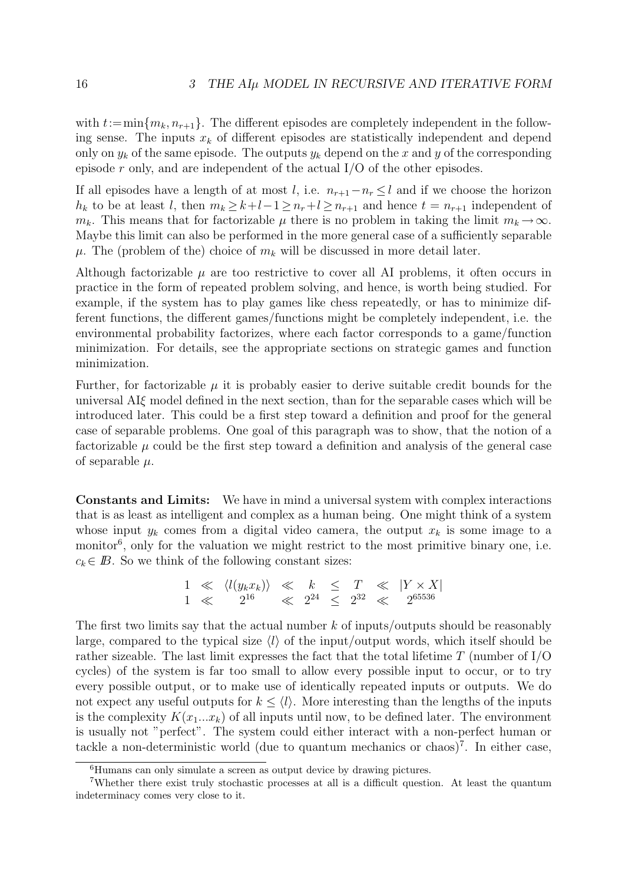with  $t:=\min\{m_k, n_{r+1}\}.$  The different episodes are completely independent in the following sense. The inputs  $x_k$  of different episodes are statistically independent and depend only on  $y_k$  of the same episode. The outputs  $y_k$  depend on the x and y of the corresponding episode r only, and are independent of the actual  $I/O$  of the other episodes.

If all episodes have a length of at most l, i.e.  $n_{r+1}-n_r \leq l$  and if we choose the horizon  $h_k$  to be at least l, then  $m_k \geq k+l-1 \geq n_r+l \geq n_{r+1}$  and hence  $t = n_{r+1}$  independent of  $m_k$ . This means that for factorizable  $\mu$  there is no problem in taking the limit  $m_k \to \infty$ . Maybe this limit can also be performed in the more general case of a sufficiently separable  $\mu$ . The (problem of the) choice of  $m_k$  will be discussed in more detail later.

Although factorizable  $\mu$  are too restrictive to cover all AI problems, it often occurs in practice in the form of repeated problem solving, and hence, is worth being studied. For example, if the system has to play games like chess repeatedly, or has to minimize different functions, the different games/functions might be completely independent, i.e. the environmental probability factorizes, where each factor corresponds to a game/function minimization. For details, see the appropriate sections on strategic games and function minimization.

Further, for factorizable  $\mu$  it is probably easier to derive suitable credit bounds for the universal AIξ model defined in the next section, than for the separable cases which will be introduced later. This could be a first step toward a definition and proof for the general case of separable problems. One goal of this paragraph was to show, that the notion of a factorizable  $\mu$  could be the first step toward a definition and analysis of the general case of separable  $\mu$ .

Constants and Limits: We have in mind a universal system with complex interactions that is as least as intelligent and complex as a human being. One might think of a system whose input  $y_k$  comes from a digital video camera, the output  $x_k$  is some image to a monitor<sup>6</sup>, only for the valuation we might restrict to the most primitive binary one, i.e.  $c_k \in \mathbb{B}$ . So we think of the following constant sizes:

$$
\begin{array}{ccccccc} 1 & \ll & \langle l(y_k x_k) \rangle & \ll & k & \leq & T & \ll & |Y \times X| \\ 1 & \ll & & 2^{16} & \ll & 2^{24} & \leq & 2^{32} & \ll & 2^{65536} \end{array}
$$

The first two limits say that the actual number  $k$  of inputs/outputs should be reasonably large, compared to the typical size  $\langle l \rangle$  of the input/output words, which itself should be rather sizeable. The last limit expresses the fact that the total lifetime  $T$  (number of I/O cycles) of the system is far too small to allow every possible input to occur, or to try every possible output, or to make use of identically repeated inputs or outputs. We do not expect any useful outputs for  $k \leq \langle l \rangle$ . More interesting than the lengths of the inputs is the complexity  $K(x_1...x_k)$  of all inputs until now, to be defined later. The environment is usually not "perfect". The system could either interact with a non-perfect human or tackle a non-deterministic world (due to quantum mechanics or chaos)<sup>7</sup>. In either case,

<sup>6</sup>Humans can only simulate a screen as output device by drawing pictures.

<sup>7</sup>Whether there exist truly stochastic processes at all is a difficult question. At least the quantum indeterminacy comes very close to it.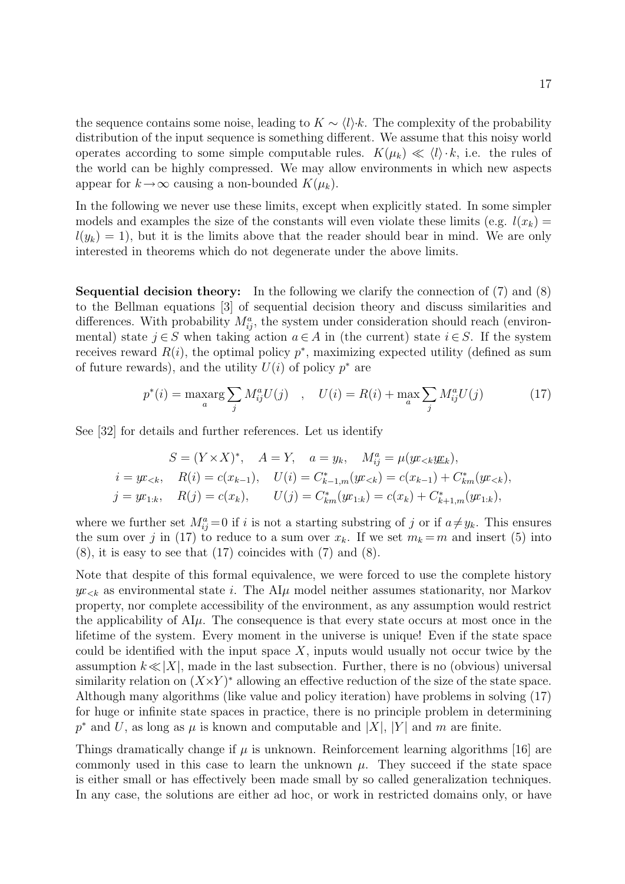the sequence contains some noise, leading to  $K \sim \langle l \rangle \cdot k$ . The complexity of the probability distribution of the input sequence is something different. We assume that this noisy world operates according to some simple computable rules.  $K(\mu_k) \ll \langle l \rangle \cdot k$ , i.e. the rules of the world can be highly compressed. We may allow environments in which new aspects appear for  $k \to \infty$  causing a non-bounded  $K(\mu_k)$ .

In the following we never use these limits, except when explicitly stated. In some simpler models and examples the size of the constants will even violate these limits (e.g.  $l(x_k)$ )  $l(y_k) = 1$ , but it is the limits above that the reader should bear in mind. We are only interested in theorems which do not degenerate under the above limits.

Sequential decision theory: In the following we clarify the connection of (7) and (8) to the Bellman equations [3] of sequential decision theory and discuss similarities and differences. With probability  $M_{ij}^a$ , the system under consideration should reach (environmental) state  $j \in S$  when taking action  $a \in A$  in (the current) state  $i \in S$ . If the system receives reward  $R(i)$ , the optimal policy  $p^*$ , maximizing expected utility (defined as sum of future rewards), and the utility  $U(i)$  of policy  $p^*$  are

$$
p^*(i) = \max_{a} \sum_{j} M_{ij}^a U(j) \quad , \quad U(i) = R(i) + \max_{a} \sum_{j} M_{ij}^a U(j) \tag{17}
$$

See [32] for details and further references. Let us identify

$$
S = (Y \times X)^*, \quad A = Y, \quad a = y_k, \quad M_{ij}^a = \mu(yc_{k}yc_k),
$$
  
\n
$$
i = yc_{k}, \quad R(i) = c(x_{k-1}), \quad U(i) = C^*_{k-1,m}(yc_{k}) = c(x_{k-1}) + C^*_{km}(yc_{k}),
$$
  
\n
$$
j = yc_{1:k}, \quad R(j) = c(x_k), \quad U(j) = C^*_{km}(yc_{1:k}) = c(x_k) + C^*_{k+1,m}(yc_{1:k}),
$$

where we further set  $M_{ij}^a = 0$  if i is not a starting substring of j or if  $a \neq y_k$ . This ensures the sum over j in (17) to reduce to a sum over  $x_k$ . If we set  $m_k = m$  and insert (5) into  $(8)$ , it is easy to see that  $(17)$  coincides with  $(7)$  and  $(8)$ .

Note that despite of this formal equivalence, we were forced to use the complete history  $\chi_{k,k}$  as environmental state i. The AI $\mu$  model neither assumes stationarity, nor Markov property, nor complete accessibility of the environment, as any assumption would restrict the applicability of  $\Lambda\mu$ . The consequence is that every state occurs at most once in the lifetime of the system. Every moment in the universe is unique! Even if the state space could be identified with the input space  $X$ , inputs would usually not occur twice by the assumption  $k \ll |X|$ , made in the last subsection. Further, there is no (obvious) universal similarity relation on  $(X \times Y)^*$  allowing an effective reduction of the size of the state space. Although many algorithms (like value and policy iteration) have problems in solving (17) for huge or infinite state spaces in practice, there is no principle problem in determining p<sup>\*</sup> and U, as long as  $\mu$  is known and computable and |X|, |Y| and m are finite.

Things dramatically change if  $\mu$  is unknown. Reinforcement learning algorithms [16] are commonly used in this case to learn the unknown  $\mu$ . They succeed if the state space is either small or has effectively been made small by so called generalization techniques. In any case, the solutions are either ad hoc, or work in restricted domains only, or have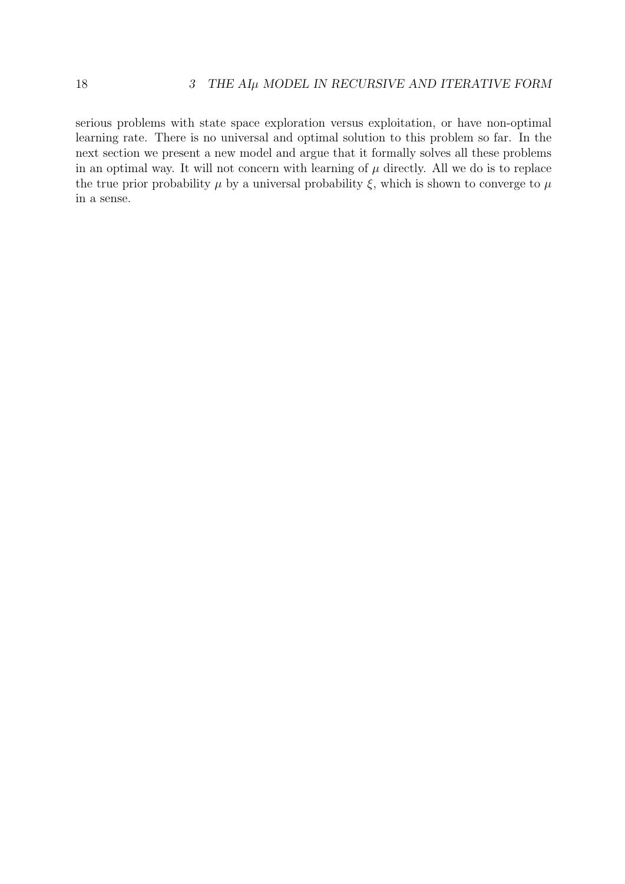serious problems with state space exploration versus exploitation, or have non-optimal learning rate. There is no universal and optimal solution to this problem so far. In the next section we present a new model and argue that it formally solves all these problems in an optimal way. It will not concern with learning of  $\mu$  directly. All we do is to replace the true prior probability  $\mu$  by a universal probability  $\xi$ , which is shown to converge to  $\mu$ in a sense.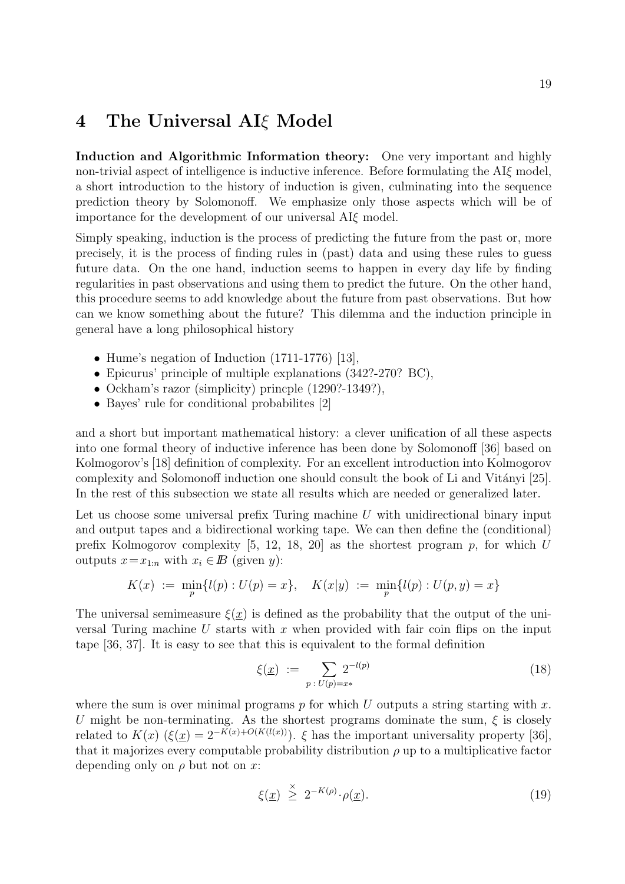### 4 The Universal AIξ Model

Induction and Algorithmic Information theory: One very important and highly non-trivial aspect of intelligence is inductive inference. Before formulating the AIξ model, a short introduction to the history of induction is given, culminating into the sequence prediction theory by Solomonoff. We emphasize only those aspects which will be of importance for the development of our universal AIξ model.

Simply speaking, induction is the process of predicting the future from the past or, more precisely, it is the process of finding rules in (past) data and using these rules to guess future data. On the one hand, induction seems to happen in every day life by finding regularities in past observations and using them to predict the future. On the other hand, this procedure seems to add knowledge about the future from past observations. But how can we know something about the future? This dilemma and the induction principle in general have a long philosophical history

- Hume's negation of Induction (1711-1776) [13],
- Epicurus' principle of multiple explanations (342?-270? BC),
- Ockham's razor (simplicity) princple (1290?-1349?),
- Bayes' rule for conditional probabilites [2]

and a short but important mathematical history: a clever unification of all these aspects into one formal theory of inductive inference has been done by Solomonoff [36] based on Kolmogorov's [18] definition of complexity. For an excellent introduction into Kolmogorov complexity and Solomonoff induction one should consult the book of Li and Vitányi [25]. In the rest of this subsection we state all results which are needed or generalized later.

Let us choose some universal prefix Turing machine  $U$  with unidirectional binary input and output tapes and a bidirectional working tape. We can then define the (conditional) prefix Kolmogorov complexity  $[5, 12, 18, 20]$  as the shortest program p, for which U outputs  $x=x_{1:n}$  with  $x_i \in B$  (given y):

$$
K(x) := \min_{p} \{ l(p) : U(p) = x \}, \quad K(x|y) := \min_{p} \{ l(p) : U(p, y) = x \}
$$

The universal semimeasure  $\xi(x)$  is defined as the probability that the output of the universal Turing machine  $U$  starts with  $x$  when provided with fair coin flips on the input tape [36, 37]. It is easy to see that this is equivalent to the formal definition

$$
\xi(\underline{x}) := \sum_{p \,:\, U(p) = x*} 2^{-l(p)} \tag{18}
$$

where the sum is over minimal programs  $p$  for which U outputs a string starting with  $x$ . U might be non-terminating. As the shortest programs dominate the sum,  $\xi$  is closely related to  $K(x)$  ( $\xi(x) = 2^{-K(x)+O(K(l(x)))}$ ).  $\xi$  has the important universality property [36], that it majorizes every computable probability distribution  $\rho$  up to a multiplicative factor depending only on  $\rho$  but not on x:

$$
\xi(\underline{x}) \stackrel{\times}{\geq} 2^{-K(\rho)} \cdot \rho(\underline{x}). \tag{19}
$$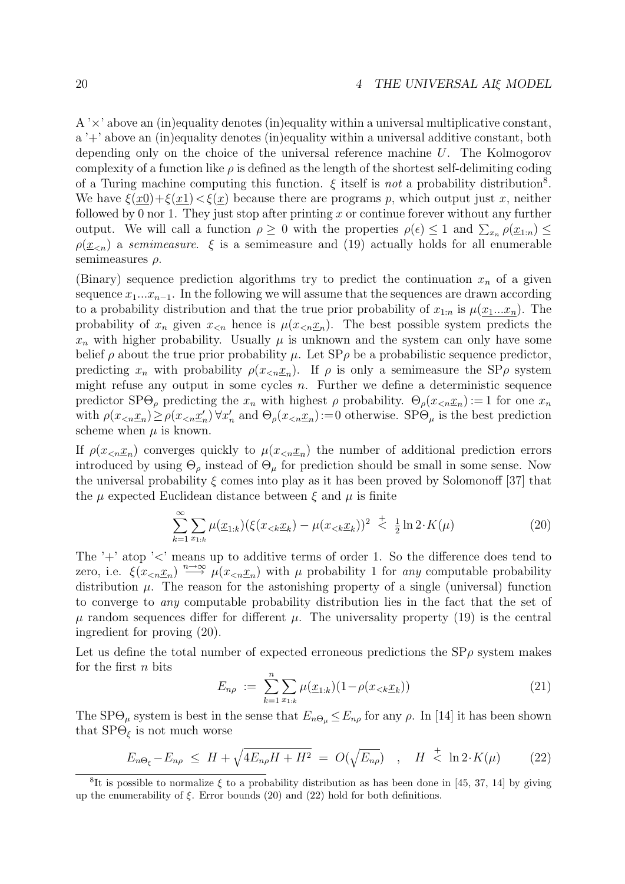$A' \times$  above an (in)equality denotes (in)equality within a universal multiplicative constant,  $a'$  above an (in)equality denotes (in)equality within a universal additive constant, both depending only on the choice of the universal reference machine U. The Kolmogorov complexity of a function like  $\rho$  is defined as the length of the shortest self-delimiting coding of a Turing machine computing this function.  $\xi$  itself is *not* a probability distribution<sup>8</sup>. We have  $\xi(\underline{x0})+\xi(\underline{x1})<\xi(\underline{x})$  because there are programs p, which output just x, neither followed by 0 nor 1. They just stop after printing x or continue forever without any further output. We will call a function  $\rho \geq 0$  with the properties  $\rho(\epsilon) \leq 1$  and  $\sum_{x_n} \rho(\underline{x}_{1:n}) \leq$  $\rho(\underline{x}_{\leq n})$  a semimeasure.  $\xi$  is a semimeasure and (19) actually holds for all enumerable semimeasures  $\rho$ .

(Binary) sequence prediction algorithms try to predict the continuation  $x_n$  of a given sequence  $x_1...x_{n-1}$ . In the following we will assume that the sequences are drawn according to a probability distribution and that the true prior probability of  $x_{1:n}$  is  $\mu(x_1...x_n)$ . The probability of  $x_n$  given  $x_{\leq n}$  hence is  $\mu(x_{\leq n}x_n)$ . The best possible system predicts the  $x_n$  with higher probability. Usually  $\mu$  is unknown and the system can only have some belief  $\rho$  about the true prior probability  $\mu$ . Let  $SP\rho$  be a probabilistic sequence predictor, predicting  $x_n$  with probability  $\rho(x_{\leq n}\underline{x}_n)$ . If  $\rho$  is only a semimeasure the SP $\rho$  system might refuse any output in some cycles  $n$ . Further we define a deterministic sequence predictor  $\text{SP}\Theta_\rho$  predicting the  $x_n$  with highest  $\rho$  probability.  $\Theta_\rho(x_{\leq n}\underline{x}_n) := 1$  for one  $x_n$ with  $\rho(x_{\leq n}\underline{x}_n) \geq \rho(x_{\leq n}\underline{x}'_n) \forall x'_n$  and  $\Theta_\rho(x_{\leq n}\underline{x}_n) := 0$  otherwise. SP $\Theta_\mu$  is the best prediction scheme when  $\mu$  is known.

If  $\rho(x_{\leq n}\underline{x}_n)$  converges quickly to  $\mu(x_{\leq n}\underline{x}_n)$  the number of additional prediction errors introduced by using  $\Theta_{\rho}$  instead of  $\Theta_{\mu}$  for prediction should be small in some sense. Now the universal probability  $\xi$  comes into play as it has been proved by Solomonoff [37] that the  $\mu$  expected Euclidean distance between  $\xi$  and  $\mu$  is finite

$$
\sum_{k=1}^{\infty} \sum_{x_{1:k}} \mu(\underline{x}_{1:k}) (\xi(x_{< k}\underline{x}_k) - \mu(x_{< k}\underline{x}_k))^2 \stackrel{+}{\leq} \frac{1}{2} \ln 2 \cdot K(\mu) \tag{20}
$$

The '+' atop '<' means up to additive terms of order 1. So the difference does tend to zero, i.e.  $\xi(x_{\leq n}\underline{x}_n) \stackrel{n\to\infty}{\longrightarrow} \mu(x_{\leq n}\underline{x}_n)$  with  $\mu$  probability 1 for any computable probability distribution  $\mu$ . The reason for the astonishing property of a single (universal) function to converge to any computable probability distribution lies in the fact that the set of  $\mu$  random sequences differ for different  $\mu$ . The universality property (19) is the central ingredient for proving (20).

Let us define the total number of expected erroneous predictions the  $SP\rho$  system makes for the first  $n$  bits

$$
E_{n\rho} := \sum_{k=1}^{n} \sum_{x_{1:k}} \mu(\underline{x}_{1:k})(1 - \rho(x_{< k}\underline{x}_k)) \tag{21}
$$

The SP $\Theta_{\mu}$  system is best in the sense that  $E_{n\Theta_{\mu}} \leq E_{n\rho}$  for any  $\rho$ . In [14] it has been shown that  $\text{SP}\Theta_{\epsilon}$  is not much worse

$$
E_{n\Theta_{\xi}} - E_{n\rho} \leq H + \sqrt{4E_{n\rho}H + H^2} = O(\sqrt{E_{n\rho}}) , \quad H \stackrel{+}{\leq} \ln 2 \cdot K(\mu) \tag{22}
$$

<sup>&</sup>lt;sup>8</sup>It is possible to normalize  $\xi$  to a probability distribution as has been done in [45, 37, 14] by giving up the enumerability of  $\xi$ . Error bounds (20) and (22) hold for both definitions.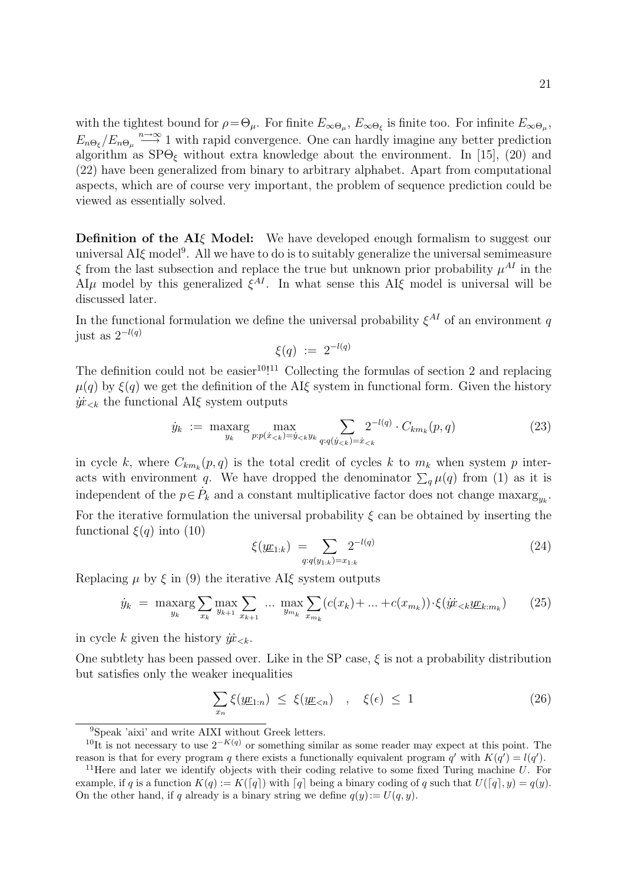with the tightest bound for  $\rho = \Theta_{\mu}$ . For finite  $E_{\infty\Theta_{\mu}}$ ,  $E_{\infty\Theta_{\xi}}$  is finite too. For infinite  $E_{\infty\Theta_{\mu}}$ ,  $E_{n\Theta_{\xi}}/E_{n\Theta_{\mu}} \stackrel{n\to\infty}{\longrightarrow} 1$  with rapid convergence. One can hardly imagine any better prediction algorithm as  $SP\Theta_{\epsilon}$  without extra knowledge about the environment. In [15], (20) and (22) have been generalized from binary to arbitrary alphabet. Apart from computational aspects, which are of course very important, the problem of sequence prediction could be viewed as essentially solved.

Definition of the AI<sub>ξ</sub> Model: We have developed enough formalism to suggest our universal  $AI\xi$  model<sup>9</sup>. All we have to do is to suitably generalize the universal semimeasure  $\xi$  from the last subsection and replace the true but unknown prior probability  $\mu^{AI}$  in the AI $\mu$  model by this generalized  $\xi^{AI}$ . In what sense this AI $\xi$  model is universal will be discussed later.

In the functional formulation we define the universal probability  $\xi^{AI}$  of an environment q just as  $2^{-l(q)}$ 

$$
\xi(q) \; := \; 2^{-l(q)}
$$

The definition could not be easier<sup>10!11</sup> Collecting the formulas of section 2 and replacing  $\mu(q)$  by  $\xi(q)$  we get the definition of the AI $\xi$  system in functional form. Given the history  $\dot{w}_{< k}$  the functional AI $\xi$  system outputs

$$
\dot{y}_k := \max_{y_k} \max_{p: p(\dot{x}_{< k}) = \dot{y}_{< k} y_k} \sum_{q: q(\dot{y}_{< k}) = \dot{x}_{< k}} 2^{-l(q)} \cdot C_{km_k}(p, q) \tag{23}
$$

in cycle k, where  $C_{km_k}(p,q)$  is the total credit of cycles k to  $m_k$  when system p interacts with environment q. We have dropped the denominator  $\sum_q \mu(q)$  from (1) as it is independent of the  $p \in \dot{P}_k$  and a constant multiplicative factor does not change  $\max_{y_k}$ .

For the iterative formulation the universal probability  $\xi$  can be obtained by inserting the functional  $\xi(q)$  into (10)

$$
\xi(\underline{w}_{1:k}) = \sum_{q:q(y_{1:k}) = x_{1:k}} 2^{-l(q)} \tag{24}
$$

Replacing  $\mu$  by  $\xi$  in (9) the iterative AI $\xi$  system outputs

$$
\dot{y}_k = \max_{y_k} \sum_{x_k} \max_{y_{k+1}} \sum_{x_{k+1}} \dots \max_{y_{m_k}} \sum_{x_{m_k}} (c(x_k) + \dots + c(x_{m_k})) \cdot \xi(\dot{y} \dot{c}_{k} \cdot \dot{y} \cdot \dot{c}_{k} \cdot \dot{y} \cdot \dot{c}_{k} \cdot \dot{y}) \tag{25}
$$

in cycle k given the history  $\ddot{w}_{\leq k}$ .

One subtlety has been passed over. Like in the SP case,  $\xi$  is not a probability distribution but satisfies only the weaker inequalities

$$
\sum_{x_n} \xi(\underline{w}_{1:n}) \le \xi(\underline{w}_{<} n) \quad , \quad \xi(\epsilon) \le 1 \tag{26}
$$

<sup>9</sup>Speak 'aixi' and write AIXI without Greek letters.

 $10$ It is not necessary to use  $2^{-K(q)}$  or something similar as some reader may expect at this point. The reason is that for every program q there exists a functionally equivalent program q' with  $K(q') = l(q')$ .

<sup>&</sup>lt;sup>11</sup> Here and later we identify objects with their coding relative to some fixed Turing machine  $U$ . For example, if q is a function  $K(q) := K(\lceil q \rceil)$  with  $\lceil q \rceil$  being a binary coding of q such that  $U(\lceil q \rceil, y) = q(y)$ . On the other hand, if q already is a binary string we define  $q(y) := U(q, y)$ .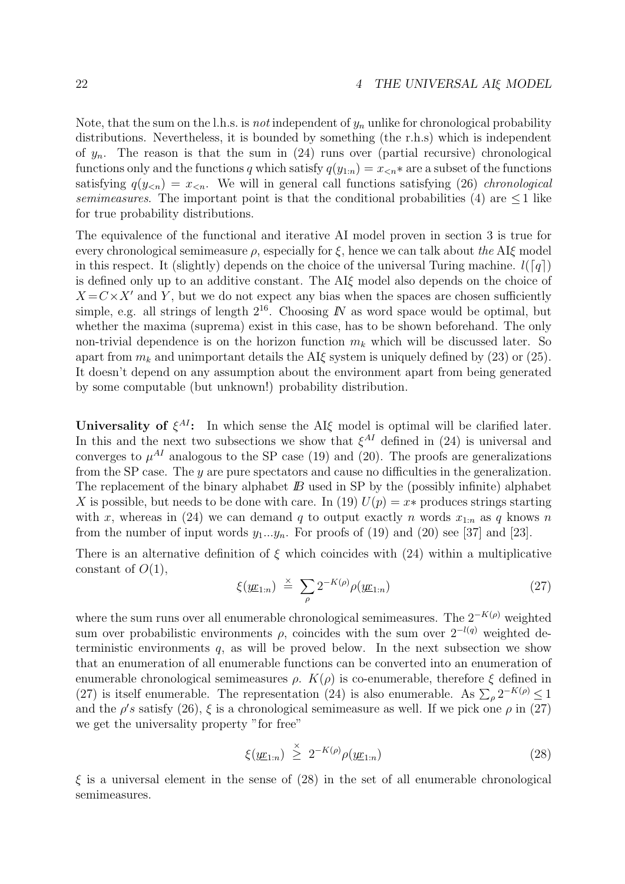Note, that the sum on the l.h.s. is *not* independent of  $y_n$  unlike for chronological probability distributions. Nevertheless, it is bounded by something (the r.h.s) which is independent of  $y_n$ . The reason is that the sum in (24) runs over (partial recursive) chronological functions only and the functions q which satisfy  $q(y_{1:n}) = x_{\leq n} *$  are a subset of the functions satisfying  $q(y_{\leq n}) = x_{\leq n}$ . We will in general call functions satisfying (26) *chronological* semimeasures. The important point is that the conditional probabilities (4) are  $\leq 1$  like for true probability distributions.

The equivalence of the functional and iterative AI model proven in section 3 is true for every chronological semimeasure  $\rho$ , especially for  $\xi$ , hence we can talk about the AI $\xi$  model in this respect. It (slightly) depends on the choice of the universal Turing machine.  $l(\lceil q \rceil)$ is defined only up to an additive constant. The AIξ model also depends on the choice of  $X = C \times X'$  and Y, but we do not expect any bias when the spaces are chosen sufficiently simple, e.g. all strings of length  $2^{16}$ . Choosing N as word space would be optimal, but whether the maxima (suprema) exist in this case, has to be shown beforehand. The only non-trivial dependence is on the horizon function  $m_k$  which will be discussed later. So apart from  $m_k$  and unimportant details the AI $\xi$  system is uniquely defined by (23) or (25). It doesn't depend on any assumption about the environment apart from being generated by some computable (but unknown!) probability distribution.

Universality of  $\xi^{AI}$ : In which sense the AI $\xi$  model is optimal will be clarified later. In this and the next two subsections we show that  $\xi^{AI}$  defined in (24) is universal and converges to  $\mu^{AI}$  analogous to the SP case (19) and (20). The proofs are generalizations from the SP case. The y are pure spectators and cause no difficulties in the generalization. The replacement of the binary alphabet  $\mathbb B$  used in SP by the (possibly infinite) alphabet X is possible, but needs to be done with care. In (19)  $U(p) = x*$  produces strings starting with x, whereas in (24) we can demand q to output exactly n words  $x_{1:n}$  as q knows n from the number of input words  $y_1...y_n$ . For proofs of (19) and (20) see [37] and [23].

There is an alternative definition of  $\xi$  which coincides with (24) within a multiplicative constant of  $O(1)$ ,

$$
\xi(\underline{\mathbf{w}}_{1:n}) \stackrel{\times}{=} \sum_{\rho} 2^{-K(\rho)} \rho(\underline{\mathbf{w}}_{1:n}) \tag{27}
$$

where the sum runs over all enumerable chronological semimeasures. The  $2^{-K(\rho)}$  weighted sum over probabilistic environments  $\rho$ , coincides with the sum over  $2^{-l(q)}$  weighted deterministic environments  $q$ , as will be proved below. In the next subsection we show that an enumeration of all enumerable functions can be converted into an enumeration of enumerable chronological semimeasures  $\rho$ .  $K(\rho)$  is co-enumerable, therefore  $\xi$  defined in (27) is itself enumerable. The representation (24) is also enumerable. As  $\sum_{\rho} 2^{-K(\rho)} \leq 1$ and the  $\rho's$  satisfy (26),  $\xi$  is a chronological semimeasure as well. If we pick one  $\rho$  in (27) we get the universality property "for free"

$$
\xi(\underline{w}_{1:n}) \stackrel{\times}{\geq} 2^{-K(\rho)} \rho(\underline{w}_{1:n}) \tag{28}
$$

 $\xi$  is a universal element in the sense of (28) in the set of all enumerable chronological semimeasures.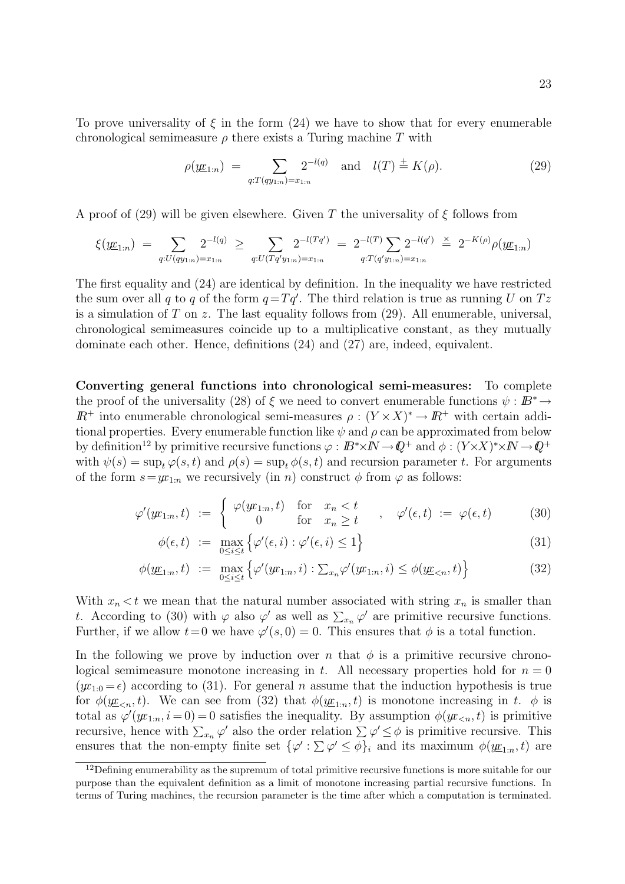To prove universality of  $\xi$  in the form (24) we have to show that for every enumerable chronological semimeasure  $\rho$  there exists a Turing machine T with

$$
\rho(\underline{w}_{1:n}) = \sum_{q:T(qy_{1:n})=x_{1:n}} 2^{-l(q)} \quad \text{and} \quad l(T) \stackrel{+}{=} K(\rho). \tag{29}
$$

A proof of (29) will be given elsewhere. Given T the universality of  $\xi$  follows from

$$
\xi(\underline{w}_{1:n}) = \sum_{q:U(qy_{1:n})=x_{1:n}} 2^{-l(q)} \ge \sum_{q:U(Tq'y_{1:n})=x_{1:n}} 2^{-l(Tq')} = 2^{-l(T)} \sum_{q:T(q'y_{1:n})=x_{1:n}} 2^{-l(q')} \stackrel{\times}{=} 2^{-K(\rho)} \rho(\underline{w}_{1:n})
$$

The first equality and (24) are identical by definition. In the inequality we have restricted the sum over all q to q of the form  $q=Tq'$ . The third relation is true as running U on Tz is a simulation of T on z. The last equality follows from  $(29)$ . All enumerable, universal, chronological semimeasures coincide up to a multiplicative constant, as they mutually dominate each other. Hence, definitions (24) and (27) are, indeed, equivalent.

Converting general functions into chronological semi-measures: To complete the proof of the universality (28) of  $\xi$  we need to convert enumerable functions  $\psi : \mathbb{B}^* \to$  $\mathbb{R}^+$  into enumerable chronological semi-measures  $\rho : (Y \times X)^* \to \mathbb{R}^+$  with certain additional properties. Every enumerable function like  $\psi$  and  $\rho$  can be approximated from below by definition<sup>12</sup> by primitive recursive functions  $\varphi : B^* \times N \to Q^+$  and  $\phi : (Y \times X)^* \times N \to Q^+$ with  $\psi(s) = \sup_t \varphi(s, t)$  and  $\rho(s) = \sup_t \varphi(s, t)$  and recursion parameter t. For arguments of the form  $s = \mathfrak{w}_{1:n}$  we recursively (in n) construct  $\phi$  from  $\varphi$  as follows:

$$
\varphi'(w_{1:n},t) := \begin{cases} \varphi(w_{1:n},t) & \text{for } x_n < t \\ 0 & \text{for } x_n \ge t \end{cases}, \quad \varphi'(\epsilon,t) := \varphi(\epsilon,t) \tag{30}
$$

$$
\phi(\epsilon, t) := \max_{0 \le i \le t} \left\{ \varphi'(\epsilon, i) : \varphi'(\epsilon, i) \le 1 \right\} \tag{31}
$$

$$
\phi(\underline{w}_{1:n}, t) := \max_{0 \le i \le t} \left\{ \varphi'(\underline{w}_{1:n}, i) : \sum_{x_n} \varphi'(\underline{w}_{1:n}, i) \le \phi(\underline{w}_{\le n}, t) \right\} \tag{32}
$$

With  $x_n < t$  we mean that the natural number associated with string  $x_n$  is smaller than t. According to (30) with  $\varphi$  also  $\varphi'$  as well as  $\sum_{x_n} \varphi'$  are primitive recursive functions. Further, if we allow  $t=0$  we have  $\varphi'(s,0)=0$ . This ensures that  $\phi$  is a total function.

In the following we prove by induction over n that  $\phi$  is a primitive recursive chronological semimeasure monotone increasing in t. All necessary properties hold for  $n = 0$  $(\psi_{1:0} = \epsilon)$  according to (31). For general *n* assume that the induction hypothesis is true for  $\phi(\underline{w}_{\leq n}, t)$ . We can see from (32) that  $\phi(\underline{w}_{1:n}, t)$  is monotone increasing in t.  $\phi$  is total as  $\varphi'(yx_{1:n}, i=0) = 0$  satisfies the inequality. By assumption  $\varphi(yx_{n}, t)$  is primitive recursive, hence with  $\sum_{x_n} \varphi'$  also the order relation  $\sum \varphi' \leq \phi$  is primitive recursive. This ensures that the non-empty finite set  $\{\varphi': \sum \varphi' \leq \varphi\}_i$  and its maximum  $\phi(\underline{w}_{1:n}, t)$  are

 $12$ Defining enumerability as the supremum of total primitive recursive functions is more suitable for our purpose than the equivalent definition as a limit of monotone increasing partial recursive functions. In terms of Turing machines, the recursion parameter is the time after which a computation is terminated.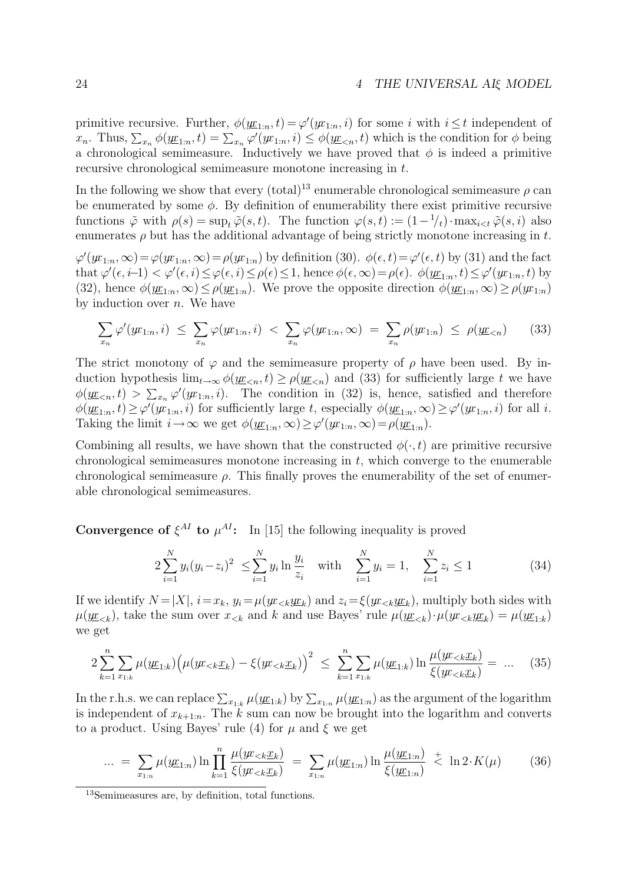primitive recursive. Further,  $\phi(\underline{\mathbf{w}}_{1:n}, t) = \varphi'(\underline{\mathbf{w}}_{1:n}, i)$  for some i with  $i \leq t$  independent of  $x_n$ . Thus,  $\sum_{x_n} \phi(\underline{w}_{1:n}, t) = \sum_{x_n} \varphi'(\underline{w}_{1:n}, i) \leq \phi(\underline{w}_{\leq n}, t)$  which is the condition for  $\phi$  being a chronological semimeasure. Inductively we have proved that  $\phi$  is indeed a primitive recursive chronological semimeasure monotone increasing in t.

In the following we show that every (total)<sup>13</sup> enumerable chronological semimeasure  $\rho$  can be enumerated by some  $\phi$ . By definition of enumerability there exist primitive recursive functions  $\tilde{\varphi}$  with  $\rho(s) = \sup_t \tilde{\varphi}(s,t)$ . The function  $\varphi(s,t) := (1-\frac{1}{t}) \cdot \max_{i \le t} \tilde{\varphi}(s,i)$  also enumerates  $\rho$  but has the additional advantage of being strictly monotone increasing in t.

 $\varphi'(w_{1:n},\infty) = \varphi(w_{1:n},\infty) = \rho(w_{1:n})$  by definition (30).  $\phi(\epsilon,t) = \varphi'(\epsilon,t)$  by (31) and the fact that  $\varphi'(\epsilon, i-1) < \varphi'(\epsilon, i) \leq \varphi(\epsilon, i) \leq \rho(\epsilon) \leq 1$ , hence  $\phi(\epsilon, \infty) = \rho(\epsilon)$ .  $\phi(\underline{w}_{1:n}, t) \leq \varphi'(\underline{w}_{1:n}, t)$  by (32), hence  $\phi(\underline{w}_{1:n},\infty) \leq \rho(\underline{w}_{1:n})$ . We prove the opposite direction  $\phi(\underline{w}_{1:n},\infty) \geq \rho(\underline{w}_{1:n})$ by induction over  $n$ . We have

$$
\sum_{x_n} \varphi'(y x_{1:n}, i) \leq \sum_{x_n} \varphi(y x_{1:n}, i) < \sum_{x_n} \varphi(y x_{1:n}, \infty) = \sum_{x_n} \rho(y x_{1:n}) \leq \rho(y x_{
$$

The strict monotony of  $\varphi$  and the semimeasure property of  $\rho$  have been used. By induction hypothesis  $\lim_{t\to\infty}\phi(\underline{w}_{\leq n},t)\geq\rho(\underline{w}_{\leq n})$  and (33) for sufficiently large t we have  $\phi(\underline{w}_{\leq n},t) > \sum_{x_n} \varphi'(y_{1:n},i)$ . The condition in (32) is, hence, satisfied and therefore  $\phi(\underline{w}_{1:n},t) \geq \varphi'(w_{1:n},i)$  for sufficiently large t, especially  $\phi(\underline{w}_{1:n},\infty) \geq \varphi'(w_{1:n},i)$  for all i. Taking the limit  $i \to \infty$  we get  $\phi(\underline{w}_{1:n}, \infty) \geq \varphi'(w_{1:n}, \infty) = \rho(\underline{w}_{1:n}).$ 

Combining all results, we have shown that the constructed  $\phi(\cdot, t)$  are primitive recursive chronological semimeasures monotone increasing in  $t$ , which converge to the enumerable chronological semimeasure  $\rho$ . This finally proves the enumerability of the set of enumerable chronological semimeasures.

Convergence of  $\xi^{AI}$  to  $\mu^{AI}$ : In [15] the following inequality is proved

$$
2\sum_{i=1}^{N} y_i (y_i - z_i)^2 \le \sum_{i=1}^{N} y_i \ln \frac{y_i}{z_i} \quad \text{with} \quad \sum_{i=1}^{N} y_i = 1, \quad \sum_{i=1}^{N} z_i \le 1 \tag{34}
$$

If we identify  $N = |X|$ ,  $i = x_k$ ,  $y_i = \mu(yx_{< k}y_k)$  and  $z_i = \xi(yx_{< k}y_k)$ , multiply both sides with  $\mu(\underline{w}_{< k})$ , take the sum over  $x_{< k}$  and k and use Bayes' rule  $\mu(\underline{w}_{< k}) \cdot \mu(\underline{w}_{< k} \underline{w}_k) = \mu(\underline{w}_{1:k})$ we get

$$
2\sum_{k=1}^{n} \sum_{x_{1:k}} \mu(\underline{w}_{1:k}) \Big( \mu(\underline{w}_{< k} \underline{x}_k) - \xi(\underline{w}_{< k} \underline{x}_k) \Big)^2 \leq \sum_{k=1}^{n} \sum_{x_{1:k}} \mu(\underline{w}_{1:k}) \ln \frac{\mu(\underline{w}_{< k} \underline{x}_k)}{\xi(\underline{w}_{< k} \underline{x}_k)} = \dots \quad (35)
$$

In the r.h.s. we can replace  $\sum_{x_{1:k}} \mu(\underline{w}_{1:k})$  by  $\sum_{x_{1:n}} \mu(\underline{w}_{1:n})$  as the argument of the logarithm is independent of  $x_{k+1:n}$ . The k sum can now be brought into the logarithm and converts to a product. Using Bayes' rule (4) for  $\mu$  and  $\xi$  we get

$$
\dots = \sum_{x_{1:n}} \mu(\underline{w}_{1:n}) \ln \prod_{k=1}^n \frac{\mu(\underline{w}_{< k} \underline{x}_k)}{\xi(\underline{w}_{< k} \underline{x}_k)} = \sum_{x_{1:n}} \mu(\underline{w}_{1:n}) \ln \frac{\mu(\underline{w}_{1:n})}{\xi(\underline{w}_{1:n})} \stackrel{+}{\leq} \ln 2 \cdot K(\mu) \tag{36}
$$

<sup>13</sup>Semimeasures are, by definition, total functions.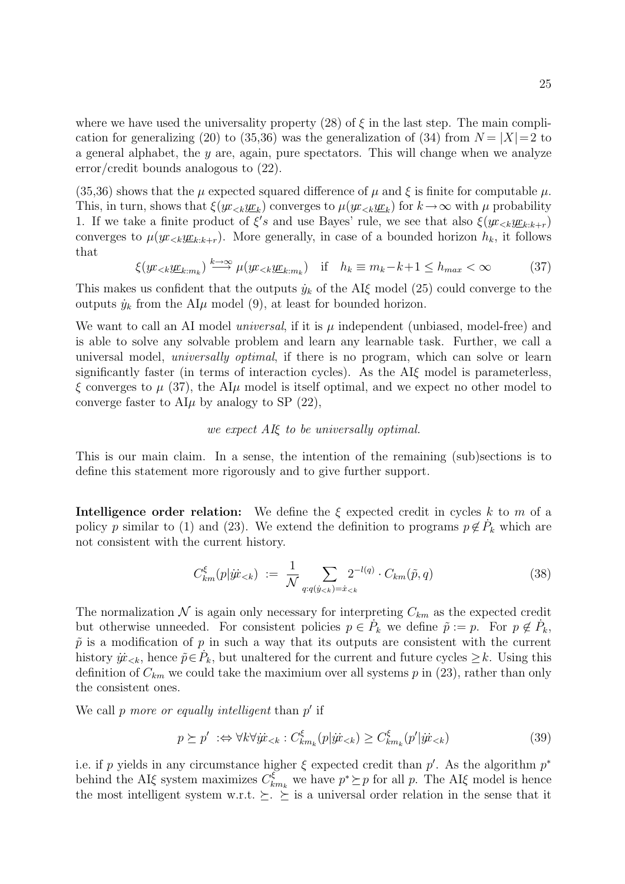where we have used the universality property  $(28)$  of  $\xi$  in the last step. The main complication for generalizing (20) to (35,36) was the generalization of (34) from  $N = |X| = 2$  to a general alphabet, the y are, again, pure spectators. This will change when we analyze error/credit bounds analogous to (22).

(35,36) shows that the  $\mu$  expected squared difference of  $\mu$  and  $\xi$  is finite for computable  $\mu$ . This, in turn, shows that  $\xi(w_{< k}\underline{w}_k)$  converges to  $\mu(w_{< k}\underline{w}_k)$  for  $k \to \infty$  with  $\mu$  probability 1. If we take a finite product of  $\xi's$  and use Bayes' rule, we see that also  $\xi(\mu z_k \mu_{k+k+r})$ converges to  $\mu(w_{< k} \underline{w}_{k:k+r})$ . More generally, in case of a bounded horizon  $h_k$ , it follows that

$$
\xi(\mathcal{W}_{
$$

This makes us confident that the outputs  $\dot{y}_k$  of the AI $\xi$  model (25) could converge to the outputs  $\dot{y}_k$  from the AI $\mu$  model (9), at least for bounded horizon.

We want to call an AI model *universal*, if it is  $\mu$  independent (unbiased, model-free) and is able to solve any solvable problem and learn any learnable task. Further, we call a universal model, *universally optimal*, if there is no program, which can solve or learn significantly faster (in terms of interaction cycles). As the AIξ model is parameterless,  $\xi$  converges to  $\mu$  (37), the AI $\mu$  model is itself optimal, and we expect no other model to converge faster to  $\text{Al}\mu$  by analogy to SP (22),

#### we expect AIξ to be universally optimal.

This is our main claim. In a sense, the intention of the remaining (sub)sections is to define this statement more rigorously and to give further support.

**Intelligence order relation:** We define the  $\xi$  expected credit in cycles k to m of a policy p similar to (1) and (23). We extend the definition to programs  $p \notin \dot{P}_k$  which are not consistent with the current history.

$$
C_{km}^{\xi}(p|\dot{w}_{
$$

The normalization  $\mathcal N$  is again only necessary for interpreting  $C_{km}$  as the expected credit but otherwise unneeded. For consistent policies  $p \in \dot{P}_k$  we define  $\tilde{p} := p$ . For  $p \notin \dot{P}_k$ ,  $\tilde{p}$  is a modification of p in such a way that its outputs are consistent with the current history  $\dot{w}_{< k}$ , hence  $\tilde{p} \in \dot{P}_k$ , but unaltered for the current and future cycles  $\geq k$ . Using this definition of  $C_{km}$  we could take the maximium over all systems p in (23), rather than only the consistent ones.

We call  $p$  more or equally intelligent than  $p'$  if

$$
p \succeq p' \; : \Leftrightarrow \forall k \forall \dot{w}_{< k} : C_{km_k}^{\xi}(p|\dot{w}_{< k}) \ge C_{km_k}^{\xi}(p'|\dot{w}_{< k}) \tag{39}
$$

i.e. if p yields in any circumstance higher  $\xi$  expected credit than p'. As the algorithm  $p^*$ behind the AI $\xi$  system maximizes  $C_k^{\xi}$  $k_{k m_k}^{\xi}$  we have  $p^* \succeq p$  for all p. The AI $\xi$  model is hence the most intelligent system w.r.t.  $\succeq$ .  $\geq$  is a universal order relation in the sense that it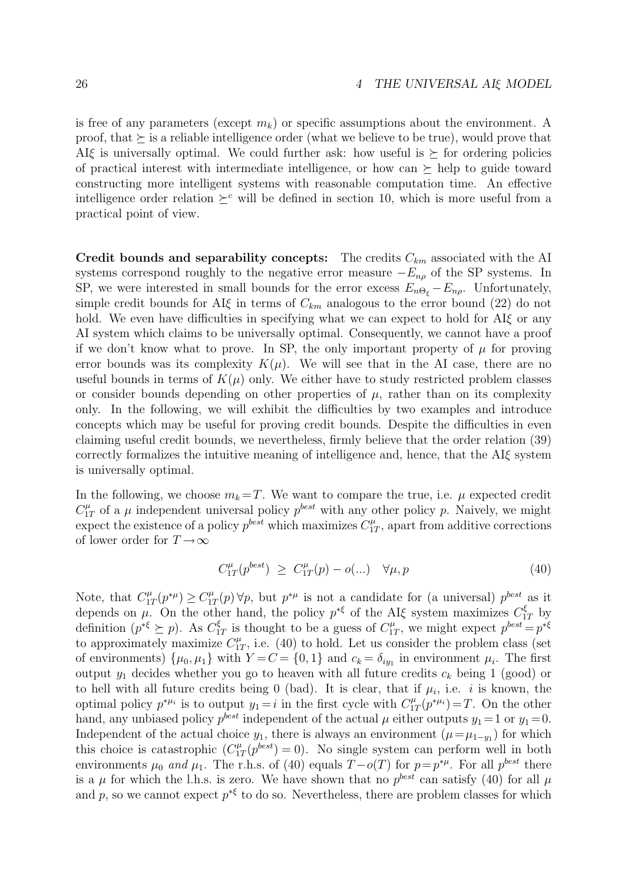is free of any parameters (except  $m_k$ ) or specific assumptions about the environment. A proof, that  $\succeq$  is a reliable intelligence order (what we believe to be true), would prove that AI $\xi$  is universally optimal. We could further ask: how useful is  $\succeq$  for ordering policies of practical interest with intermediate intelligence, or how can  $\succeq$  help to guide toward constructing more intelligent systems with reasonable computation time. An effective intelligence order relation  $\succeq^c$  will be defined in section 10, which is more useful from a practical point of view.

Credit bounds and separability concepts: The credits  $C_{km}$  associated with the AI systems correspond roughly to the negative error measure  $-E_{n\rho}$  of the SP systems. In SP, we were interested in small bounds for the error excess  $E_{n\Theta_{\xi}} - E_{n\rho}$ . Unfortunately, simple credit bounds for AI $\xi$  in terms of  $C_{km}$  analogous to the error bound (22) do not hold. We even have difficulties in specifying what we can expect to hold for AI $\xi$  or any AI system which claims to be universally optimal. Consequently, we cannot have a proof if we don't know what to prove. In SP, the only important property of  $\mu$  for proving error bounds was its complexity  $K(\mu)$ . We will see that in the AI case, there are no useful bounds in terms of  $K(\mu)$  only. We either have to study restricted problem classes or consider bounds depending on other properties of  $\mu$ , rather than on its complexity only. In the following, we will exhibit the difficulties by two examples and introduce concepts which may be useful for proving credit bounds. Despite the difficulties in even claiming useful credit bounds, we nevertheless, firmly believe that the order relation (39) correctly formalizes the intuitive meaning of intelligence and, hence, that the  $\Lambda$ I $\xi$  system is universally optimal.

In the following, we choose  $m_k = T$ . We want to compare the true, i.e.  $\mu$  expected credit  $C_{1T}^{\mu}$  of a  $\mu$  independent universal policy  $p^{best}$  with any other policy  $p$ . Naively, we might expect the existence of a policy  $p^{best}$  which maximizes  $C_1^{\mu}$  $\int_{1T}^{\mu}$ , apart from additive corrections of lower order for  $T \to \infty$ 

$$
C_{1T}^{\mu}(p^{best}) \ge C_{1T}^{\mu}(p) - o(...) \quad \forall \mu, p \tag{40}
$$

Note, that  $C_{1'}^{\mu}$  $C_{1T}^{\mu}(p^{*\mu}) \geq C_{1T}^{\mu}$  $p_{1T}^{\mu}(p) \forall p$ , but  $p^{*\mu}$  is not a candidate for (a universal)  $p^{best}$  as it depends on  $\mu$ . On the other hand, the policy  $p^{*\xi}$  of the AI $\xi$  system maximizes  $C_{1T}^{\xi}$  by definition  $(p^{*\xi} \succeq p)$ . As  $C_1^{\xi}$  $\frac{1}{1}$ <sup> $\zeta$ </sup> is thought to be a guess of  $C_{1}^{\mu}$  $j_{1T}^{\mu}$ , we might expect  $p^{best} = p^{*\xi}$ to approximately maximize  $C_1^{\mu}$  $_{1T}^{\mu}$ , i.e. (40) to hold. Let us consider the problem class (set of environments)  $\{\mu_0, \mu_1\}$  with  $Y = C = \{0, 1\}$  and  $c_k = \delta_{iy_1}$  in environment  $\mu_i$ . The first output  $y_1$  decides whether you go to heaven with all future credits  $c_k$  being 1 (good) or to hell with all future credits being 0 (bad). It is clear, that if  $\mu_i$ , i.e. i is known, the optimal policy  $p^{*\mu_i}$  is to output  $y_1 = i$  in the first cycle with  $C_1^{\mu}$  $f_{1T}^{\mu}(p^{*\mu_i}) = T$ . On the other hand, any unbiased policy  $p^{best}$  independent of the actual  $\mu$  either outputs  $y_1 = 1$  or  $y_1 = 0$ . Independent of the actual choice  $y_1$ , there is always an environment  $(\mu = \mu_{1-y_1})$  for which this choice is catastrophic  $(C_1^{\mu})$  $j_{1T}^{\mu}(p^{best}) = 0$ . No single system can perform well in both environments  $\mu_0$  and  $\mu_1$ . The r.h.s. of (40) equals  $T - o(T)$  for  $p = p^{*\mu}$ . For all  $p^{best}$  there is a  $\mu$  for which the l.h.s. is zero. We have shown that no  $p^{best}$  can satisfy (40) for all  $\mu$ and p, so we cannot expect  $p^{*\xi}$  to do so. Nevertheless, there are problem classes for which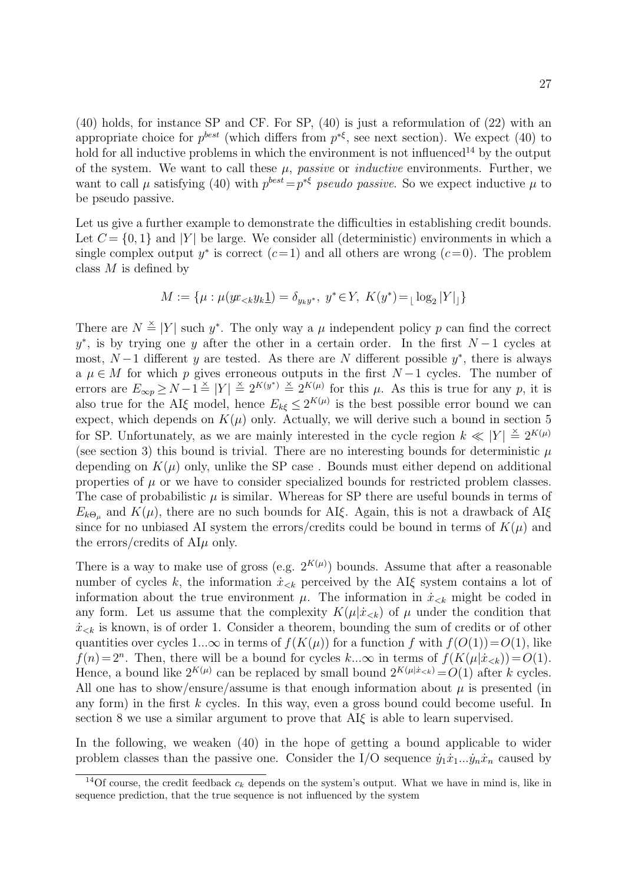(40) holds, for instance SP and CF. For SP, (40) is just a reformulation of (22) with an appropriate choice for  $p^{best}$  (which differs from  $p^{*\xi}$ , see next section). We expect (40) to hold for all inductive problems in which the environment is not influenced<sup>14</sup> by the output of the system. We want to call these  $\mu$ , passive or *inductive* environments. Further, we want to call  $\mu$  satisfying (40) with  $p^{best} = p^{*\xi}$  pseudo passive. So we expect inductive  $\mu$  to be pseudo passive.

Let us give a further example to demonstrate the difficulties in establishing credit bounds. Let  $C = \{0, 1\}$  and |Y| be large. We consider all (deterministic) environments in which a single complex output  $y^*$  is correct  $(c=1)$  and all others are wrong  $(c=0)$ . The problem class  $M$  is defined by

$$
M:=\{\mu: \mu(yz_{k}y_{k}\underline{1})=\delta_{y_{k}y^{*}},\ y^{*}\!\in\! Y,\ K(y^{*})\!=\! \lfloor \log_{2}|Y| \rfloor\}
$$

There are  $N \stackrel{\times}{=} |Y|$  such y<sup>\*</sup>. The only way a  $\mu$  independent policy p can find the correct  $y^*$ , is by trying one y after the other in a certain order. In the first  $N-1$  cycles at most,  $N-1$  different y are tested. As there are N different possible  $y^*$ , there is always a  $\mu \in M$  for which p gives erroneous outputs in the first  $N-1$  cycles. The number of errors are  $E_{\infty p} \ge N-1 \stackrel{\times}{=} |Y| \stackrel{\times}{=} 2^{K(y^*)} \stackrel{\times}{=} 2^{K(\mu)}$  for this  $\mu$ . As this is true for any p, it is also true for the AI $\xi$  model, hence  $E_{k\xi} \leq 2^{K(\mu)}$  is the best possible error bound we can expect, which depends on  $K(\mu)$  only. Actually, we will derive such a bound in section 5 for SP. Unfortunately, as we are mainly interested in the cycle region  $k \ll |Y| \stackrel{\times}{=} 2^{K(\mu)}$ (see section 3) this bound is trivial. There are no interesting bounds for deterministic  $\mu$ depending on  $K(\mu)$  only, unlike the SP case. Bounds must either depend on additional properties of  $\mu$  or we have to consider specialized bounds for restricted problem classes. The case of probabilistic  $\mu$  is similar. Whereas for SP there are useful bounds in terms of  $E_{k\Theta_{\mu}}$  and  $K(\mu)$ , there are no such bounds for AIξ. Again, this is not a drawback of AIξ since for no unbiased AI system the errors/credits could be bound in terms of  $K(\mu)$  and the errors/credits of  $AI\mu$  only.

There is a way to make use of gross (e.g.  $2^{K(\mu)}$ ) bounds. Assume that after a reasonable number of cycles k, the information  $\dot{x}_{< k}$  perceived by the AI $\xi$  system contains a lot of information about the true environment  $\mu$ . The information in  $\dot{x}_{\leq k}$  might be coded in any form. Let us assume that the complexity  $K(\mu|\dot{x}_{< k})$  of  $\mu$  under the condition that  $\dot{x}_{\le k}$  is known, is of order 1. Consider a theorem, bounding the sum of credits or of other quantities over cycles 1... $\infty$  in terms of  $f(K(\mu))$  for a function f with  $f(O(1))=O(1)$ , like  $f(n) = 2^n$ . Then, there will be a bound for cycles  $k...\infty$  in terms of  $f(K(\mu|\dot{x}_{< k})) = O(1)$ . Hence, a bound like  $2^{K(\mu)}$  can be replaced by small bound  $2^{K(\mu|\dot{x}_{< k})} = O(1)$  after k cycles. All one has to show/ensure/assume is that enough information about  $\mu$  is presented (in any form) in the first k cycles. In this way, even a gross bound could become useful. In section 8 we use a similar argument to prove that AIξ is able to learn supervised.

In the following, we weaken (40) in the hope of getting a bound applicable to wider problem classes than the passive one. Consider the I/O sequence  $\dot{y}_1 \dot{x}_1 \dots \dot{y}_n \dot{x}_n$  caused by

<sup>&</sup>lt;sup>14</sup>Of course, the credit feedback  $c_k$  depends on the system's output. What we have in mind is, like in sequence prediction, that the true sequence is not influenced by the system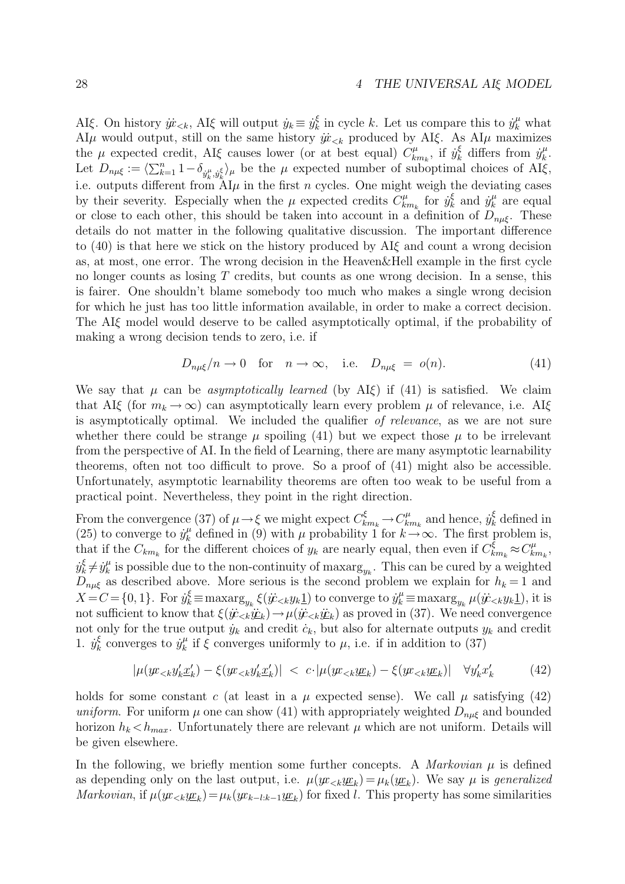AIξ. On history  $\dot{w}_{< k}$ , AIξ will output  $\dot{y}_k \equiv \dot{y}_k^{\xi}$  $\frac{\xi}{k}$  in cycle k. Let us compare this to  $\dot{y}_k^{\mu}$  what AI $\mu$  would output, still on the same history  $\dot{w}_{\leq k}$  produced by AI $\xi$ . As AI $\mu$  maximizes the  $\mu$  expected credit, AI $\xi$  causes lower (or at best equal)  $C_k^{\mu}$  $\psi^{\mu}_{km_k}$ , if  $\dot{y}_k^{\xi}$  differs from  $\dot{y}_k^{\mu}$  $\frac{\mu}{k}$ . Let  $D_{n\mu\xi} := \langle \sum_{k=1}^n 1-\delta_{\dot{y}_k^{\mu},\dot{y}_k^{\xi}} \rangle_{\mu}$  be the  $\mu$  expected number of suboptimal choices of AI $\xi$ , i.e. outputs different from  $\Lambda\mu$  in the first n cycles. One might weigh the deviating cases by their severity. Especially when the  $\mu$  expected credits  $C_k^{\mu}$  $\int_{km_k}^{\mu}$  for  $\dot{y}_k^{\xi}$  $y_k^{\xi}$  and  $\dot{y}_k^{\mu}$  $\mu_k^{\mu}$  are equal or close to each other, this should be taken into account in a definition of  $D_{n\mu\xi}$ . These details do not matter in the following qualitative discussion. The important difference to (40) is that here we stick on the history produced by AIξ and count a wrong decision as, at most, one error. The wrong decision in the Heaven&Hell example in the first cycle no longer counts as losing T credits, but counts as one wrong decision. In a sense, this is fairer. One shouldn't blame somebody too much who makes a single wrong decision for which he just has too little information available, in order to make a correct decision. The AI $\xi$  model would deserve to be called asymptotically optimal, if the probability of making a wrong decision tends to zero, i.e. if

$$
D_{n\mu\xi}/n \to 0 \quad \text{for} \quad n \to \infty, \quad \text{i.e.} \quad D_{n\mu\xi} = o(n). \tag{41}
$$

We say that  $\mu$  can be asymptotically learned (by AI $\xi$ ) if (41) is satisfied. We claim that AIξ (for  $m_k \to \infty$ ) can asymptotically learn every problem  $\mu$  of relevance, i.e. AIξ is asymptotically optimal. We included the qualifier of relevance, as we are not sure whether there could be strange  $\mu$  spoiling (41) but we expect those  $\mu$  to be irrelevant from the perspective of AI. In the field of Learning, there are many asymptotic learnability theorems, often not too difficult to prove. So a proof of (41) might also be accessible. Unfortunately, asymptotic learnability theorems are often too weak to be useful from a practical point. Nevertheless, they point in the right direction.

From the convergence (37) of  $\mu \rightarrow \xi$  we might expect  $C_{km_k}^{\xi} \rightarrow C_{k}^{\mu}$  $\psi^{\mu}_{km_k}$  and hence,  $\dot{y}^{\xi}_k$  defined in (25) to converge to  $\dot{y}_k^{\mu}$  defined in (9) with  $\mu$  probability 1 for  $k \to \infty$ . The first problem is, that if the  $C_{km_k}$  for the different choices of  $y_k$  are nearly equal, then even if  $C_{km_k}^{\xi} \approx C_k^{\mu}$  $_{km_k}^{\prime \mu},$  $\dot{y}_k^{\xi}$  $\zeta_k^{\xi} \neq \dot{y}_k^{\mu}$  $\mu_k^{\mu}$  is possible due to the non-continuity of maxarg<sub>y<sub>k</sub></sub>. This can be cured by a weighted  $D_{n\mu\xi}$  as described above. More serious is the second problem we explain for  $h_k = 1$  and  $X = C = \{0, 1\}$ . For  $\hat{y}_k^{\xi} \equiv \max \arg_{y_k} \xi(\hat{y} \cdot \xi_k y_k \underline{1})$  to converge to  $\hat{y}_k^{\mu} \equiv \max \arg_{y_k} \mu(\hat{y} \cdot \xi_k y_k \underline{1})$ , it is not sufficient to know that  $\xi(\ddot{x}_{< k}\ddot{y}_{k}) \to \mu(\ddot{y}_{< k}\ddot{y}_{k})$  as proved in (37). We need convergence not only for the true output  $\dot{y}_k$  and credit  $\dot{c}_k$ , but also for alternate outputs  $y_k$  and credit 1.  $\dot{y}_k^{\xi}$  $\frac{\xi}{k}$  converges to  $\dot{y}_k^{\mu}$  $\mu_k^{\mu}$  if  $\xi$  converges uniformly to  $\mu$ , i.e. if in addition to (37)

$$
|\mu(yc_{<};y'_k \underline{x}'_k) - \xi(yc_{< k}y'_k \underline{x}'_k)| < c \cdot |\mu(yc_{< k}y \underline{x}_k) - \xi(yc_{< k}y \underline{x}_k)| \quad \forall y'_k x'_k \tag{42}
$$

holds for some constant c (at least in a  $\mu$  expected sense). We call  $\mu$  satisfying (42) uniform. For uniform  $\mu$  one can show (41) with appropriately weighted  $D_{n\mu\xi}$  and bounded horizon  $h_k < h_{max}$ . Unfortunately there are relevant  $\mu$  which are not uniform. Details will be given elsewhere.

In the following, we briefly mention some further concepts. A Markovian  $\mu$  is defined as depending only on the last output, i.e.  $\mu(w_{< k} \underline{w}_k) = \mu_k(\underline{w}_k)$ . We say  $\mu$  is generalized Markovian, if  $\mu(w_{< k}\underline{w}_k) = \mu_k(w_{k-l:k-1}\underline{w}_k)$  for fixed l. This property has some similarities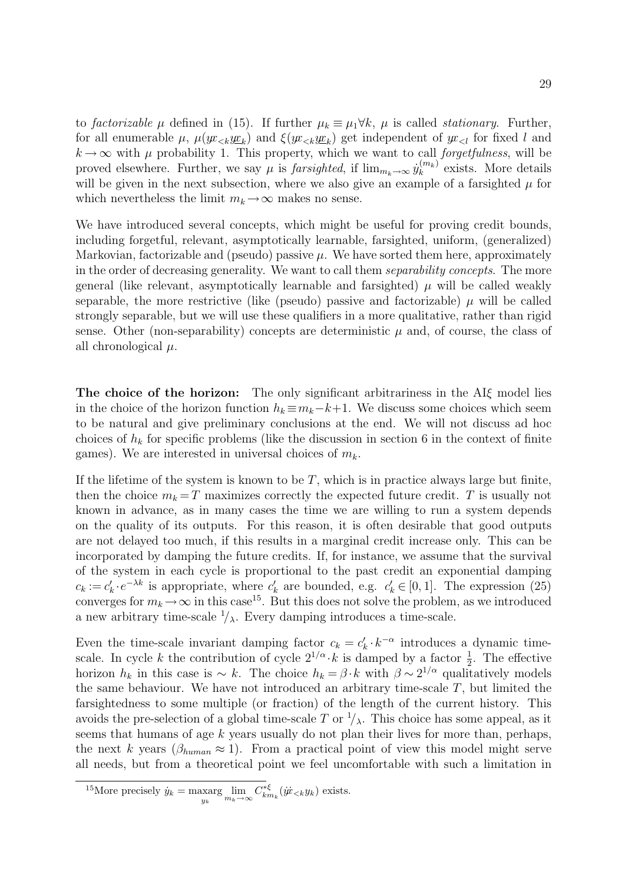to *factorizable*  $\mu$  defined in (15). If further  $\mu_k \equiv \mu_1 \forall k$ ,  $\mu$  is called *stationary*. Further, for all enumerable  $\mu$ ,  $\mu(w_{< k}y_{k})$  and  $\xi(w_{< k}y_{k})$  get independent of  $y_{k}z_{l}$  for fixed l and  $k \to \infty$  with  $\mu$  probability 1. This property, which we want to call *forgetfulness*, will be proved elsewhere. Further, we say  $\mu$  is *farsighted*, if  $\lim_{m_k \to \infty} \dot{y}_k^{(m_k)}$  $\kappa_k^{(m_k)}$  exists. More details will be given in the next subsection, where we also give an example of a farsighted  $\mu$  for which nevertheless the limit  $m_k \to \infty$  makes no sense.

We have introduced several concepts, which might be useful for proving credit bounds, including forgetful, relevant, asymptotically learnable, farsighted, uniform, (generalized) Markovian, factorizable and (pseudo) passive  $\mu$ . We have sorted them here, approximately in the order of decreasing generality. We want to call them separability concepts. The more general (like relevant, asymptotically learnable and farsighted)  $\mu$  will be called weakly separable, the more restrictive (like (pseudo) passive and factorizable)  $\mu$  will be called strongly separable, but we will use these qualifiers in a more qualitative, rather than rigid sense. Other (non-separability) concepts are deterministic  $\mu$  and, of course, the class of all chronological  $\mu$ .

The choice of the horizon: The only significant arbitrariness in the AI $\xi$  model lies in the choice of the horizon function  $h_k \equiv m_k - k + 1$ . We discuss some choices which seem to be natural and give preliminary conclusions at the end. We will not discuss ad hoc choices of  $h_k$  for specific problems (like the discussion in section 6 in the context of finite games). We are interested in universal choices of  $m_k$ .

If the lifetime of the system is known to be  $T$ , which is in practice always large but finite, then the choice  $m_k = T$  maximizes correctly the expected future credit. T is usually not known in advance, as in many cases the time we are willing to run a system depends on the quality of its outputs. For this reason, it is often desirable that good outputs are not delayed too much, if this results in a marginal credit increase only. This can be incorporated by damping the future credits. If, for instance, we assume that the survival of the system in each cycle is proportional to the past credit an exponential damping  $c_k := c'_k \cdot e^{-\lambda k}$  is appropriate, where  $c'_k$  are bounded, e.g.  $c'_k \in [0,1]$ . The expression (25) converges for  $m_k \to \infty$  in this case<sup>15</sup>. But this does not solve the problem, as we introduced a new arbitrary time-scale  $\frac{1}{\lambda}$ . Every damping introduces a time-scale.

Even the time-scale invariant damping factor  $c_k = c'_k \cdot k^{-\alpha}$  introduces a dynamic timescale. In cycle k the contribution of cycle  $2^{1/\alpha} \cdot k$  is damped by a factor  $\frac{1}{2}$ . The effective horizon  $h_k$  in this case is ~ k. The choice  $h_k = \beta \cdot k$  with  $\beta \sim 2^{1/\alpha}$  qualitatively models the same behaviour. We have not introduced an arbitrary time-scale  $T$ , but limited the farsightedness to some multiple (or fraction) of the length of the current history. This avoids the pre-selection of a global time-scale T or  $\frac{1}{\lambda}$ . This choice has some appeal, as it seems that humans of age  $k$  years usually do not plan their lives for more than, perhaps, the next k years ( $\beta_{human} \approx 1$ ). From a practical point of view this model might serve all needs, but from a theoretical point we feel uncomfortable with such a limitation in

<sup>&</sup>lt;sup>15</sup>More precisely  $\dot{y}_k = \max_{y_k} \arg \lim_{m_k \to \infty} C_{km_k}^{*\xi}(\dot{w}_{< k}y_k)$  exists.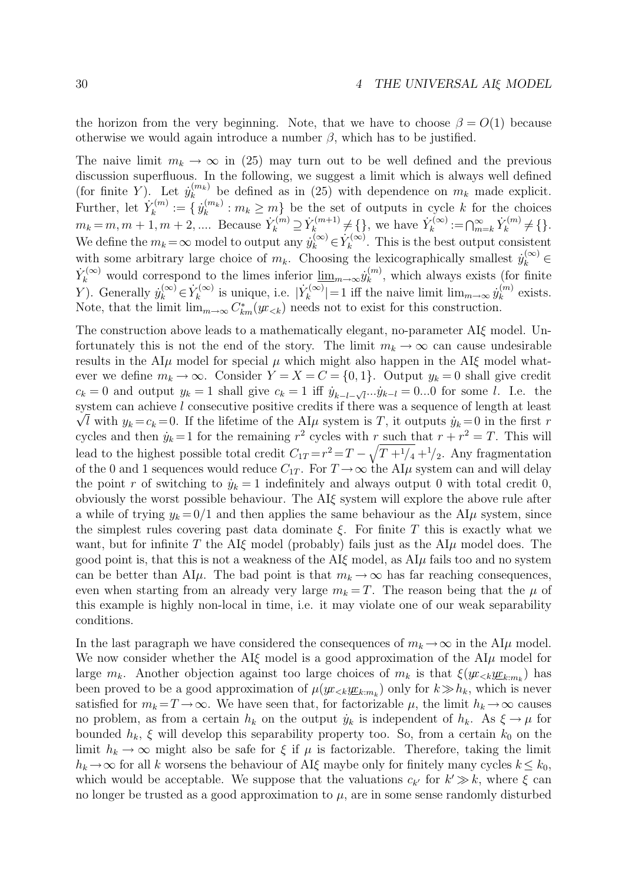the horizon from the very beginning. Note, that we have to choose  $\beta = O(1)$  because otherwise we would again introduce a number  $\beta$ , which has to be justified.

The naive limit  $m_k \to \infty$  in (25) may turn out to be well defined and the previous discussion superfluous. In the following, we suggest a limit which is always well defined (for finite Y). Let  $y_k^{(m_k)}$  be defined as in (25) with dependence on  $m_k$  made explicit. Further, let  $\dot{Y}_k^{(m)}$  $\tilde{y}_k^{(m)}:=\set{\dot{y}_k^{(m_k)}}$  $k_k^{(m_k)}: m_k \geq m$  be the set of outputs in cycle k for the choices  $m_k = m, m + 1, m + 2, \dots$  Because  $\dot{Y}_k^{(m)} \supseteq \dot{Y}_k^{(m+1)}$  $\kappa_k^{(m+1)} \neq \{\},\$  we have  $\dot{Y}_k^{(\infty)}$  $\chi_k^{(\infty)}:=\bigcap_{m=k}^\infty \dot Y_k^{(m)}$  $k^{(m)} \neq \{\}.$ We define the  $m_k = \infty$  model to output any  $\dot{y}_k^{(\infty)} \in \dot{Y}_k^{(\infty)}$  $\mathcal{K}_{k}^{(\infty)}$ . This is the best output consistent with some arbitrary large choice of  $m_k$ . Choosing the lexicographically smallest  $\dot{y}_k^{(\infty)} \in$  $\dot{Y}_k^{(\infty)}$  would correspond to the limes inferior  $\underline{\lim}_{m\to\infty}\dot{y}_k^{(m)}$  $\binom{m}{k}$ , which always exists (for finite Y). Generally  $\dot{y}_k^{(\infty)} \in \dot{Y}_k^{(\infty)}$  $\hat{Y}_k^{(\infty)}$  is unique, i.e.  $|\dot{Y}_k^{(\infty)}|$  $|x_k^{(\infty)}|=1$  iff the naive limit  $\lim_{m\to\infty}\dot{y}_k^{(m)}$  $k^{(m)}_k$  exists. Note, that the limit  $\lim_{m\to\infty} C^*_{km}(\mathfrak{w}_{< k})$  needs not to exist for this construction.

The construction above leads to a mathematically elegant, no-parameter AIξ model. Unfortunately this is not the end of the story. The limit  $m_k \to \infty$  can cause undesirable results in the AI $\mu$  model for special  $\mu$  which might also happen in the AI $\xi$  model whatever we define  $m_k \to \infty$ . Consider  $Y = X = C = \{0, 1\}$ . Output  $y_k = 0$  shall give credit  $c_k = 0$  and output  $y_k = 1$  shall give  $c_k = 1$  iff  $\dot{y}_{k-l-\sqrt{l}} \dots \dot{y}_{k-l} = 0 \dots 0$  for some l. I.e. the system can achieve l consecutive positive credits if there was a sequence of length at least  $\sqrt{l}$  with  $y_k = c_k = 0$ . If the lifetime of the AI $\mu$  system is T, it outputs  $\dot{y}_k = 0$  in the first r cycles and then  $\dot{y}_k = 1$  for the remaining  $r^2$  cycles with r such that  $r + r^2 = T$ . This will lead to the highest possible total credit  $C_{1T} = r^2 = T - \sqrt{T+1/4} + 1/2$ . Any fragmentation of the 0 and 1 sequences would reduce  $C_{1T}$ . For  $T \rightarrow \infty$  the AI $\mu$  system can and will delay the point r of switching to  $\dot{y}_k = 1$  indefinitely and always output 0 with total credit 0, obviously the worst possible behaviour. The AIξ system will explore the above rule after a while of trying  $y_k = 0/1$  and then applies the same behaviour as the AI $\mu$  system, since the simplest rules covering past data dominate  $\xi$ . For finite T this is exactly what we want, but for infinite T the AI $\xi$  model (probably) fails just as the AI $\mu$  model does. The good point is, that this is not a weakness of the AI $\xi$  model, as AI $\mu$  fails too and no system can be better than AI $\mu$ . The bad point is that  $m_k \to \infty$  has far reaching consequences, even when starting from an already very large  $m_k = T$ . The reason being that the  $\mu$  of this example is highly non-local in time, i.e. it may violate one of our weak separability conditions.

In the last paragraph we have considered the consequences of  $m_k \to \infty$  in the AIµ model. We now consider whether the AI $\xi$  model is a good approximation of the AI $\mu$  model for large  $m_k$ . Another objection against too large choices of  $m_k$  is that  $\xi(w_{< k}w_{k:m_k})$  has been proved to be a good approximation of  $\mu(y_{k\kappa}, y_{k\kappa})$  only for  $k \gg h_k$ , which is never satisfied for  $m_k = T \to \infty$ . We have seen that, for factorizable  $\mu$ , the limit  $h_k \to \infty$  causes no problem, as from a certain  $h_k$  on the output  $\dot{y}_k$  is independent of  $h_k$ . As  $\xi \to \mu$  for bounded  $h_k$ ,  $\xi$  will develop this separability property too. So, from a certain  $k_0$  on the limit  $h_k \to \infty$  might also be safe for  $\xi$  if  $\mu$  is factorizable. Therefore, taking the limit  $h_k \to \infty$  for all k worsens the behaviour of AI $\xi$  maybe only for finitely many cycles  $k \leq k_0$ , which would be acceptable. We suppose that the valuations  $c_{k'}$  for  $k' \gg k$ , where  $\xi$  can no longer be trusted as a good approximation to  $\mu$ , are in some sense randomly disturbed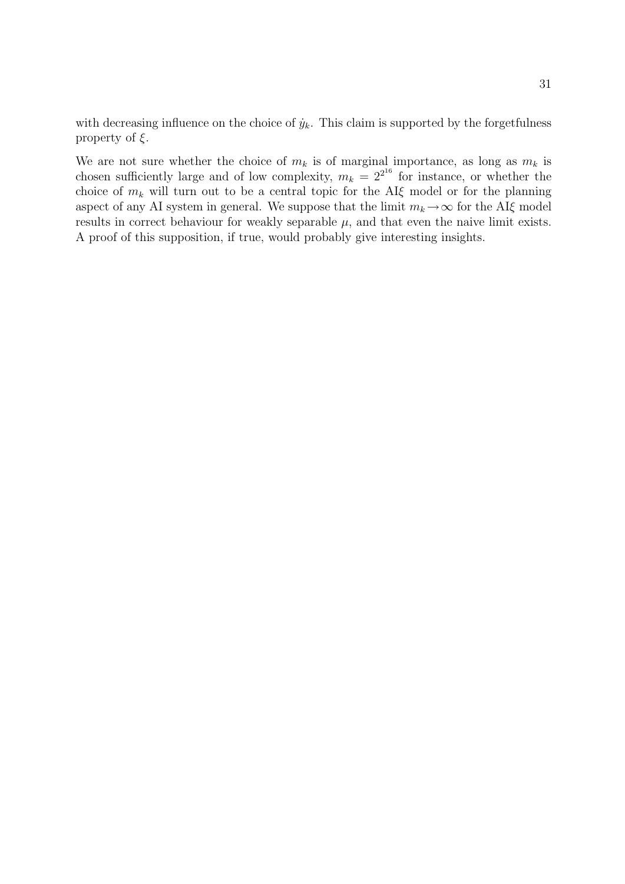with decreasing influence on the choice of  $\dot{y}_k$ . This claim is supported by the forgetfulness property of  $\xi$ .

We are not sure whether the choice of  $m_k$  is of marginal importance, as long as  $m_k$  is chosen sufficiently large and of low complexity,  $m_k = 2^{2^{16}}$  for instance, or whether the choice of  $m_k$  will turn out to be a central topic for the AI $\xi$  model or for the planning aspect of any AI system in general. We suppose that the limit  $m_k \to \infty$  for the AI $\xi$  model results in correct behaviour for weakly separable  $\mu$ , and that even the naive limit exists. A proof of this supposition, if true, would probably give interesting insights.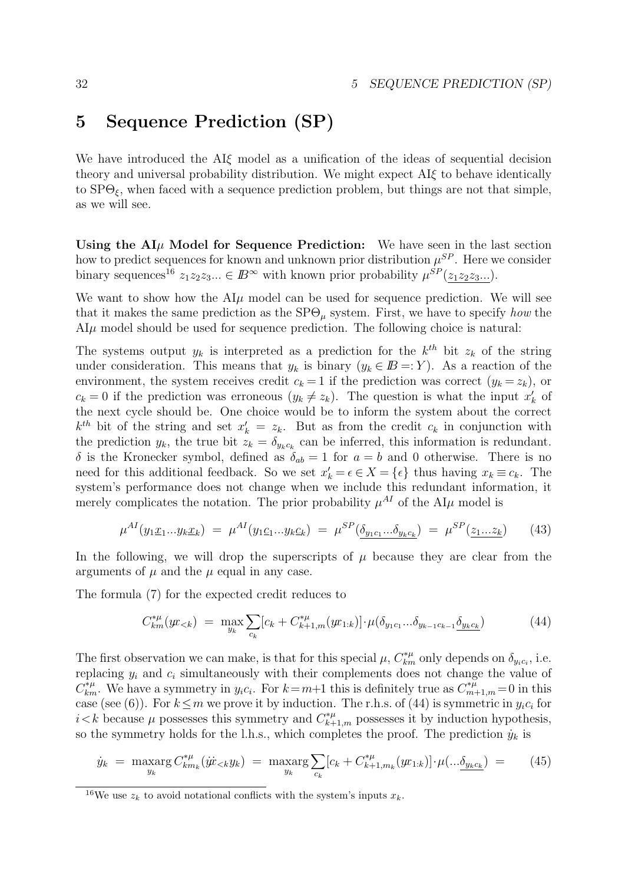### 5 Sequence Prediction (SP)

We have introduced the AIξ model as a unification of the ideas of sequential decision theory and universal probability distribution. We might expect AIξ to behave identically to  $SP\Theta_{\epsilon}$ , when faced with a sequence prediction problem, but things are not that simple, as we will see.

Using the  $AI\mu$  Model for Sequence Prediction: We have seen in the last section how to predict sequences for known and unknown prior distribution  $\mu^{SP}$ . Here we consider binary sequences<sup>16</sup>  $z_1z_2z_3... \in \mathbb{B}^{\infty}$  with known prior probability  $\mu^{SP}(z_1z_2z_3...)$ .

We want to show how the  $\mathbf{A}I\mu$  model can be used for sequence prediction. We will see that it makes the same prediction as the  $SP\Theta_{\mu}$  system. First, we have to specify how the  $\Lambda$ I $\mu$  model should be used for sequence prediction. The following choice is natural:

The systems output  $y_k$  is interpreted as a prediction for the  $k^{th}$  bit  $z_k$  of the string under consideration. This means that  $y_k$  is binary  $(y_k \in B = Y)$ . As a reaction of the environment, the system receives credit  $c_k = 1$  if the prediction was correct  $(y_k = z_k)$ , or  $c_k = 0$  if the prediction was erroneous  $(y_k \neq z_k)$ . The question is what the input  $x'_k$  of the next cycle should be. One choice would be to inform the system about the correct  $k^{th}$  bit of the string and set  $x'_{k} = z_{k}$ . But as from the credit  $c_{k}$  in conjunction with the prediction  $y_k$ , the true bit  $z_k = \delta_{y_k c_k}$  can be inferred, this information is redundant. δ is the Kronecker symbol, defined as  $δ<sub>ab</sub> = 1$  for  $a = b$  and 0 otherwise. There is no need for this additional feedback. So we set  $x'_k = \epsilon \in X = \{\epsilon\}$  thus having  $x_k \equiv c_k$ . The system's performance does not change when we include this redundant information, it merely complicates the notation. The prior probability  $\mu^{AI}$  of the AI $\mu$  model is

$$
\mu^{AI}(y_1 \underline{x}_1 \dots y_k \underline{x}_k) = \mu^{AI}(y_1 \underline{c}_1 \dots y_k \underline{c}_k) = \mu^{SP}(\underline{\delta_{y_1 c_1} \dots \delta_{y_k c_k}}) = \mu^{SP}(\underline{z}_1 \dots \underline{z}_k)
$$
(43)

In the following, we will drop the superscripts of  $\mu$  because they are clear from the arguments of  $\mu$  and the  $\mu$  equal in any case.

The formula (7) for the expected credit reduces to

$$
C_{km}^{*\mu}(yx_{< k}) = \max_{y_k} \sum_{c_k} [c_k + C_{k+1,m}^{*\mu}(yx_{1:k})] \cdot \mu(\delta_{y_1c_1}...\delta_{y_{k-1}c_{k-1}}\underline{\delta_{y_kc_k}}) \tag{44}
$$

The first observation we can make, is that for this special  $\mu$ ,  $C_{km}^{*\mu}$  only depends on  $\delta_{y_ic_i}$ , i.e. replacing  $y_i$  and  $c_i$  simultaneously with their complements does not change the value of  $C_{km}^{*\mu}$ . We have a symmetry in  $y_i c_i$ . For  $k=m+1$  this is definitely true as  $C_{m+1,m}^{*\mu}=0$  in this case (see (6)). For  $k \leq m$  we prove it by induction. The r.h.s. of (44) is symmetric in  $y_i c_i$  for  $i < k$  because  $\mu$  possesses this symmetry and  $C_{k+1,m}^{*\mu}$  possesses it by induction hypothesis, so the symmetry holds for the l.h.s., which completes the proof. The prediction  $\dot{y}_k$  is

$$
\dot{y}_k = \max_{y_k} C^{*\mu}_{km_k}(\dot{w}_{< k}y_k) = \max_{y_k} \sum_{c_k} [c_k + C^{*\mu}_{k+1,m_k}(y_{1:k})] \cdot \mu(\ldots \underline{\delta}_{y_k c_k}) = (45)
$$

<sup>&</sup>lt;sup>16</sup>We use  $z_k$  to avoid notational conflicts with the system's inputs  $x_k$ .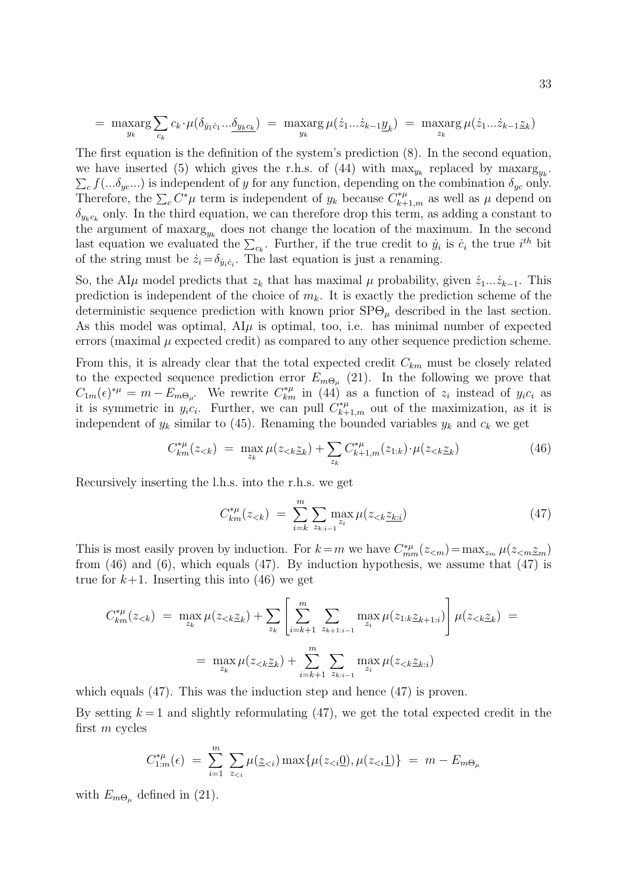$$
= \max_{y_k} \sum_{c_k} c_k \cdot \mu(\delta_{y_1 \dot{c}_1} \dots \delta_{y_k \dot{c}_k}) = \max_{y_k} \mu(\dot{z}_1 \dots \dot{z}_{k-1} \underline{y}_k) = \max_{z_k} \mu(\dot{z}_1 \dots \dot{z}_{k-1} \underline{z}_k)
$$

The first equation is the definition of the system's prediction (8). In the second equation, we have inserted (5) which gives the r.h.s. of (44) with  $\max_{y_k}$  replaced by  $\max_{y_k}$ .  $\sum_{c} f(...\delta_{yc}...)$  is independent of y for any function, depending on the combination  $\delta_{yc}$  only. Therefore, the  $\sum_{c} C^* \mu$  term is independent of  $y_k$  because  $C^{*\mu}_{k+1,m}$  as well as  $\mu$  depend on  $\delta_{y_kc_k}$  only. In the third equation, we can therefore drop this term, as adding a constant to the argument of  $\max_{y_k}$  does not change the location of the maximum. In the second last equation we evaluated the  $\sum_{c_k}$ . Further, if the true credit to  $\dot{y}_i$  is  $\dot{c}_i$  the true  $i^{th}$  bit of the string must be  $\dot{z}_i = \delta_{\dot{y}_i \dot{c}_i}$ . The last equation is just a renaming.

So, the AIµ model predicts that  $z_k$  that has maximal  $\mu$  probability, given  $\dot{z}_1...\dot{z}_{k-1}$ . This prediction is independent of the choice of  $m_k$ . It is exactly the prediction scheme of the deterministic sequence prediction with known prior  $\text{SP}\Theta_\mu$  described in the last section. As this model was optimal,  $\Delta I\mu$  is optimal, too, i.e. has minimal number of expected errors (maximal  $\mu$  expected credit) as compared to any other sequence prediction scheme.

From this, it is already clear that the total expected credit  $C_{km}$  must be closely related to the expected sequence prediction error  $E_{m\Theta_{\mu}}(21)$ . In the following we prove that  $C_{1m}(\epsilon)^{*\mu} = m - E_{m\Theta_{\mu}}$ . We rewrite  $C_{km}^{*\mu}$  in (44) as a function of  $z_i$  instead of  $y_i c_i$  as it is symmetric in  $y_i c_i$ . Further, we can pull  $C_{k+1,m}^{*\mu}$  out of the maximization, as it is independent of  $y_k$  similar to (45). Renaming the bounded variables  $y_k$  and  $c_k$  we get

$$
C_{km}^{*\mu}(z_{< k}) = \max_{z_k} \mu(z_{< k} z_k) + \sum_{z_k} C_{k+1,m}^{*\mu}(z_{1:k}) \cdot \mu(z_{< k} z_k) \tag{46}
$$

Recursively inserting the l.h.s. into the r.h.s. we get

$$
C_{km}^{*\mu}(z_{< k}) = \sum_{i=k}^{m} \sum_{z_{k:i-1}} \max_{z_i} \mu(z_{< k} \underline{z_{k:i}}) \tag{47}
$$

This is most easily proven by induction. For  $k=m$  we have  $C_{mm}^{*\mu}(z_{$ from  $(46)$  and  $(6)$ , which equals  $(47)$ . By induction hypothesis, we assume that  $(47)$  is true for  $k+1$ . Inserting this into (46) we get

$$
C_{km}^{*\mu}(z_{< k}) = \max_{z_k} \mu(z_{< k} z_k) + \sum_{z_k} \left[ \sum_{i=k+1}^m \sum_{z_{k+1:i-1}} \max_{z_i} \mu(z_{1:k} z_{k+1:i}) \right] \mu(z_{< k} z_k) =
$$

$$
= \max_{z_k} \mu(z_{< k} z_k) + \sum_{i=k+1}^m \sum_{z_{k:i-1}} \max_{z_i} \mu(z_{< k} z_{k:i})
$$

which equals (47). This was the induction step and hence (47) is proven.

By setting  $k = 1$  and slightly reformulating (47), we get the total expected credit in the first m cycles

$$
C_{1:m}^{*\mu}(\epsilon) = \sum_{i=1}^{m} \sum_{z_{< i}} \mu(\underline{z}_{< i}) \max\{\mu(z_{< i}\underline{0}), \mu(z_{< i}\underline{1})\} = m - E_{m\Theta_{\mu}}
$$

with  $E_{m\Theta_{\mu}}$  defined in (21).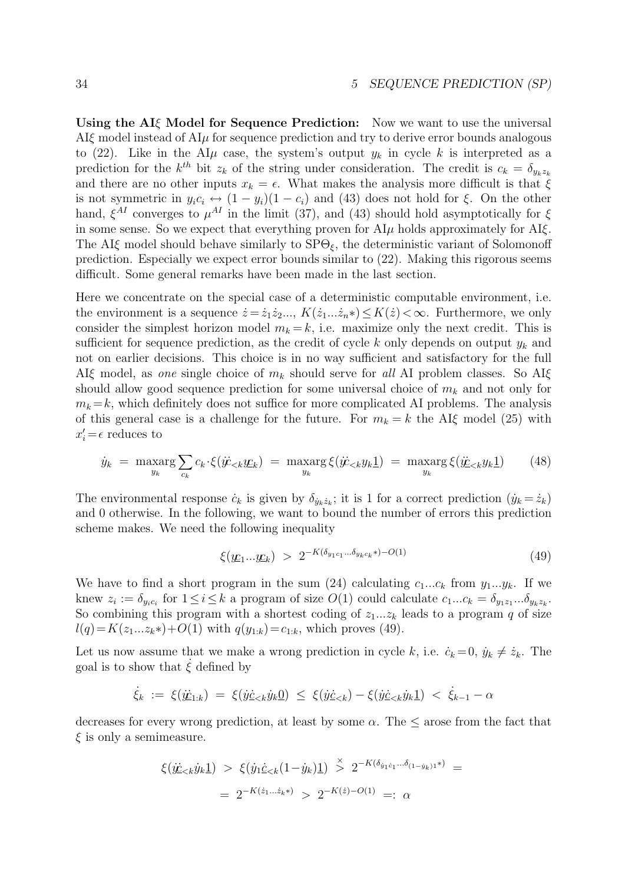Using the AI<sub>5</sub> Model for Sequence Prediction: Now we want to use the universal AI $\xi$  model instead of  $\text{Al}\mu$  for sequence prediction and try to derive error bounds analogous to (22). Like in the AI $\mu$  case, the system's output  $y_k$  in cycle k is interpreted as a prediction for the  $k^{th}$  bit  $z_k$  of the string under consideration. The credit is  $c_k = \delta_{y_k z_k}$ and there are no other inputs  $x_k = \epsilon$ . What makes the analysis more difficult is that  $\xi$ is not symmetric in  $y_i c_i \leftrightarrow (1 - y_i)(1 - c_i)$  and (43) does not hold for  $\xi$ . On the other hand,  $\xi^{AI}$  converges to  $\mu^{AI}$  in the limit (37), and (43) should hold asymptotically for  $\xi$ in some sense. So we expect that everything proven for  $AI\mu$  holds approximately for  $AI\xi$ . The AI $\xi$  model should behave similarly to  $SP\Theta_{\xi}$ , the deterministic variant of Solomonoff prediction. Especially we expect error bounds similar to (22). Making this rigorous seems difficult. Some general remarks have been made in the last section.

Here we concentrate on the special case of a deterministic computable environment, i.e. the environment is a sequence  $\dot{z} = \dot{z}_1 \dot{z}_2 ...$ ,  $K(\dot{z}_1...\dot{z}_n*) \leq K(\dot{z}) < \infty$ . Furthermore, we only consider the simplest horizon model  $m_k = k$ , i.e. maximize only the next credit. This is sufficient for sequence prediction, as the credit of cycle k only depends on output  $y_k$  and not on earlier decisions. This choice is in no way sufficient and satisfactory for the full AIξ model, as one single choice of  $m_k$  should serve for all AI problem classes. So AIξ should allow good sequence prediction for some universal choice of  $m_k$  and not only for  $m_k = k$ , which definitely does not suffice for more complicated AI problems. The analysis of this general case is a challenge for the future. For  $m_k = k$  the AI $\xi$  model (25) with  $x'_i = \epsilon$  reduces to

$$
\dot{y}_k = \max_{y_k} \sum_{c_k} c_k \cdot \xi(\dot{y} \cdot \xi(\dot{y} \cdot \xi \cdot \xi)) = \max_{y_k} \xi(\dot{y} \cdot \xi \cdot \xi \cdot \xi \cdot \xi) = \max_{y_k} \xi(\dot{y} \cdot \xi \cdot \xi \cdot \xi \cdot \xi) \tag{48}
$$

The environmental response  $\dot{c}_k$  is given by  $\delta_{\dot{y}_k\dot{z}_k}$ ; it is 1 for a correct prediction  $(\dot{y}_k = \dot{z}_k)$ and 0 otherwise. In the following, we want to bound the number of errors this prediction scheme makes. We need the following inequality

$$
\xi(\underline{y_1}...\underline{y_k}) > 2^{-K(\delta_{y_1c_1}...\delta_{y_kc_k}) - O(1)}
$$
\n(49)

We have to find a short program in the sum (24) calculating  $c_1...c_k$  from  $y_1...y_k$ . If we knew  $z_i := \delta_{y_i c_i}$  for  $1 \leq i \leq k$  a program of size  $O(1)$  could calculate  $c_1...c_k = \delta_{y_1 z_1}...\delta_{y_k z_k}$ . So combining this program with a shortest coding of  $z_1...z_k$  leads to a program q of size  $l(q) = K(z_1...z_k*)+O(1)$  with  $q(y_{1:k})=c_{1:k}$ , which proves (49).

Let us now assume that we make a wrong prediction in cycle k, i.e.  $\dot{c}_k = 0$ ,  $\dot{y}_k \neq \dot{z}_k$ . The goal is to show that  $\xi$  defined by

$$
\dot{\xi}_k := \xi(\dot{y}\dot{\zeta}_{1:k}) = \xi(\dot{y}\dot{\zeta}_{< k}\dot{y}_k\underline{0}) \leq \xi(\dot{y}\dot{\zeta}_{< k}) - \xi(\dot{y}\dot{\zeta}_{< k}\dot{y}_k\underline{1}) < \dot{\xi}_{k-1} - \alpha
$$

decreases for every wrong prediction, at least by some  $\alpha$ . The  $\leq$  arose from the fact that  $\xi$  is only a semimeasure.

$$
\xi(\dot{y}\dot{\underline{c}}_{< k}\dot{y}_k \underline{1}) > \xi(\dot{y}_1 \dot{\underline{c}}_{< k}(1 - \dot{y}_k) \underline{1}) \overset{\times}{>} 2^{-K(\delta_{\dot{y}_1 \dot{c}_1} \dots \delta_{(1 - \dot{y}_k)1^*})} =
$$
  
= 2^{-K(\dot{z}\_1 \dots \dot{z}\_k\*)} > 2^{-K(\dot{z}) - O(1)} =: \alpha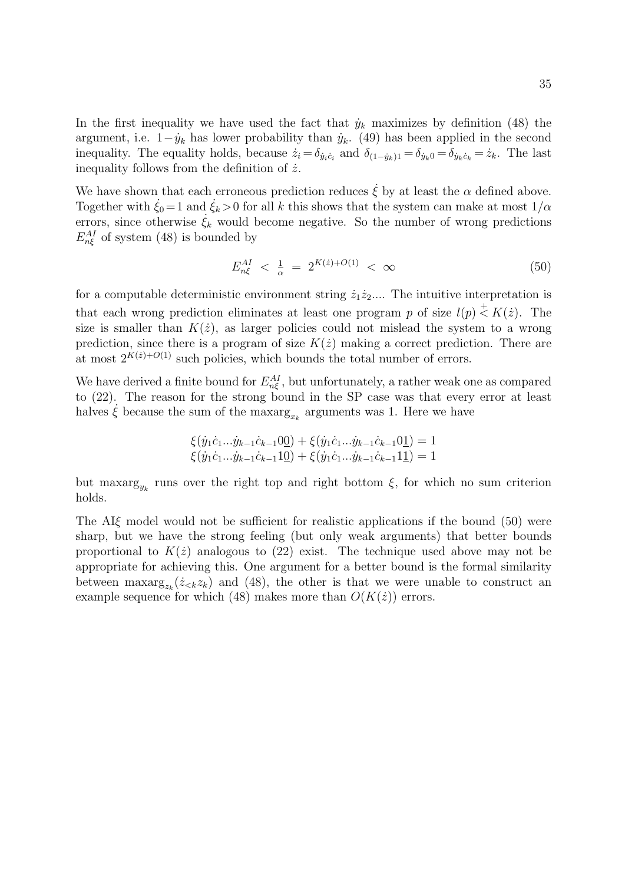In the first inequality we have used the fact that  $\dot{y}_k$  maximizes by definition (48) the argument, i.e.  $1-\dot{y}_k$  has lower probability than  $\dot{y}_k$ . (49) has been applied in the second inequality. The equality holds, because  $\dot{z}_i = \delta_{\dot{y}_i \dot{c}_i}$  and  $\delta_{(1-\dot{y}_k)1} = \delta_{\dot{y}_k \dot{c}_k} = \dot{z}_k$ . The last inequality follows from the definition of  $\dot{z}$ .

We have shown that each erroneous prediction reduces  $\dot{\xi}$  by at least the  $\alpha$  defined above. Together with  $\xi_0 = 1$  and  $\xi_k > 0$  for all k this shows that the system can make at most  $1/\alpha$ errors, since otherwise  $\dot{\xi}_k$  would become negative. So the number of wrong predictions  $E_{n\xi}^{AI}$  of system (48) is bounded by

$$
E_{n\xi}^{AI} < \frac{1}{\alpha} = 2^{K(z) + O(1)} < \infty \tag{50}
$$

for a computable deterministic environment string  $\dot{z}_1 \dot{z}_2$ .... The intuitive interpretation is that each wrong prediction eliminates at least one program p of size  $l(p) \stackrel{+}{\leq} K(\dot{z})$ . The size is smaller than  $K(\dot{z})$ , as larger policies could not mislead the system to a wrong prediction, since there is a program of size  $K(z)$  making a correct prediction. There are at most  $2^{K(z)+O(1)}$  such policies, which bounds the total number of errors.

We have derived a finite bound for  $E_{n\xi}^{AI}$ , but unfortunately, a rather weak one as compared to (22). The reason for the strong bound in the SP case was that every error at least halves  $\dot{\xi}$  because the sum of the maxarg<sub>xk</sub> arguments was 1. Here we have

$$
\xi(\dot{y}_1\dot{c}_1...\dot{y}_{k-1}\dot{c}_{k-1}0\underline{0}) + \xi(\dot{y}_1\dot{c}_1...\dot{y}_{k-1}\dot{c}_{k-1}0\underline{1}) = 1 \xi(\dot{y}_1\dot{c}_1...\dot{y}_{k-1}\dot{c}_{k-1}1\underline{0}) + \xi(\dot{y}_1\dot{c}_1...\dot{y}_{k-1}\dot{c}_{k-1}1\underline{1}) = 1
$$

but maxarg<sub>yk</sub> runs over the right top and right bottom  $\xi$ , for which no sum criterion holds.

The AI $\xi$  model would not be sufficient for realistic applications if the bound (50) were sharp, but we have the strong feeling (but only weak arguments) that better bounds proportional to  $K(\dot{z})$  analogous to (22) exist. The technique used above may not be appropriate for achieving this. One argument for a better bound is the formal similarity between  $\max_{z_k}(z_{ and (48), the other is that we were unable to construct an$ example sequence for which (48) makes more than  $O(K(\dot{z}))$  errors.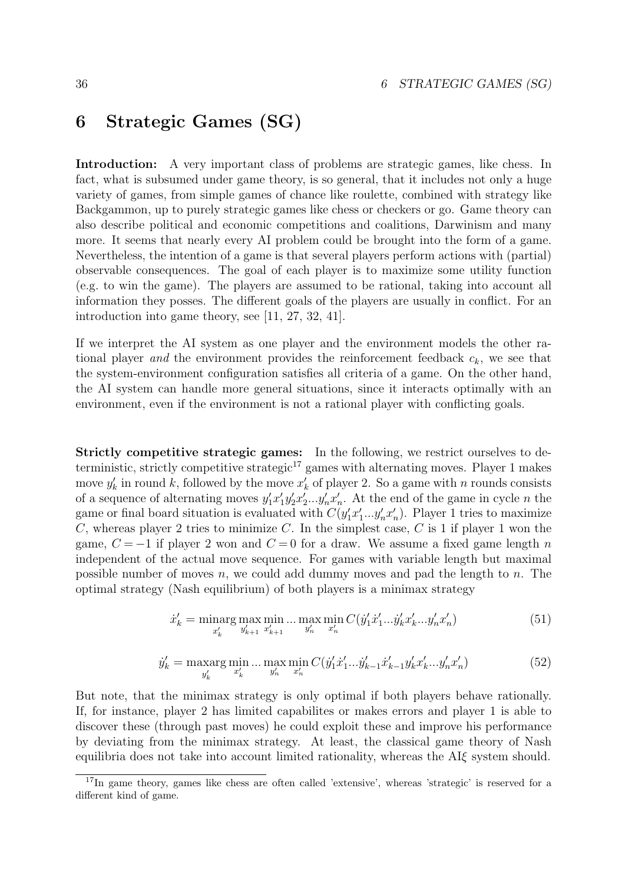### 6 Strategic Games (SG)

Introduction: A very important class of problems are strategic games, like chess. In fact, what is subsumed under game theory, is so general, that it includes not only a huge variety of games, from simple games of chance like roulette, combined with strategy like Backgammon, up to purely strategic games like chess or checkers or go. Game theory can also describe political and economic competitions and coalitions, Darwinism and many more. It seems that nearly every AI problem could be brought into the form of a game. Nevertheless, the intention of a game is that several players perform actions with (partial) observable consequences. The goal of each player is to maximize some utility function (e.g. to win the game). The players are assumed to be rational, taking into account all information they posses. The different goals of the players are usually in conflict. For an introduction into game theory, see [11, 27, 32, 41].

If we interpret the AI system as one player and the environment models the other rational player and the environment provides the reinforcement feedback  $c_k$ , we see that the system-environment configuration satisfies all criteria of a game. On the other hand, the AI system can handle more general situations, since it interacts optimally with an environment, even if the environment is not a rational player with conflicting goals.

Strictly competitive strategic games: In the following, we restrict ourselves to deterministic, strictly competitive strategic $17$  games with alternating moves. Player 1 makes move  $y'_k$  in round k, followed by the move  $x'_k$  of player 2. So a game with n rounds consists of a sequence of alternating moves  $y_1' x_1' y_2' x_2' \dots y_n' x_n'$ . At the end of the game in cycle n the game or final board situation is evaluated with  $C(y_1'x_1'...y_n'x_n')$ . Player 1 tries to maximize C, whereas player 2 tries to minimize C. In the simplest case, C is 1 if player 1 won the game,  $C = -1$  if player 2 won and  $C = 0$  for a draw. We assume a fixed game length n independent of the actual move sequence. For games with variable length but maximal possible number of moves  $n$ , we could add dummy moves and pad the length to  $n$ . The optimal strategy (Nash equilibrium) of both players is a minimax strategy

$$
\dot{x}'_k = \min_{x'_k} \max_{y'_{k+1}} \min_{x'_{k+1}} \dots \max_{y'_n} \min_{x'_n} C(\dot{y}'_1 \dot{x}'_1 \dots \dot{y}'_k x'_k \dots y'_n x'_n) \tag{51}
$$

$$
\dot{y}'_k = \max_{y'_k} \min_{x'_k} \dots \max_{y'_n} \min_{x'_n} C(\dot{y}'_1 \dot{x}'_1 \dots \dot{y}'_{k-1} \dot{x}'_{k-1} y'_k x'_k \dots y'_n x'_n) \tag{52}
$$

But note, that the minimax strategy is only optimal if both players behave rationally. If, for instance, player 2 has limited capabilites or makes errors and player 1 is able to discover these (through past moves) he could exploit these and improve his performance by deviating from the minimax strategy. At least, the classical game theory of Nash equilibria does not take into account limited rationality, whereas the AIξ system should.

<sup>&</sup>lt;sup>17</sup>In game theory, games like chess are often called 'extensive', whereas 'strategic' is reserved for a different kind of game.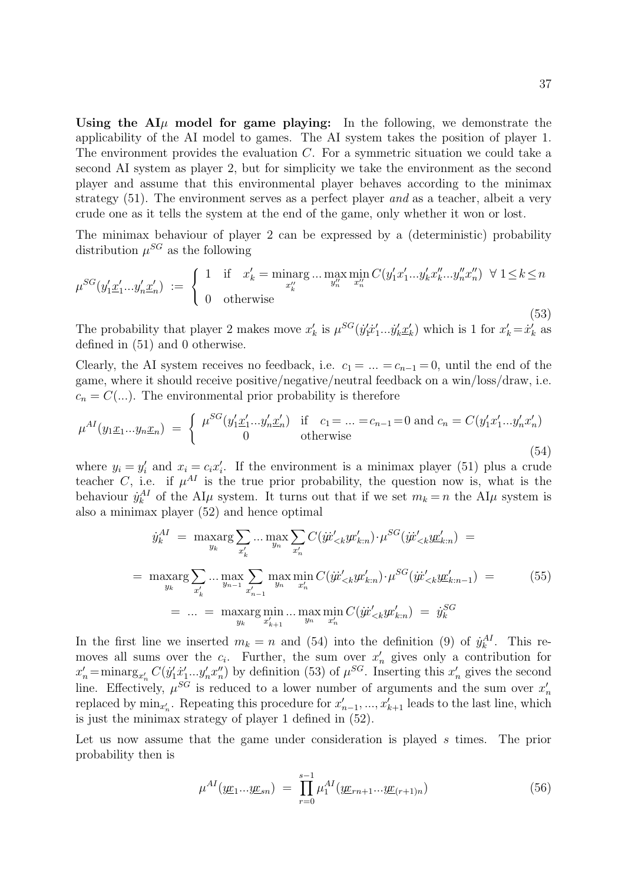Using the  $\mathbf{A}I\mu$  model for game playing: In the following, we demonstrate the applicability of the AI model to games. The AI system takes the position of player 1. The environment provides the evaluation C. For a symmetric situation we could take a second AI system as player 2, but for simplicity we take the environment as the second player and assume that this environmental player behaves according to the minimax strategy (51). The environment serves as a perfect player and as a teacher, albeit a very crude one as it tells the system at the end of the game, only whether it won or lost.

The minimax behaviour of player 2 can be expressed by a (deterministic) probability distribution  $\mu^{SG}$  as the following

$$
\mu^{SG}(y'_1\underline{x}'_1...\overline{y}'_n\underline{x}'_n) \ := \ \left\{ \begin{array}{ll} 1 & \text{if} \quad x'_k = \underset{x''_k}{\min}\, \underset{y''_n}{\max}\, \underset{x''_n}{\min}\, C(y'_1x'_1...y'_kx''_k...y''_n x''_n) \ \ \forall \, 1 \leq k \leq n \\ 0 & \text{otherwise} \end{array} \right.
$$

(53) The probability that player 2 makes move  $x'_k$  is  $\mu^{SG}(\dot{y}'_1\dot{x}'_1...\dot{y}'_k\underline{x}'_k)$  which is 1 for  $x'_k = \dot{x}'_k$  as defined in (51) and 0 otherwise.

Clearly, the AI system receives no feedback, i.e.  $c_1 = ... = c_{n-1} = 0$ , until the end of the game, where it should receive positive/negative/neutral feedback on a win/loss/draw, i.e.  $c_n = C(...)$ . The environmental prior probability is therefore

$$
\mu^{AI}(y_1 \underline{x}_1 ... y_n \underline{x}_n) = \begin{cases} \mu^{SG}(y'_1 \underline{x}'_1 ... y'_n \underline{x}'_n) & \text{if } c_1 = ... = c_{n-1} = 0 \text{ and } c_n = C(y'_1 x'_1 ... y'_n x'_n) \\ 0 & \text{otherwise} \end{cases}
$$
(54)

where  $y_i = y'_i$  and  $x_i = c_i x'_i$ . If the environment is a minimax player (51) plus a crude teacher C, i.e. if  $\mu^{AI}$  is the true prior probability, the question now is, what is the behaviour  $\dot{y}_k^{AI}$  of the AI $\mu$  system. It turns out that if we set  $m_k = n$  the AI $\mu$  system is also a minimax player (52) and hence optimal

$$
\dot{y}_{k}^{AI} = \max_{y_{k}} \arg \sum_{x'_{k}} ... \max_{y_{n}} \sum_{x'_{n}} C(\dot{y} \dot{x}'_{< k} y x'_{k:n}) \cdot \mu^{SG}(\dot{y} \dot{x}'_{< k} y x'_{k:n}) =
$$
\n
$$
= \max_{y_{k}} \arg \sum_{x'_{k}} ... \max_{y_{n-1}} \sum_{x'_{n-1}} \max_{y_{n}} \min_{x'_{n}} C(\dot{y} \dot{x}'_{< k} y x'_{k:n}) \cdot \mu^{SG}(\dot{y} \dot{x}'_{< k} y x'_{k:n-1}) =
$$
\n
$$
= ... = \max_{y_{k}} \arg \min_{x'_{k+1}} ... \max_{y_{n}} \min_{x'_{n}} C(\dot{y} \dot{x}'_{< k} y x'_{k:n}) = \dot{y}_{k}^{SG}
$$
\n(55)

In the first line we inserted  $m_k = n$  and (54) into the definition (9) of  $\dot{y}_k^{\dot{A}I}$ . This removes all sums over the  $c_i$ . Further, the sum over  $x'_n$  gives only a contribution for  $x'_n = \min \arg_{x'_n} C(\dot{y}'_1 \dot{x}'_1 ... y'_n x''_n)$  by definition (53) of  $\mu^{SG}$ . Inserting this  $x'_n$  gives the second line. Effectively,  $\mu^{SG}$  is reduced to a lower number of arguments and the sum over  $x'_n$ replaced by  $\min_{x'_n}$ . Repeating this procedure for  $x'_{n-1}, ..., x'_{k+1}$  leads to the last line, which is just the minimax strategy of player 1 defined in (52).

Let us now assume that the game under consideration is played  $s$  times. The prior probability then is

$$
\mu^{AI}(\underline{w}_1...\underline{w}_{sn}) = \prod_{r=0}^{s-1} \mu_1^{AI}(\underline{w}_{rn+1}...\underline{w}_{(r+1)n})
$$
\n(56)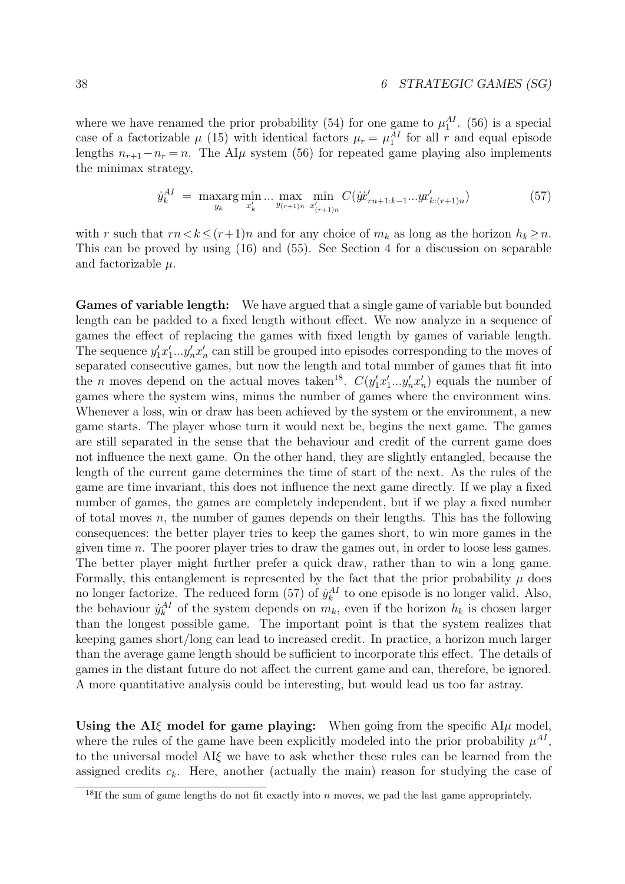where we have renamed the prior probability (54) for one game to  $\mu_1^{AI}$ . (56) is a special case of a factorizable  $\mu$  (15) with identical factors  $\mu_r = \mu_1^{AI}$  for all r and equal episode lengths  $n_{r+1}-n_r=n$ . The AI $\mu$  system (56) for repeated game playing also implements the minimax strategy,

$$
\dot{y}_k^{AI} = \max_{y_k} \min_{x'_k} \dots \max_{y_{(r+1)n}} \min_{x'_{(r+1)n}} C(\dot{y} \dot{x}'_{rn+1:k-1} \dots \dot{y} \dot{x}'_{k:(r+1)n}) \tag{57}
$$

with r such that  $rn < k \le (r+1)n$  and for any choice of  $m_k$  as long as the horizon  $h_k \ge n$ . This can be proved by using (16) and (55). See Section 4 for a discussion on separable and factorizable  $\mu$ .

Games of variable length: We have argued that a single game of variable but bounded length can be padded to a fixed length without effect. We now analyze in a sequence of games the effect of replacing the games with fixed length by games of variable length. The sequence  $y_1' x_1' \dots y_n' x_n'$  can still be grouped into episodes corresponding to the moves of separated consecutive games, but now the length and total number of games that fit into the *n* moves depend on the actual moves taken<sup>18</sup>.  $C(y_1'x_1'...y_n'x_n')$  equals the number of games where the system wins, minus the number of games where the environment wins. Whenever a loss, win or draw has been achieved by the system or the environment, a new game starts. The player whose turn it would next be, begins the next game. The games are still separated in the sense that the behaviour and credit of the current game does not influence the next game. On the other hand, they are slightly entangled, because the length of the current game determines the time of start of the next. As the rules of the game are time invariant, this does not influence the next game directly. If we play a fixed number of games, the games are completely independent, but if we play a fixed number of total moves  $n$ , the number of games depends on their lengths. This has the following consequences: the better player tries to keep the games short, to win more games in the given time n. The poorer player tries to draw the games out, in order to loose less games. The better player might further prefer a quick draw, rather than to win a long game. Formally, this entanglement is represented by the fact that the prior probability  $\mu$  does no longer factorize. The reduced form (57) of  $\dot{y}_k^{AI}$  to one episode is no longer valid. Also, the behaviour  $\dot{y}_k^{AI}$  of the system depends on  $m_k$ , even if the horizon  $h_k$  is chosen larger than the longest possible game. The important point is that the system realizes that keeping games short/long can lead to increased credit. In practice, a horizon much larger than the average game length should be sufficient to incorporate this effect. The details of games in the distant future do not affect the current game and can, therefore, be ignored. A more quantitative analysis could be interesting, but would lead us too far astray.

Using the AI $\xi$  model for game playing: When going from the specific AI $\mu$  model, where the rules of the game have been explicitly modeled into the prior probability  $\mu^{AI}$ , to the universal model AIξ we have to ask whether these rules can be learned from the assigned credits  $c_k$ . Here, another (actually the main) reason for studying the case of

<sup>&</sup>lt;sup>18</sup>If the sum of game lengths do not fit exactly into *n* moves, we pad the last game appropriately.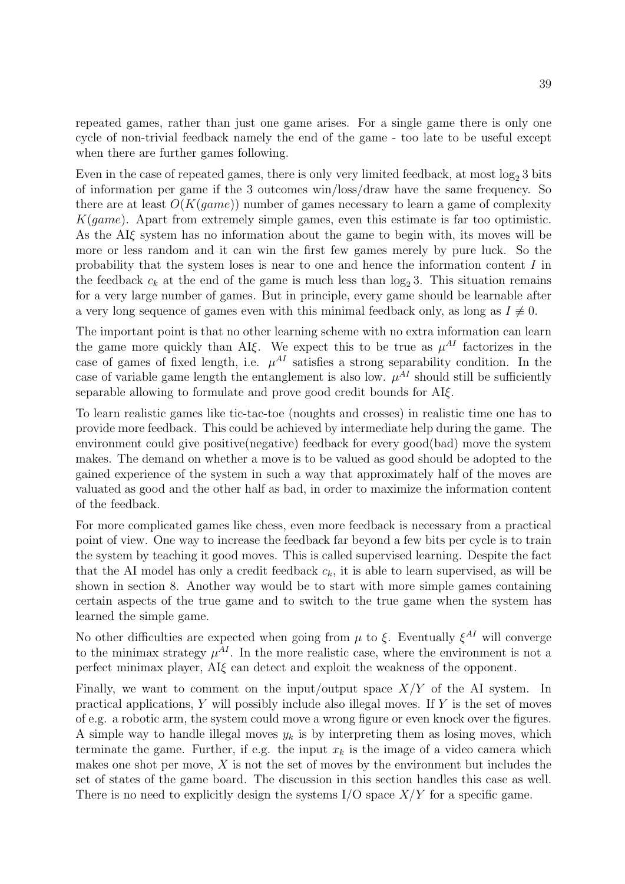repeated games, rather than just one game arises. For a single game there is only one cycle of non-trivial feedback namely the end of the game - too late to be useful except when there are further games following.

Even in the case of repeated games, there is only very limited feedback, at most  $log_2 3$  bits of information per game if the 3 outcomes win/loss/draw have the same frequency. So there are at least  $O(K(game))$  number of games necessary to learn a game of complexity  $K(game)$ . Apart from extremely simple games, even this estimate is far too optimistic. As the AI $\xi$  system has no information about the game to begin with, its moves will be more or less random and it can win the first few games merely by pure luck. So the probability that the system loses is near to one and hence the information content I in the feedback  $c_k$  at the end of the game is much less than  $log_2 3$ . This situation remains for a very large number of games. But in principle, every game should be learnable after a very long sequence of games even with this minimal feedback only, as long as  $I \neq 0$ .

The important point is that no other learning scheme with no extra information can learn the game more quickly than AI $\xi$ . We expect this to be true as  $\mu^{AI}$  factorizes in the case of games of fixed length, i.e.  $\mu^{AI}$  satisfies a strong separability condition. In the case of variable game length the entanglement is also low.  $\mu^{AI}$  should still be sufficiently separable allowing to formulate and prove good credit bounds for AIξ.

To learn realistic games like tic-tac-toe (noughts and crosses) in realistic time one has to provide more feedback. This could be achieved by intermediate help during the game. The environment could give positive(negative) feedback for every good(bad) move the system makes. The demand on whether a move is to be valued as good should be adopted to the gained experience of the system in such a way that approximately half of the moves are valuated as good and the other half as bad, in order to maximize the information content of the feedback.

For more complicated games like chess, even more feedback is necessary from a practical point of view. One way to increase the feedback far beyond a few bits per cycle is to train the system by teaching it good moves. This is called supervised learning. Despite the fact that the AI model has only a credit feedback  $c_k$ , it is able to learn supervised, as will be shown in section 8. Another way would be to start with more simple games containing certain aspects of the true game and to switch to the true game when the system has learned the simple game.

No other difficulties are expected when going from  $\mu$  to  $\xi$ . Eventually  $\xi^{AI}$  will converge to the minimax strategy  $\mu^{AI}$ . In the more realistic case, where the environment is not a perfect minimax player, AIξ can detect and exploit the weakness of the opponent.

Finally, we want to comment on the input/output space  $X/Y$  of the AI system. In practical applications,  $Y$  will possibly include also illegal moves. If  $Y$  is the set of moves of e.g. a robotic arm, the system could move a wrong figure or even knock over the figures. A simple way to handle illegal moves  $y_k$  is by interpreting them as losing moves, which terminate the game. Further, if e.g. the input  $x_k$  is the image of a video camera which makes one shot per move,  $X$  is not the set of moves by the environment but includes the set of states of the game board. The discussion in this section handles this case as well. There is no need to explicitly design the systems  $I/O$  space  $X/Y$  for a specific game.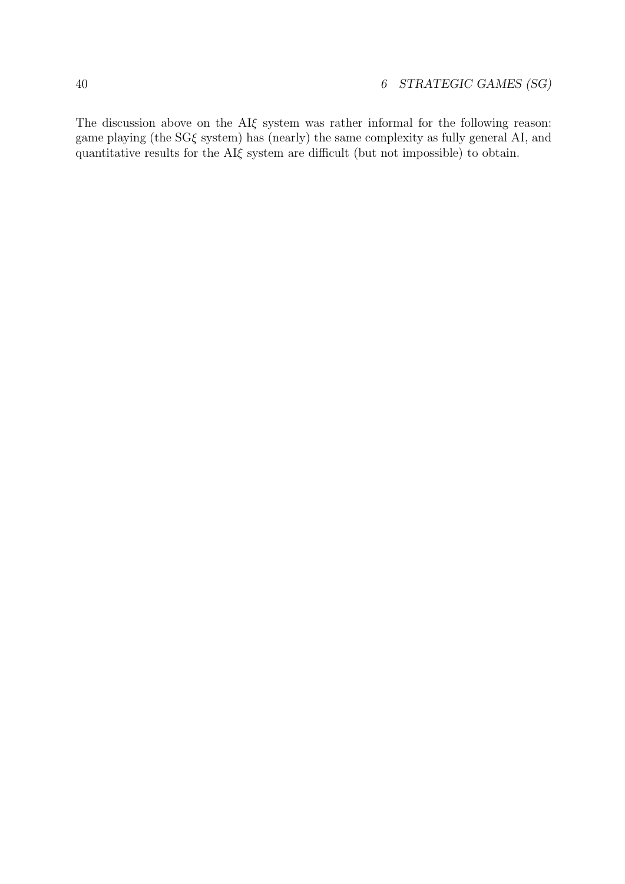The discussion above on the AI $\xi$  system was rather informal for the following reason: game playing (the SGξ system) has (nearly) the same complexity as fully general AI, and quantitative results for the AIξ system are difficult (but not impossible) to obtain.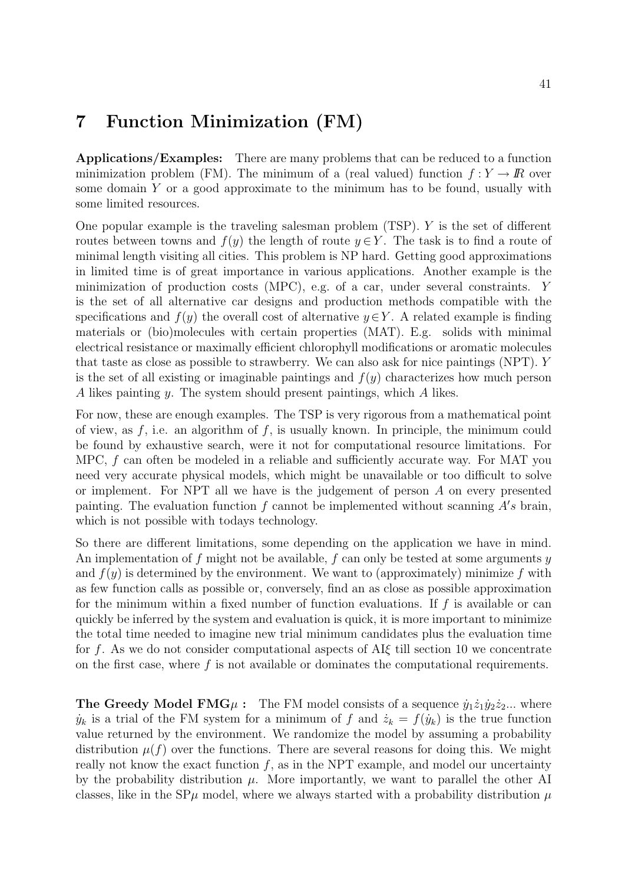### 7 Function Minimization (FM)

Applications/Examples: There are many problems that can be reduced to a function minimization problem (FM). The minimum of a (real valued) function  $f: Y \to \mathbb{R}$  over some domain  $Y$  or a good approximate to the minimum has to be found, usually with some limited resources.

One popular example is the traveling salesman problem (TSP). Y is the set of different routes between towns and  $f(y)$  the length of route  $y \in Y$ . The task is to find a route of minimal length visiting all cities. This problem is NP hard. Getting good approximations in limited time is of great importance in various applications. Another example is the minimization of production costs (MPC), e.g. of a car, under several constraints. Y is the set of all alternative car designs and production methods compatible with the specifications and  $f(y)$  the overall cost of alternative  $y \in Y$ . A related example is finding materials or (bio)molecules with certain properties (MAT). E.g. solids with minimal electrical resistance or maximally efficient chlorophyll modifications or aromatic molecules that taste as close as possible to strawberry. We can also ask for nice paintings (NPT). Y is the set of all existing or imaginable paintings and  $f(y)$  characterizes how much person A likes painting y. The system should present paintings, which A likes.

For now, these are enough examples. The TSP is very rigorous from a mathematical point of view, as  $f$ , i.e. an algorithm of  $f$ , is usually known. In principle, the minimum could be found by exhaustive search, were it not for computational resource limitations. For MPC, f can often be modeled in a reliable and sufficiently accurate way. For MAT you need very accurate physical models, which might be unavailable or too difficult to solve or implement. For NPT all we have is the judgement of person  $A$  on every presented painting. The evaluation function  $f$  cannot be implemented without scanning  $A's$  brain, which is not possible with todays technology.

So there are different limitations, some depending on the application we have in mind. An implementation of f might not be available, f can only be tested at some arguments  $y$ and  $f(y)$  is determined by the environment. We want to (approximately) minimize f with as few function calls as possible or, conversely, find an as close as possible approximation for the minimum within a fixed number of function evaluations. If  $f$  is available or can quickly be inferred by the system and evaluation is quick, it is more important to minimize the total time needed to imagine new trial minimum candidates plus the evaluation time for f. As we do not consider computational aspects of  $\Lambda I\xi$  till section 10 we concentrate on the first case, where  $f$  is not available or dominates the computational requirements.

**The Greedy Model FMG** $\mu$ : The FM model consists of a sequence  $\dot{y}_1 \dot{z}_1 \dot{y}_2 \dot{z}_2 ...$  where  $\dot{y}_k$  is a trial of the FM system for a minimum of f and  $\dot{z}_k = f(\dot{y}_k)$  is the true function value returned by the environment. We randomize the model by assuming a probability distribution  $\mu(f)$  over the functions. There are several reasons for doing this. We might really not know the exact function  $f$ , as in the NPT example, and model our uncertainty by the probability distribution  $\mu$ . More importantly, we want to parallel the other AI classes, like in the SP $\mu$  model, where we always started with a probability distribution  $\mu$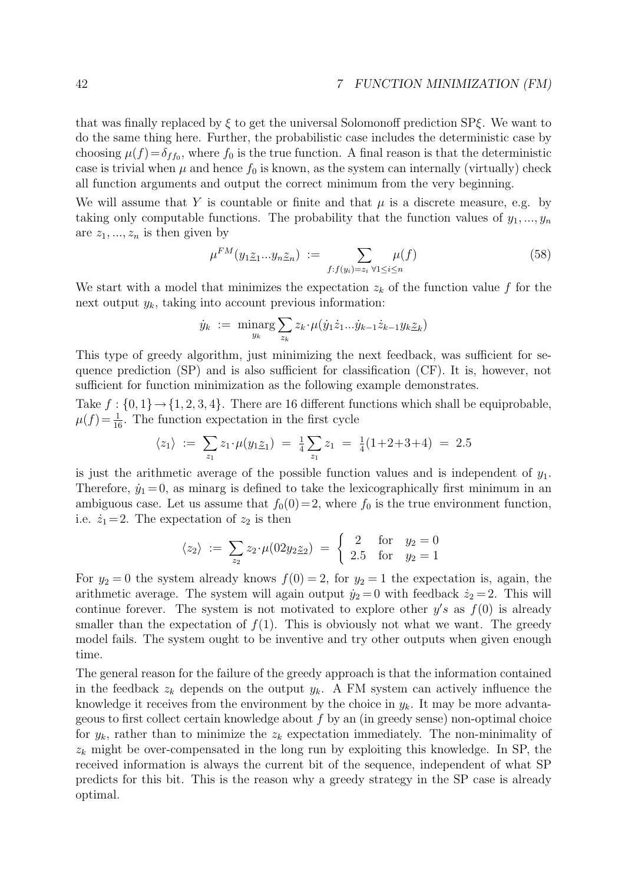that was finally replaced by  $\xi$  to get the universal Solomonoff prediction SP $\xi$ . We want to do the same thing here. Further, the probabilistic case includes the deterministic case by choosing  $\mu(f) = \delta_{ff_0}$ , where  $f_0$  is the true function. A final reason is that the deterministic case is trivial when  $\mu$  and hence  $f_0$  is known, as the system can internally (virtually) check all function arguments and output the correct minimum from the very beginning.

We will assume that Y is countable or finite and that  $\mu$  is a discrete measure, e.g. by taking only computable functions. The probability that the function values of  $y_1, \ldots, y_n$ are  $z_1, ..., z_n$  is then given by

$$
\mu^{FM}(y_1 \underline{z}_1 \dots y_n \underline{z}_n) := \sum_{f: f(y_i) = z_i \,\forall 1 \le i \le n} \mu(f) \tag{58}
$$

We start with a model that minimizes the expectation  $z_k$  of the function value f for the next output  $y_k$ , taking into account previous information:

$$
\dot{y}_k := \min_{y_k} \sum_{z_k} z_k \cdot \mu(\dot{y}_1 \dot{z}_1 \dots \dot{y}_{k-1} \dot{z}_{k-1} y_k \underline{z}_k)
$$

This type of greedy algorithm, just minimizing the next feedback, was sufficient for sequence prediction (SP) and is also sufficient for classification (CF). It is, however, not sufficient for function minimization as the following example demonstrates.

Take  $f : \{0,1\} \rightarrow \{1,2,3,4\}$ . There are 16 different functions which shall be equiprobable,  $\mu(f) = \frac{1}{16}$ . The function expectation in the first cycle

$$
\langle z_1 \rangle := \sum_{z_1} z_1 \cdot \mu(y_1 \underline{z}_1) = \frac{1}{4} \sum_{z_1} z_1 = \frac{1}{4} (1 + 2 + 3 + 4) = 2.5
$$

is just the arithmetic average of the possible function values and is independent of  $y_1$ . Therefore,  $\dot{y}_1 = 0$ , as minarg is defined to take the lexicographically first minimum in an ambiguous case. Let us assume that  $f_0(0)=2$ , where  $f_0$  is the true environment function, i.e.  $\dot{z}_1 = 2$ . The expectation of  $z_2$  is then

$$
\langle z_2 \rangle := \sum_{z_2} z_2 \cdot \mu(02y_2z_2) = \begin{cases} 2 & \text{for } y_2 = 0 \\ 2.5 & \text{for } y_2 = 1 \end{cases}
$$

For  $y_2 = 0$  the system already knows  $f(0) = 2$ , for  $y_2 = 1$  the expectation is, again, the arithmetic average. The system will again output  $\dot{y}_2 = 0$  with feedback  $\dot{z}_2 = 2$ . This will continue forever. The system is not motivated to explore other  $y's$  as  $f(0)$  is already smaller than the expectation of  $f(1)$ . This is obviously not what we want. The greedy model fails. The system ought to be inventive and try other outputs when given enough time.

The general reason for the failure of the greedy approach is that the information contained in the feedback  $z_k$  depends on the output  $y_k$ . A FM system can actively influence the knowledge it receives from the environment by the choice in  $y_k$ . It may be more advantageous to first collect certain knowledge about  $f$  by an (in greedy sense) non-optimal choice for  $y_k$ , rather than to minimize the  $z_k$  expectation immediately. The non-minimality of  $z_k$  might be over-compensated in the long run by exploiting this knowledge. In SP, the received information is always the current bit of the sequence, independent of what SP predicts for this bit. This is the reason why a greedy strategy in the SP case is already optimal.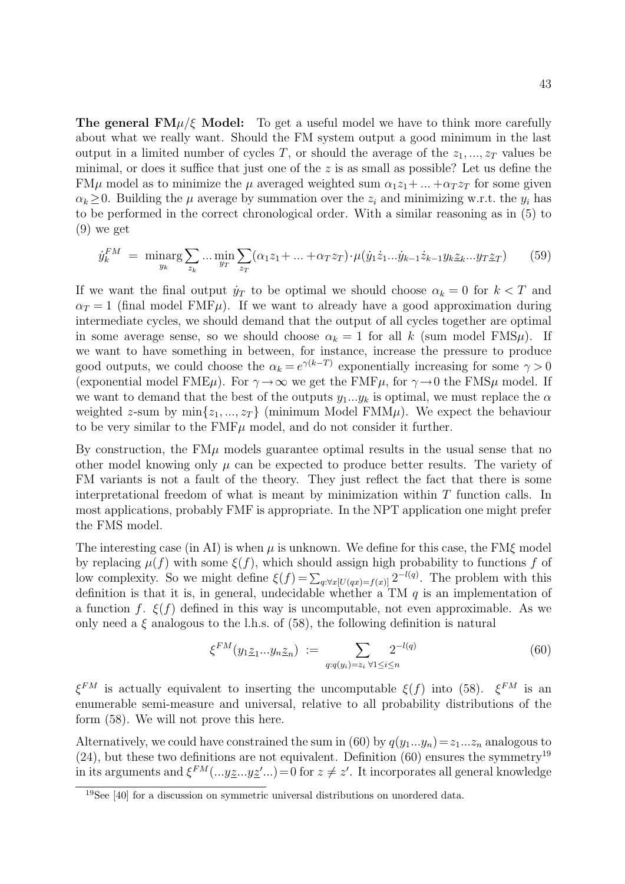**The general FM** $\mu/\xi$  Model: To get a useful model we have to think more carefully about what we really want. Should the FM system output a good minimum in the last output in a limited number of cycles T, or should the average of the  $z_1, ..., z_T$  values be minimal, or does it suffice that just one of the  $z$  is as small as possible? Let us define the FM $\mu$  model as to minimize the  $\mu$  averaged weighted sum  $\alpha_1 z_1 + ... + \alpha_T z_T$  for some given  $\alpha_k \geq 0$ . Building the  $\mu$  average by summation over the  $z_i$  and minimizing w.r.t. the  $y_i$  has to be performed in the correct chronological order. With a similar reasoning as in (5) to (9) we get

$$
\dot{y}_k^{FM} = \min_{y_k} \sum_{z_k} \dots \min_{y_T} \sum_{z_T} (\alpha_1 z_1 + \dots + \alpha_T z_T) \cdot \mu(\dot{y}_1 \dot{z}_1 \dots \dot{y}_{k-1} \dot{z}_{k-1} y_k \underline{z}_k \dots y_T \underline{z}_T)
$$
(59)

If we want the final output  $\dot{y}_T$  to be optimal we should choose  $\alpha_k = 0$  for  $k < T$  and  $\alpha_T = 1$  (final model FMF $\mu$ ). If we want to already have a good approximation during intermediate cycles, we should demand that the output of all cycles together are optimal in some average sense, so we should choose  $\alpha_k = 1$  for all k (sum model FMS $\mu$ ). If we want to have something in between, for instance, increase the pressure to produce good outputs, we could choose the  $\alpha_k = e^{\gamma(k-T)}$  exponentially increasing for some  $\gamma > 0$ (exponential model FME $\mu$ ). For  $\gamma \rightarrow \infty$  we get the FMF $\mu$ , for  $\gamma \rightarrow 0$  the FMS $\mu$  model. If we want to demand that the best of the outputs  $y_1...y_k$  is optimal, we must replace the  $\alpha$ weighted z-sum by  $\min\{z_1, ..., z_T\}$  (minimum Model FMM $\mu$ ). We expect the behaviour to be very similar to the  $FMF\mu$  model, and do not consider it further.

By construction, the  $FM\mu$  models guarantee optimal results in the usual sense that no other model knowing only  $\mu$  can be expected to produce better results. The variety of FM variants is not a fault of the theory. They just reflect the fact that there is some interpretational freedom of what is meant by minimization within T function calls. In most applications, probably FMF is appropriate. In the NPT application one might prefer the FMS model.

The interesting case (in AI) is when  $\mu$  is unknown. We define for this case, the FM $\xi$  model by replacing  $\mu(f)$  with some  $\xi(f)$ , which should assign high probability to functions f of low complexity. So we might define  $\xi(f) = \sum_{q: \forall x [U(qx) = f(x)]} 2^{-l(q)}$ . The problem with this definition is that it is, in general, undecidable whether a TM  $q$  is an implementation of a function f.  $\xi(f)$  defined in this way is uncomputable, not even approximable. As we only need a  $\xi$  analogous to the l.h.s. of (58), the following definition is natural

$$
\xi^{FM}(y_1 z_1 ... y_n z_n) := \sum_{q: q(y_i) = z_i \,\forall 1 \le i \le n} 2^{-l(q)} \tag{60}
$$

 $\xi^{FM}$  is actually equivalent to inserting the uncomputable  $\xi(f)$  into (58).  $\xi^{FM}$  is an enumerable semi-measure and universal, relative to all probability distributions of the form (58). We will not prove this here.

Alternatively, we could have constrained the sum in (60) by  $q(y_1...y_n)=z_1...z_n$  analogous to  $(24)$ , but these two definitions are not equivalent. Definition  $(60)$  ensures the symmetry<sup>19</sup> in its arguments and  $\xi^{FM}(...yz...yz'...) = 0$  for  $z \neq z'$ . It incorporates all general knowledge

<sup>19</sup>See [40] for a discussion on symmetric universal distributions on unordered data.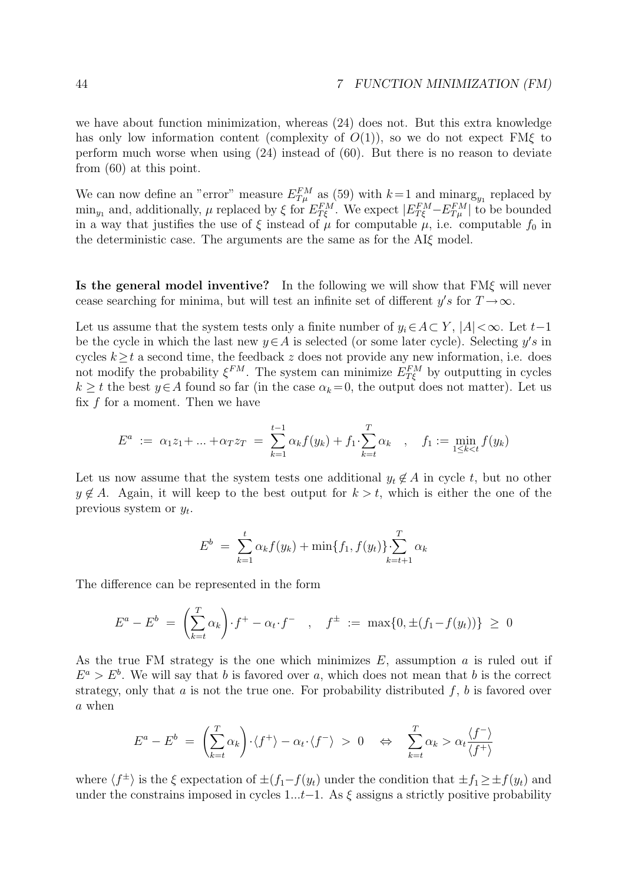we have about function minimization, whereas (24) does not. But this extra knowledge has only low information content (complexity of  $O(1)$ ), so we do not expect FM $\xi$  to perform much worse when using (24) instead of (60). But there is no reason to deviate from (60) at this point.

We can now define an "error" measure  $E_{T\mu}^{FM}$  as (59) with  $k=1$  and minarg<sub>y<sub>1</sub></sub> replaced by  $\min_{y_1}$  and, additionally,  $\mu$  replaced by  $\xi$  for  $E_{T\xi}^{FM}$ . We expect  $|E_{T\xi}^{FM}-E_{T\mu}^{FM}|$  to be bounded in a way that justifies the use of  $\xi$  instead of  $\mu$  for computable  $\mu$ , i.e. computable  $f_0$  in the deterministic case. The arguments are the same as for the AIξ model.

Is the general model inventive? In the following we will show that  $FM\xi$  will never cease searching for minima, but will test an infinite set of different  $y's$  for  $T \rightarrow \infty$ .

Let us assume that the system tests only a finite number of  $y_i \in A \subset Y$ ,  $|A| < \infty$ . Let  $t-1$ be the cycle in which the last new  $y \in A$  is selected (or some later cycle). Selecting  $y's$  in cycles  $k \geq t$  a second time, the feedback z does not provide any new information, i.e. does not modify the probability  $\xi^{FM}$ . The system can minimize  $E_{T\xi}^{FM}$  by outputting in cycles  $k \geq t$  the best  $y \in A$  found so far (in the case  $\alpha_k = 0$ , the output does not matter). Let us fix  $f$  for a moment. Then we have

$$
E^{a} := \alpha_1 z_1 + \dots + \alpha_T z_T = \sum_{k=1}^{t-1} \alpha_k f(y_k) + f_1 \cdot \sum_{k=t}^{T} \alpha_k , \quad f_1 := \min_{1 \le k < t} f(y_k)
$$

Let us now assume that the system tests one additional  $y_t \notin A$  in cycle t, but no other  $y \notin A$ . Again, it will keep to the best output for  $k > t$ , which is either the one of the previous system or  $y_t$ .

$$
E^{b} = \sum_{k=1}^{t} \alpha_{k} f(y_{k}) + \min\{f_{1}, f(y_{t})\} \cdot \sum_{k=t+1}^{T} \alpha_{k}
$$

The difference can be represented in the form

$$
E^{a} - E^{b} = \left(\sum_{k=t}^{T} \alpha_{k}\right) \cdot f^{+} - \alpha_{t} \cdot f^{-} \quad , \quad f^{\pm} := \max\{0, \pm(f_{1} - f(y_{t}))\} \ge 0
$$

As the true FM strategy is the one which minimizes  $E$ , assumption  $a$  is ruled out if  $E^a > E^b$ . We will say that b is favored over a, which does not mean that b is the correct strategy, only that a is not the true one. For probability distributed  $f, b$  is favored over a when

$$
E^{a} - E^{b} = \left(\sum_{k=t}^{T} \alpha_{k}\right) \cdot \langle f^{+} \rangle - \alpha_{t} \cdot \langle f^{-} \rangle > 0 \quad \Leftrightarrow \quad \sum_{k=t}^{T} \alpha_{k} > \alpha_{t} \frac{\langle f^{-} \rangle}{\langle f^{+} \rangle}
$$

where  $\langle f^{\pm} \rangle$  is the  $\xi$  expectation of  $\pm(f_1-f(y_t))$  under the condition that  $\pm f_1 \geq \pm f(y_t)$  and under the constrains imposed in cycles  $1...t-1$ . As  $\xi$  assigns a strictly positive probability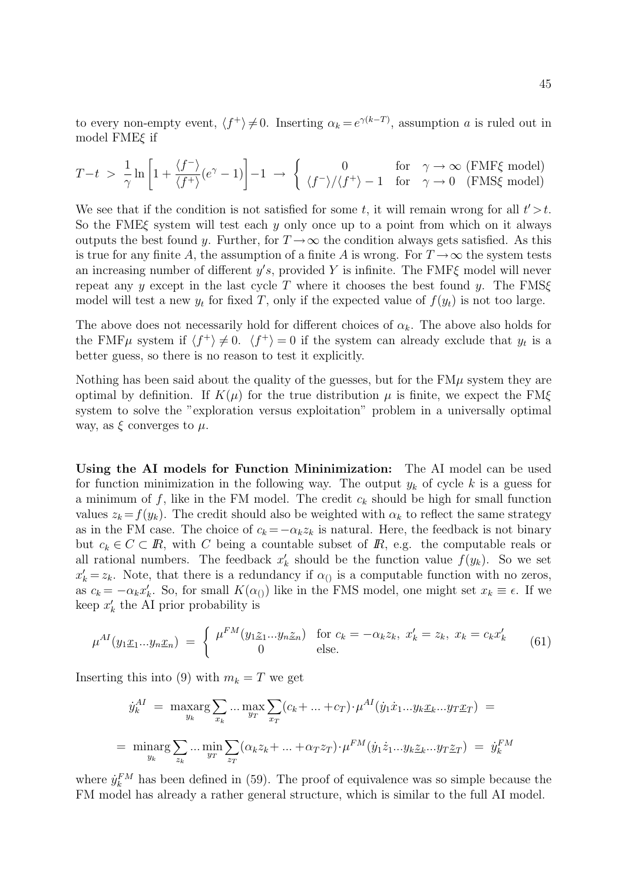to every non-empty event,  $\langle f^+ \rangle \neq 0$ . Inserting  $\alpha_k = e^{\gamma(k-T)}$ , assumption a is ruled out in model FMEξ if

$$
T-t > \frac{1}{\gamma} \ln \left[ 1 + \frac{\langle f^{-} \rangle}{\langle f^{+} \rangle} (e^{\gamma} - 1) \right] - 1 \to \begin{cases} 0 & \text{for } \gamma \to \infty \text{ (FMF\& model)}\\ \langle f^{-} \rangle / \langle f^{+} \rangle - 1 & \text{for } \gamma \to 0 \text{ (FMS\& model)} \end{cases}
$$

We see that if the condition is not satisfied for some t, it will remain wrong for all  $t' > t$ . So the FME $\xi$  system will test each y only once up to a point from which on it always outputs the best found y. Further, for  $T \rightarrow \infty$  the condition always gets satisfied. As this is true for any finite A, the assumption of a finite A is wrong. For  $T \to \infty$  the system tests an increasing number of different  $y's$ , provided Y is infinite. The FMF $\xi$  model will never repeat any y except in the last cycle T where it chooses the best found y. The FMS $\xi$ model will test a new  $y_t$  for fixed T, only if the expected value of  $f(y_t)$  is not too large.

The above does not necessarily hold for different choices of  $\alpha_k$ . The above also holds for the FMF $\mu$  system if  $\langle f^+ \rangle \neq 0$ .  $\langle f^+ \rangle = 0$  if the system can already exclude that  $y_t$  is a better guess, so there is no reason to test it explicitly.

Nothing has been said about the quality of the guesses, but for the  $FM\mu$  system they are optimal by definition. If  $K(\mu)$  for the true distribution  $\mu$  is finite, we expect the FM $\xi$ system to solve the "exploration versus exploitation" problem in a universally optimal way, as  $\xi$  converges to  $\mu$ .

Using the AI models for Function Mininimization: The AI model can be used for function minimization in the following way. The output  $y_k$  of cycle k is a guess for a minimum of f, like in the FM model. The credit  $c_k$  should be high for small function values  $z_k = f(y_k)$ . The credit should also be weighted with  $\alpha_k$  to reflect the same strategy as in the FM case. The choice of  $c_k = -\alpha_k z_k$  is natural. Here, the feedback is not binary but  $c_k \in C \subset \mathbb{R}$ , with C being a countable subset of  $\mathbb{R}$ , e.g. the computable reals or all rational numbers. The feedback  $x'_k$  should be the function value  $f(y_k)$ . So we set  $x'_k = z_k$ . Note, that there is a redundancy if  $\alpha_{(i)}$  is a computable function with no zeros, as  $c_k = -\alpha_k x'_k$ . So, for small  $K(\alpha_0)$  like in the FMS model, one might set  $x_k \equiv \epsilon$ . If we keep  $x'_{k}$  the AI prior probability is

$$
\mu^{AI}(y_1 \underline{x}_1 \dots y_n \underline{x}_n) = \begin{cases} \mu^{FM}(y_1 \underline{z}_1 \dots y_n \underline{z}_n) & \text{for } c_k = -\alpha_k z_k, \ x'_k = z_k, \ x_k = c_k x'_k \\ 0 & \text{else.} \end{cases}
$$
(61)

Inserting this into (9) with  $m_k = T$  we get

$$
\dot{y}_k^{AI} = \max_{y_k} \text{arg} \sum_{x_k} \dots \max_{y_T} \sum_{x_T} (c_k + \dots + c_T) \cdot \mu^{AI}(\dot{y}_1 \dot{x}_1 \dots y_k \underline{x}_k \dots y_T \underline{x}_T) =
$$
\n
$$
= \min_{y_k} \text{arg} \sum_{z_k} \dots \min_{y_T} \sum_{z_T} (\alpha_k z_k + \dots + \alpha_T z_T) \cdot \mu^{FM}(\dot{y}_1 \dot{z}_1 \dots y_k \underline{z}_k \dots y_T \underline{z}_T) = \dot{y}_k^{FM}
$$

where  $\dot{y}_k^{FM}$  has been defined in (59). The proof of equivalence was so simple because the FM model has already a rather general structure, which is similar to the full AI model.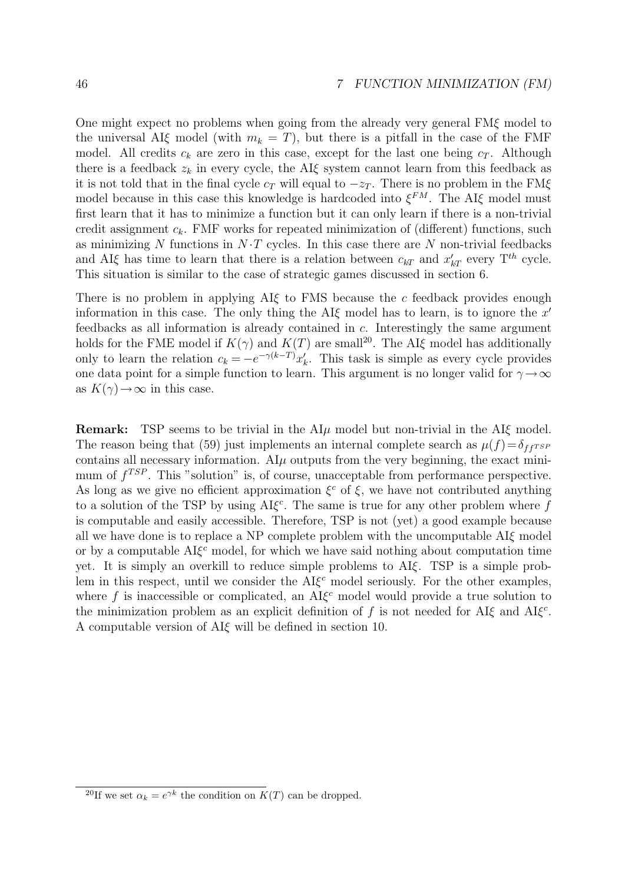One might expect no problems when going from the already very general FMξ model to the universal AI $\xi$  model (with  $m_k = T$ ), but there is a pitfall in the case of the FMF model. All credits  $c_k$  are zero in this case, except for the last one being  $c_T$ . Although there is a feedback  $z_k$  in every cycle, the AI $\xi$  system cannot learn from this feedback as it is not told that in the final cycle  $c_T$  will equal to  $-z_T$ . There is no problem in the FM $\xi$ model because in this case this knowledge is hardcoded into  $\xi^{FM}$ . The AI $\xi$  model must first learn that it has to minimize a function but it can only learn if there is a non-trivial credit assignment  $c_k$ . FMF works for repeated minimization of (different) functions, such as minimizing N functions in  $N \cdot T$  cycles. In this case there are N non-trivial feedbacks and AI $\xi$  has time to learn that there is a relation between  $c_{kT}$  and  $x'_{kT}$  every  $T^{th}$  cycle. This situation is similar to the case of strategic games discussed in section 6.

There is no problem in applying AI $\xi$  to FMS because the c feedback provides enough information in this case. The only thing the AI $\xi$  model has to learn, is to ignore the x' feedbacks as all information is already contained in c. Interestingly the same argument holds for the FME model if  $K(\gamma)$  and  $K(T)$  are small<sup>20</sup>. The AI $\xi$  model has additionally only to learn the relation  $c_k = -e^{-\gamma(k-T)}x'_k$ . This task is simple as every cycle provides one data point for a simple function to learn. This argument is no longer valid for  $\gamma \rightarrow \infty$ as  $K(\gamma) \to \infty$  in this case.

**Remark:** TSP seems to be trivial in the  $\Lambda I\mu$  model but non-trivial in the  $\Lambda I\xi$  model. The reason being that (59) just implements an internal complete search as  $\mu(f)=\delta_{ff^{TSP}}$ contains all necessary information. AI $\mu$  outputs from the very beginning, the exact minimum of  $f^{TSP}$ . This "solution" is, of course, unacceptable from performance perspective. As long as we give no efficient approximation  $\xi^c$  of  $\xi$ , we have not contributed anything to a solution of the TSP by using  $AI\xi^c$ . The same is true for any other problem where f is computable and easily accessible. Therefore, TSP is not (yet) a good example because all we have done is to replace a NP complete problem with the uncomputable AIξ model or by a computable  $AI\xi^c$  model, for which we have said nothing about computation time yet. It is simply an overkill to reduce simple problems to AIξ. TSP is a simple problem in this respect, until we consider the  $\mathrm{AI}\xi^c$  model seriously. For the other examples, where f is inaccessible or complicated, an  $\mathrm{AI}\xi^c$  model would provide a true solution to the minimization problem as an explicit definition of f is not needed for AI $\xi$  and AI $\xi$ <sup>c</sup>. A computable version of AIξ will be defined in section 10.

<sup>&</sup>lt;sup>20</sup>If we set  $\alpha_k = e^{\gamma k}$  the condition on  $K(T)$  can be dropped.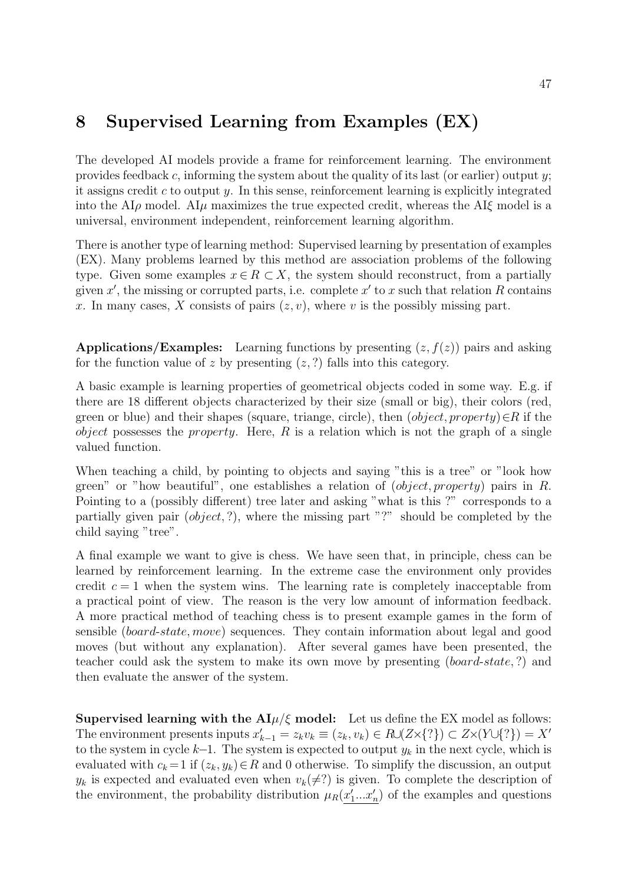### 8 Supervised Learning from Examples (EX)

The developed AI models provide a frame for reinforcement learning. The environment provides feedback c, informing the system about the quality of its last (or earlier) output y; it assigns credit c to output  $y$ . In this sense, reinforcement learning is explicitly integrated into the AI<sub>P</sub> model. AI<sub>P</sub> maximizes the true expected credit, whereas the AI<sub>F</sub> model is a universal, environment independent, reinforcement learning algorithm.

There is another type of learning method: Supervised learning by presentation of examples (EX). Many problems learned by this method are association problems of the following type. Given some examples  $x \in R \subset X$ , the system should reconstruct, from a partially given  $x'$ , the missing or corrupted parts, i.e. complete  $x'$  to x such that relation R contains x. In many cases, X consists of pairs  $(z, v)$ , where v is the possibly missing part.

**Applications/Examples:** Learning functions by presenting  $(z, f(z))$  pairs and asking for the function value of z by presenting  $(z, ?)$  falls into this category.

A basic example is learning properties of geometrical objects coded in some way. E.g. if there are 18 different objects characterized by their size (small or big), their colors (red, green or blue) and their shapes (square, triange, circle), then  $(object, property) \in \mathbb{R}$  if the object possesses the property. Here,  $R$  is a relation which is not the graph of a single valued function.

When teaching a child, by pointing to objects and saying "this is a tree" or "look how green" or "how beautiful", one establishes a relation of (object, property) pairs in R. Pointing to a (possibly different) tree later and asking "what is this ?" corresponds to a partially given pair  $(object, ?)$ , where the missing part "?" should be completed by the child saying "tree".

A final example we want to give is chess. We have seen that, in principle, chess can be learned by reinforcement learning. In the extreme case the environment only provides credit  $c = 1$  when the system wins. The learning rate is completely inacceptable from a practical point of view. The reason is the very low amount of information feedback. A more practical method of teaching chess is to present example games in the form of sensible (board-state, move) sequences. They contain information about legal and good moves (but without any explanation). After several games have been presented, the teacher could ask the system to make its own move by presenting (board-state, ?) and then evaluate the answer of the system.

**Supervised learning with the AI** $\mu/\xi$  model: Let us define the EX model as follows: The environment presents inputs  $x'_{k-1} = z_k v_k \equiv (z_k, v_k) \in R \cup (Z \times \{? \}) \subset Z \times (Y \cup \{? \}) = X'$ to the system in cycle  $k-1$ . The system is expected to output  $y_k$  in the next cycle, which is evaluated with  $c_k = 1$  if  $(z_k, y_k) \in R$  and 0 otherwise. To simplify the discussion, an output  $y_k$  is expected and evaluated even when  $v_k(\neq ?)$  is given. To complete the description of the environment, the probability distribution  $\mu_R(\underline{x'_1}...\underline{x'_n})$  of the examples and questions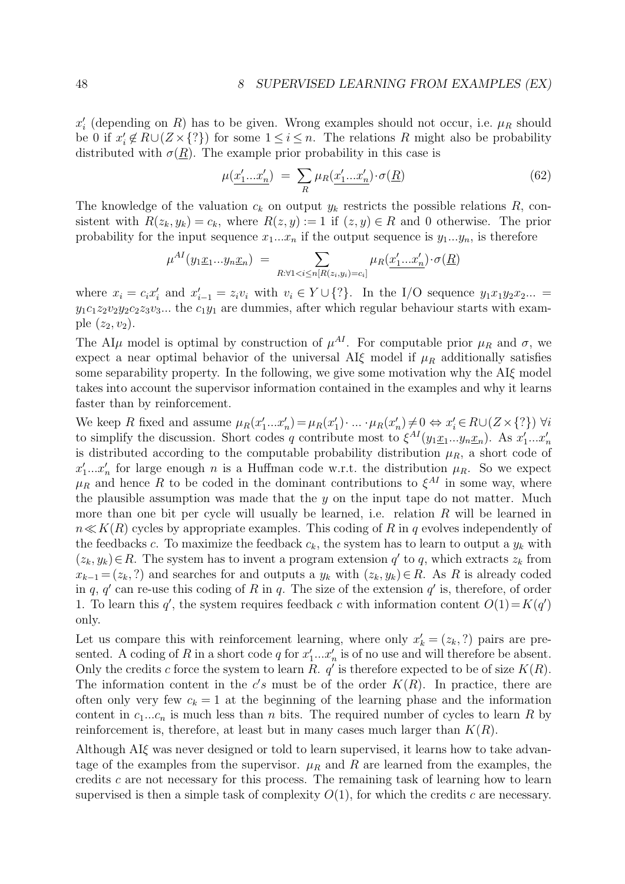$x'_{i}$  (depending on R) has to be given. Wrong examples should not occur, i.e.  $\mu_{R}$  should be 0 if  $x'_i \notin R \cup (Z \times \{? \})$  for some  $1 \leq i \leq n$ . The relations R might also be probability distributed with  $\sigma(\underline{R})$ . The example prior probability in this case is

$$
\mu(\underline{x'_1...x'_n}) = \sum_R \mu_R(\underline{x'_1...x'_n}) \cdot \sigma(\underline{R}) \tag{62}
$$

The knowledge of the valuation  $c_k$  on output  $y_k$  restricts the possible relations R, consistent with  $R(z_k, y_k) = c_k$ , where  $R(z, y) := 1$  if  $(z, y) \in R$  and 0 otherwise. The prior probability for the input sequence  $x_1...x_n$  if the output sequence is  $y_1...y_n$ , is therefore

$$
\mu^{AI}(y_1 \underline{x}_1 \dots y_n \underline{x}_n) = \sum_{R: \forall 1 < i \leq n \left[R(z_i, y_i) = c_i\right]} \mu_R(\underline{x}'_1 \dots \underline{x}'_n) \cdot \sigma(\underline{R})
$$

where  $x_i = c_i x'_i$  and  $x'_{i-1} = z_i v_i$  with  $v_i \in Y \cup \{?\}$ . In the I/O sequence  $y_1 x_1 y_2 x_2 ...$  $y_1c_1z_2v_2y_2c_2z_3v_3...$  the  $c_1y_1$  are dummies, after which regular behaviour starts with example  $(z_2, v_2)$ .

The AI $\mu$  model is optimal by construction of  $\mu^{AI}$ . For computable prior  $\mu_R$  and  $\sigma$ , we expect a near optimal behavior of the universal AI $\xi$  model if  $\mu_R$  additionally satisfies some separability property. In the following, we give some motivation why the AIξ model takes into account the supervisor information contained in the examples and why it learns faster than by reinforcement.

We keep R fixed and assume  $\mu_R(x'_1...x'_n) = \mu_R(x'_1) \cdot ... \cdot \mu_R(x'_n) \neq 0 \Leftrightarrow x'_i \in R \cup (Z \times \{? \}) \forall i$ to simplify the discussion. Short codes q contribute most to  $\xi^{AI}(y_1\underline{x}_1...y_n\underline{x}_n)$ . As  $x'_1...x'_n$ is distributed according to the computable probability distribution  $\mu_R$ , a short code of  $x'_1...x'_n$  for large enough n is a Huffman code w.r.t. the distribution  $\mu_R$ . So we expect  $\mu_R$  and hence R to be coded in the dominant contributions to  $\xi^{AI}$  in some way, where the plausible assumption was made that the  $y$  on the input tape do not matter. Much more than one bit per cycle will usually be learned, i.e. relation  $R$  will be learned in  $n \ll K(R)$  cycles by appropriate examples. This coding of R in q evolves independently of the feedbacks c. To maximize the feedback  $c_k$ , the system has to learn to output a  $y_k$  with  $(z_k, y_k) \in R$ . The system has to invent a program extension q' to q, which extracts  $z_k$  from  $x_{k-1} = (z_k, ?)$  and searches for and outputs a  $y_k$  with  $(z_k, y_k) \in R$ . As R is already coded in q, q' can re-use this coding of R in q. The size of the extension  $q'$  is, therefore, of order 1. To learn this q', the system requires feedback c with information content  $O(1) = K(q')$ only.

Let us compare this with reinforcement learning, where only  $x'_k = (z_k, ?)$  pairs are presented. A coding of R in a short code q for  $x'_1...x'_n$  is of no use and will therefore be absent. Only the credits c force the system to learn R.  $q'$  is therefore expected to be of size  $K(R)$ . The information content in the  $c's$  must be of the order  $K(R)$ . In practice, there are often only very few  $c_k = 1$  at the beginning of the learning phase and the information content in  $c_1...c_n$  is much less than n bits. The required number of cycles to learn R by reinforcement is, therefore, at least but in many cases much larger than  $K(R)$ .

Although AIξ was never designed or told to learn supervised, it learns how to take advantage of the examples from the supervisor.  $\mu_R$  and R are learned from the examples, the credits  $c$  are not necessary for this process. The remaining task of learning how to learn supervised is then a simple task of complexity  $O(1)$ , for which the credits c are necessary.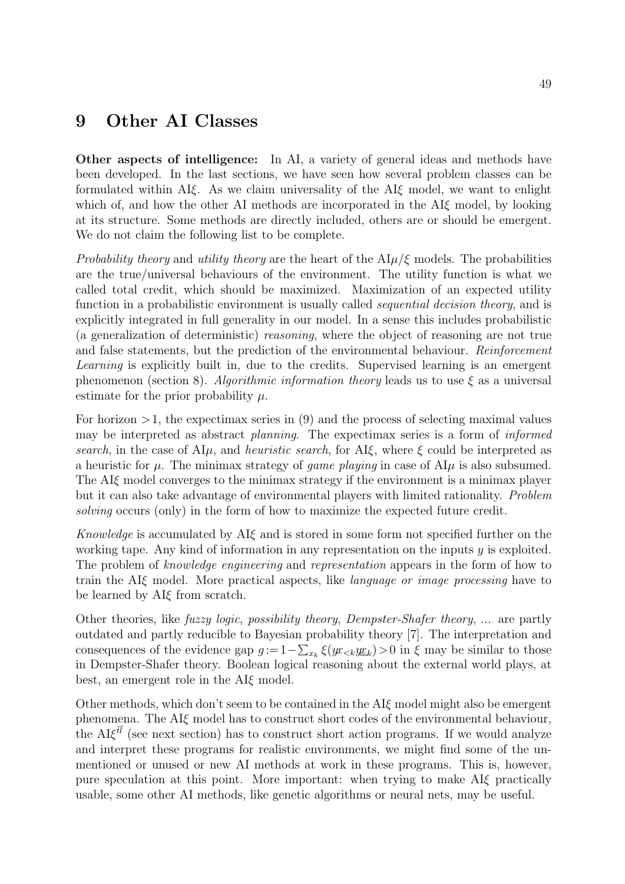### 9 Other AI Classes

Other aspects of intelligence: In AI, a variety of general ideas and methods have been developed. In the last sections, we have seen how several problem classes can be formulated within  $\overline{A}I\xi$ . As we claim universality of the  $\overline{A}I\xi$  model, we want to enlight which of, and how the other AI methods are incorporated in the AI $\xi$  model, by looking at its structure. Some methods are directly included, others are or should be emergent. We do not claim the following list to be complete.

*Probability theory* and *utility theory* are the heart of the  $\text{Al}\mu/\xi$  models. The probabilities are the true/universal behaviours of the environment. The utility function is what we called total credit, which should be maximized. Maximization of an expected utility function in a probabilistic environment is usually called *sequential decision theory*, and is explicitly integrated in full generality in our model. In a sense this includes probabilistic (a generalization of deterministic) reasoning, where the object of reasoning are not true and false statements, but the prediction of the environmental behaviour. Reinforcement Learning is explicitly built in, due to the credits. Supervised learning is an emergent phenomenon (section 8). Algorithmic information theory leads us to use  $\xi$  as a universal estimate for the prior probability  $\mu$ .

For horizon  $>1$ , the expectimax series in (9) and the process of selecting maximal values may be interpreted as abstract planning. The expectimax series is a form of informed search, in the case of  $\text{Al}\mu$ , and *heuristic search*, for  $\text{Al}\xi$ , where  $\xi$  could be interpreted as a heuristic for  $\mu$ . The minimax strategy of *game playing* in case of  $\text{Al}\mu$  is also subsumed. The  $\Lambda$ I $\xi$  model converges to the minimax strategy if the environment is a minimax player but it can also take advantage of environmental players with limited rationality. Problem solving occurs (only) in the form of how to maximize the expected future credit.

Knowledge is accumulated by  $\Lambda \xi$  and is stored in some form not specified further on the working tape. Any kind of information in any representation on the inputs y is exploited. The problem of knowledge engineering and representation appears in the form of how to train the AIξ model. More practical aspects, like language or image processing have to be learned by AIξ from scratch.

Other theories, like *fuzzy logic, possibility theory, Dempster-Shafer theory, ...* are partly outdated and partly reducible to Bayesian probability theory [7]. The interpretation and consequences of the evidence gap  $g := 1 - \sum_{x_k} \xi(y x_{< k} y x_k) > 0$  in  $\xi$  may be similar to those in Dempster-Shafer theory. Boolean logical reasoning about the external world plays, at best, an emergent role in the AIξ model.

Other methods, which don't seem to be contained in the AIξ model might also be emergent phenomena. The AIξ model has to construct short codes of the environmental behaviour, the  $\mathbf{A} \mathbf{I} \xi^{\tilde{t} \tilde{t}}$  (see next section) has to construct short action programs. If we would analyze and interpret these programs for realistic environments, we might find some of the unmentioned or unused or new AI methods at work in these programs. This is, however, pure speculation at this point. More important: when trying to make AIξ practically usable, some other AI methods, like genetic algorithms or neural nets, may be useful.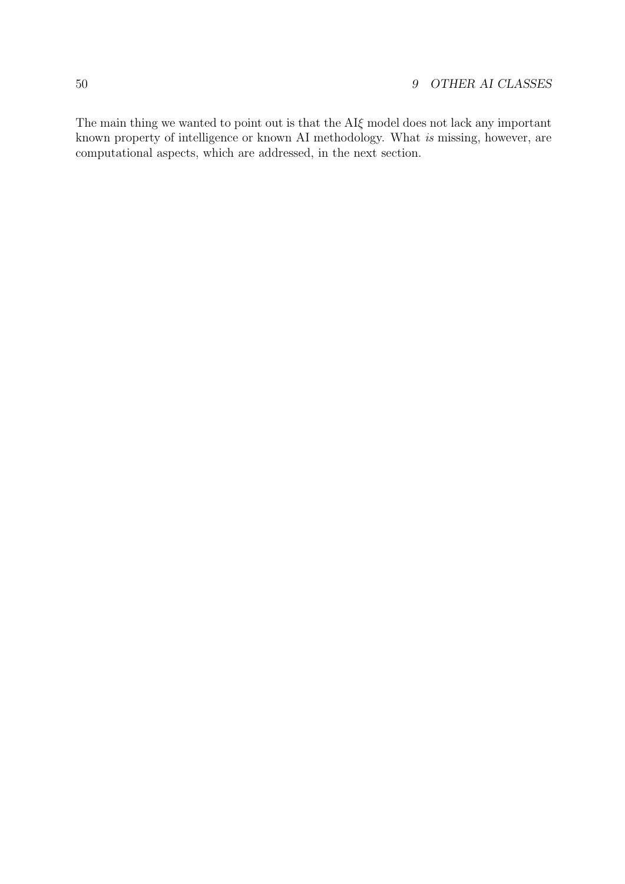The main thing we wanted to point out is that the AIξ model does not lack any important known property of intelligence or known AI methodology. What is missing, however, are computational aspects, which are addressed, in the next section.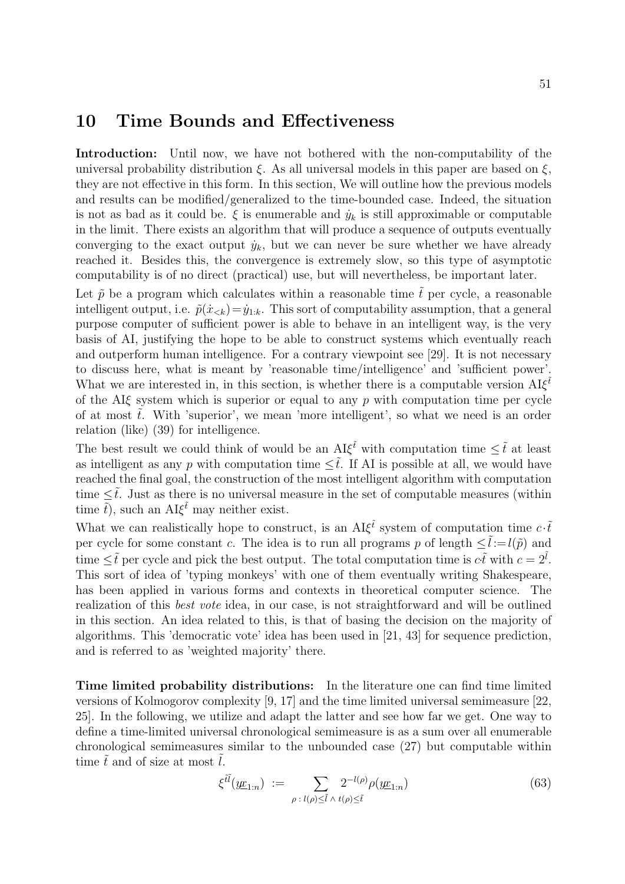#### 10 Time Bounds and Effectiveness

Introduction: Until now, we have not bothered with the non-computability of the universal probability distribution  $\xi$ . As all universal models in this paper are based on  $\xi$ , they are not effective in this form. In this section, We will outline how the previous models and results can be modified/generalized to the time-bounded case. Indeed, the situation is not as bad as it could be.  $\xi$  is enumerable and  $\dot{y}_k$  is still approximable or computable in the limit. There exists an algorithm that will produce a sequence of outputs eventually converging to the exact output  $\dot{y}_k$ , but we can never be sure whether we have already reached it. Besides this, the convergence is extremely slow, so this type of asymptotic computability is of no direct (practical) use, but will nevertheless, be important later.

Let  $\tilde{p}$  be a program which calculates within a reasonable time  $\tilde{t}$  per cycle, a reasonable intelligent output, i.e.  $\tilde{p}(x_{< k}) = \dot{y}_{1:k}$ . This sort of computability assumption, that a general purpose computer of sufficient power is able to behave in an intelligent way, is the very basis of AI, justifying the hope to be able to construct systems which eventually reach and outperform human intelligence. For a contrary viewpoint see [29]. It is not necessary to discuss here, what is meant by 'reasonable time/intelligence' and 'sufficient power'. What we are interested in, in this section, is whether there is a computable version  $\text{AI}\xi^{\tilde{t}}$ of the AI $\xi$  system which is superior or equal to any p with computation time per cycle of at most  $\dot{t}$ . With 'superior', we mean 'more intelligent', so what we need is an order relation (like) (39) for intelligence.

The best result we could think of would be an  $\mathbf{A}\mathbf{I}\xi^{\tilde{t}}$  with computation time  $\leq \tilde{t}$  at least as intelligent as any p with computation time  $\leq \tilde{t}$ . If AI is possible at all, we would have reached the final goal, the construction of the most intelligent algorithm with computation time  $\leq \tilde{t}$ . Just as there is no universal measure in the set of computable measures (within time  $\tilde{t}$ ), such an AI $\xi^{\tilde{t}}$  may neither exist.

What we can realistically hope to construct, is an  $\text{AI}\xi^{\tilde{t}}$  system of computation time  $c\cdot\tilde{t}$ per cycle for some constant c. The idea is to run all programs p of length  $\leq \tilde{l} := l(\tilde{p})$  and time  $\leq \tilde{t}$  per cycle and pick the best output. The total computation time is  $c\tilde{t}$  with  $c = 2^{\tilde{l}}$ . This sort of idea of 'typing monkeys' with one of them eventually writing Shakespeare, has been applied in various forms and contexts in theoretical computer science. The realization of this best vote idea, in our case, is not straightforward and will be outlined in this section. An idea related to this, is that of basing the decision on the majority of algorithms. This 'democratic vote' idea has been used in [21, 43] for sequence prediction, and is referred to as 'weighted majority' there.

Time limited probability distributions: In the literature one can find time limited versions of Kolmogorov complexity [9, 17] and the time limited universal semimeasure [22, 25]. In the following, we utilize and adapt the latter and see how far we get. One way to define a time-limited universal chronological semimeasure is as a sum over all enumerable chronological semimeasures similar to the unbounded case (27) but computable within time  $t$  and of size at most  $l$ .

$$
\xi^{\tilde{t}\tilde{l}}(\underline{w}_{1:n}) := \sum_{\rho \,:\, l(\rho) \leq \tilde{l}} \sum_{\Lambda \,:\, t(\rho) \leq \tilde{t}} 2^{-l(\rho)} \rho(\underline{w}_{1:n}) \tag{63}
$$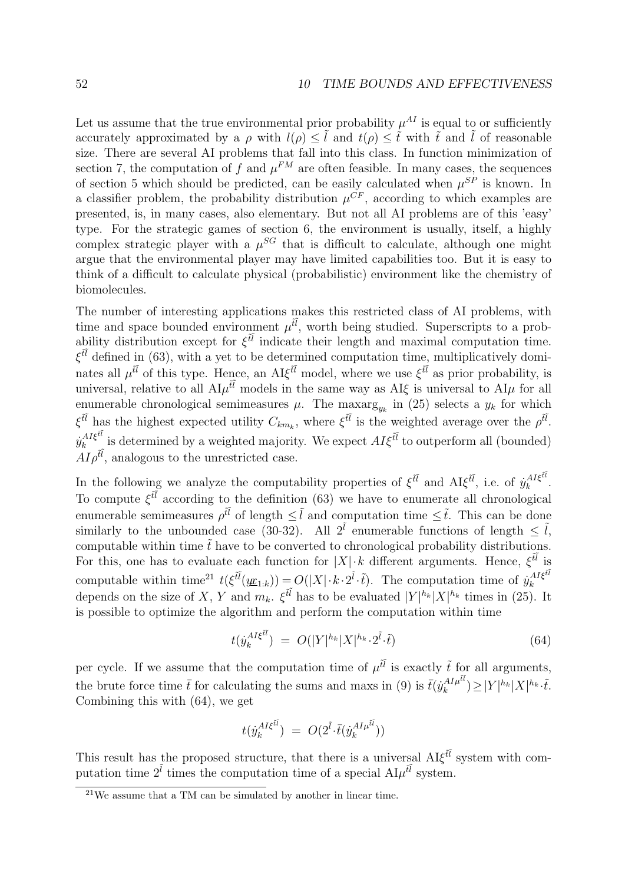Let us assume that the true environmental prior probability  $\mu^{AI}$  is equal to or sufficiently accurately approximated by a ρ with  $l(\rho) < \tilde{l}$  and  $t(\rho) < \tilde{t}$  with  $\tilde{t}$  and  $\tilde{l}$  of reasonable size. There are several AI problems that fall into this class. In function minimization of section 7, the computation of f and  $\mu^{FM}$  are often feasible. In many cases, the sequences of section 5 which should be predicted, can be easily calculated when  $\mu^{SP}$  is known. In a classifier problem, the probability distribution  $\mu^{CF}$ , according to which examples are presented, is, in many cases, also elementary. But not all AI problems are of this 'easy' type. For the strategic games of section 6, the environment is usually, itself, a highly complex strategic player with a  $\mu^{SG}$  that is difficult to calculate, although one might argue that the environmental player may have limited capabilities too. But it is easy to think of a difficult to calculate physical (probabilistic) environment like the chemistry of biomolecules.

The number of interesting applications makes this restricted class of AI problems, with time and space bounded environment  $\mu^{t\tilde{l}}$ , worth being studied. Superscripts to a probability distribution except for  $\xi^{\tilde{t}\tilde{t}}$  indicate their length and maximal computation time.  $\xi^{\tilde{t}\tilde{t}}$  defined in (63), with a yet to be determined computation time, multiplicatively dominates all  $\mu^{t\tilde{l}}$  of this type. Hence, an AI $\xi^{t\tilde{l}}$  model, where we use  $\xi^{t\tilde{l}}$  as prior probability, is universal, relative to all  $AI\mu^{t\tilde{l}}$  models in the same way as  $AI\xi$  is universal to  $AI\mu$  for all enumerable chronological semimeasures  $\mu$ . The maxarg<sub>y<sub>k</sub></sub> in (25) selects a  $y_k$  for which  $\xi^{\tilde{t}\tilde{l}}$  has the highest expected utility  $C_{km_k}$ , where  $\xi^{\tilde{t}\tilde{l}}$  is the weighted average over the  $\rho^{\tilde{t}\tilde{l}}$ .  $\dot{y}_k^{A I \xi^{\tilde{t}\tilde{t}}}$  $k_k^{A I \xi^{t l}}$  is determined by a weighted majority. We expect  $A I \xi^{t \bar t}$  to outperform all (bounded)  $AI\rho^{\tilde{t}\tilde{l}}$ , analogous to the unrestricted case.

In the following we analyze the computability properties of  $\xi^{\tilde{t}\tilde{l}}$  and  $AI\xi^{\tilde{t}\tilde{l}}$ , i.e. of  $\dot{y}_k^{AI\xi^{\tilde{t}\tilde{l}}}$  $\int_k^{A I \xi^{ii}}$ . To compute  $\xi^{\tilde{t}}$  according to the definition (63) we have to enumerate all chronological enumerable semimeasures  $\rho^{\tilde{t}\tilde{l}}$  of length  $\leq \tilde{l}$  and computation time  $\leq \tilde{t}$ . This can be done similarly to the unbounded case (30-32). All  $2^{\tilde{l}}$  enumerable functions of length  $\leq \tilde{l}$ , computable within time  $\tilde{t}$  have to be converted to chronological probability distributions. For this, one has to evaluate each function for  $|X| \cdot k$  different arguments. Hence,  $\xi^{i\tilde{l}}$  is computable within time<sup>21</sup>  $t(\xi^{\tilde{t}l}(\underline{w}_{1:k})) = O(|X| \cdot k \cdot 2^{\tilde{l}} \cdot \tilde{t}).$  The computation time of  $\dot{y}_k^{AI\xi^{\tilde{t}l}}$ k depends on the size of X, Y and  $m_k$ .  $\xi^{t\tilde{t}}$  has to be evaluated  $|Y|^{h_k} |X|^{h_k}$  times in (25). It is possible to optimize the algorithm and perform the computation within time

$$
t(j_k^{AI\xi^{t\tilde{t}}}) = O(|Y|^{h_k}|X|^{h_k} \cdot 2^{\tilde{t}} \cdot \tilde{t})
$$
\n(64)

per cycle. If we assume that the computation time of  $\mu^{t\tilde{l}}$  is exactly  $\tilde{t}$  for all arguments, the brute force time  $\bar{t}$  for calculating the sums and maxs in (9) is  $\bar{t}(i)^{AH^{\tilde{t}\tilde{t}}}_{k}$  $\mathcal{L}_k^{AI\mu^{tl}}$ )  $\geq$   $|Y|^{h_k} |X|^{h_k} \cdot \tilde{t}$ . Combining this with (64), we get

$$
t(\dot{y}^{AI\xi^{\tilde{t}\tilde{t}}}_k) \ = \ O(2^{\tilde{t}}\!\cdot \!\bar{t}(\dot{y}^{AI\mu^{\tilde{t}\tilde{t}}}_k))
$$

This result has the proposed structure, that there is a universal  $AI\xi^{\tilde{t}\tilde{l}}$  system with computation time  $2^{\tilde{l}}$  times the computation time of a special  $\text{Al}\mu^{\tilde{t}\tilde{l}}$  system.

 $^{21}$ We assume that a TM can be simulated by another in linear time.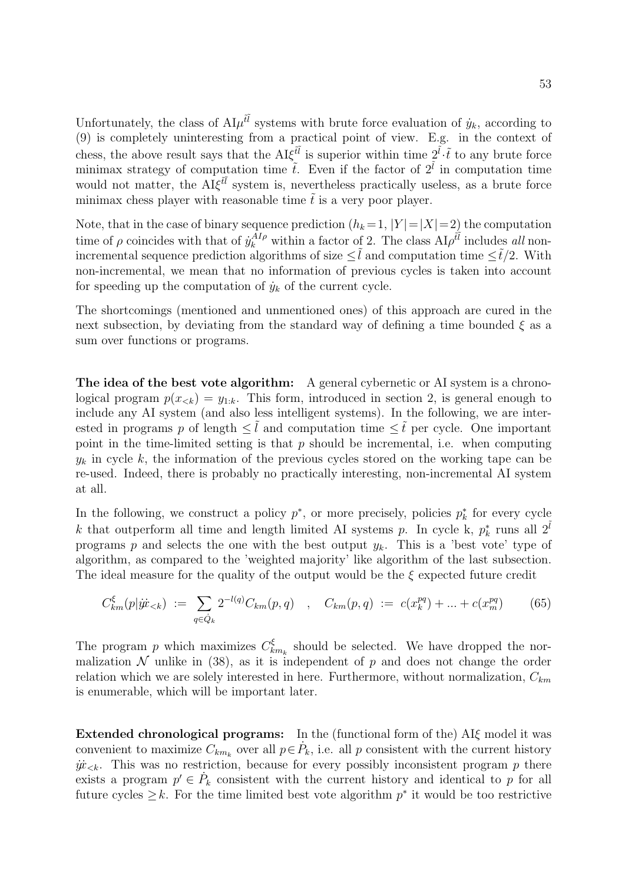Unfortunately, the class of  $\text{AI}\mu^{\tilde{t}\tilde{t}}$  systems with brute force evaluation of  $\dot{y}_k$ , according to (9) is completely uninteresting from a practical point of view. E.g. in the context of chess, the above result says that the  $A I \xi^{\tilde{t} \tilde{l}}$  is superior within time  $2^{\tilde{l}} \cdot \tilde{t}$  to any brute force minimax strategy of computation time  $\tilde{t}$ . Even if the factor of  $2^{\tilde{l}}$  in computation time would not matter, the  $\text{AI}\xi^{\tilde{t}\tilde{l}}$  system is, nevertheless practically useless, as a brute force minimax chess player with reasonable time  $\tilde{t}$  is a very poor player.

Note, that in the case of binary sequence prediction  $(h_k = 1, |Y| = |X| = 2)$  the computation time of  $\rho$  coincides with that of  $\dot{y}_k^{AI\rho}$  within a factor of 2. The class  $AI\rho^{t\tilde{l}}$  includes all nonincremental sequence prediction algorithms of size  $\leq \tilde{l}$  and computation time  $\leq \tilde{t}/2$ . With non-incremental, we mean that no information of previous cycles is taken into account for speeding up the computation of  $\dot{y}_k$  of the current cycle.

The shortcomings (mentioned and unmentioned ones) of this approach are cured in the next subsection, by deviating from the standard way of defining a time bounded  $\xi$  as a sum over functions or programs.

The idea of the best vote algorithm: A general cybernetic or AI system is a chronological program  $p(x_{< k}) = y_{1:k}$ . This form, introduced in section 2, is general enough to include any AI system (and also less intelligent systems). In the following, we are interested in programs p of length  $\leq l$  and computation time  $\leq \tilde{t}$  per cycle. One important point in the time-limited setting is that  $p$  should be incremental, i.e. when computing  $y_k$  in cycle k, the information of the previous cycles stored on the working tape can be re-used. Indeed, there is probably no practically interesting, non-incremental AI system at all.

In the following, we construct a policy  $p^*$ , or more precisely, policies  $p_k^*$  for every cycle k that outperform all time and length limited AI systems p. In cycle k,  $p_k^*$  runs all  $2^l$ programs p and selects the one with the best output  $y_k$ . This is a 'best vote' type of algorithm, as compared to the 'weighted majority' like algorithm of the last subsection. The ideal measure for the quality of the output would be the  $\xi$  expected future credit

$$
C_{km}^{\xi}(p|\dot{w}_{
$$

The program p which maximizes  $C_k^{\xi}$  $\zeta_{km_k}$  should be selected. We have dropped the normalization  $\mathcal N$  unlike in (38), as it is independent of p and does not change the order relation which we are solely interested in here. Furthermore, without normalization,  $C_{km}$ is enumerable, which will be important later.

**Extended chronological programs:** In the (functional form of the)  $\overline{A}I\xi$  model it was convenient to maximize  $C_{km_k}$  over all  $p \in \dot{P}_k$ , i.e. all p consistent with the current history  $\dot{w}$ <sub><k</sub>. This was no restriction, because for every possibly inconsistent program p there exists a program  $p' \in \dot{P}_k$  consistent with the current history and identical to p for all future cycles  $\geq k$ . For the time limited best vote algorithm  $p^*$  it would be too restrictive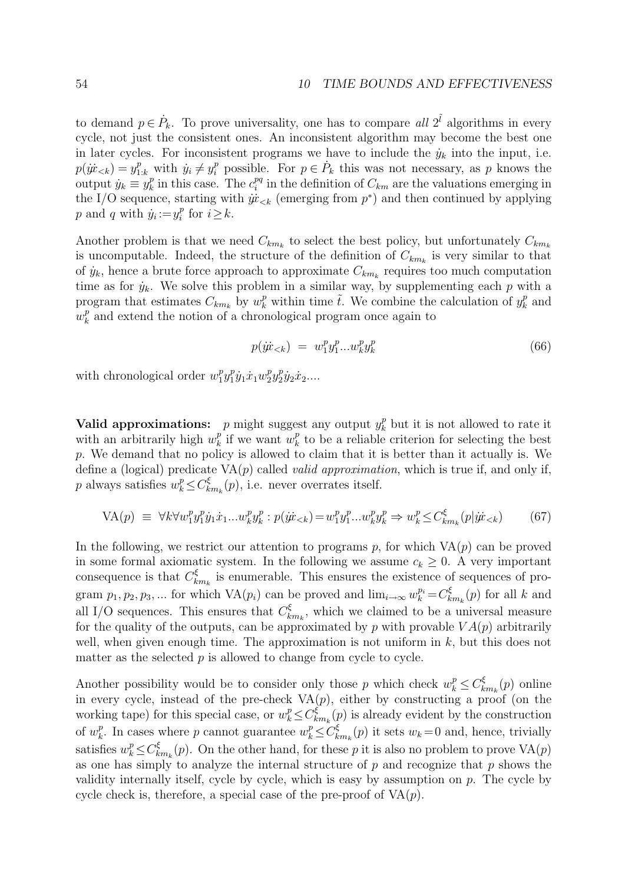to demand  $p \in \dot{P}_k$ . To prove universality, one has to compare all  $2^{\tilde{l}}$  algorithms in every cycle, not just the consistent ones. An inconsistent algorithm may become the best one in later cycles. For inconsistent programs we have to include the  $\dot{y}_k$  into the input, i.e.  $p(\dot{w}_{< k}) = y_{1:k}^p$  with  $\dot{y}_i \neq y_i^p$  possible. For  $p \in \dot{P}_k$  this was not necessary, as p knows the output  $\dot{y}_k \equiv y_k^p$  $\binom{p}{k}$  in this case. The  $c_i^{pq}$  $i^{pq}$  in the definition of  $C_{km}$  are the valuations emerging in the I/O sequence, starting with  $\dot{w}_{< k}$  (emerging from  $p^*$ ) and then continued by applying p and q with  $\dot{y}_i := y_i^p$  $i$ <sup>p</sup> for  $i \geq k$ .

Another problem is that we need  $C_{km_k}$  to select the best policy, but unfortunately  $C_{km_k}$ is uncomputable. Indeed, the structure of the definition of  $C_{km_k}$  is very similar to that of  $\dot{y}_k$ , hence a brute force approach to approximate  $C_{km_k}$  requires too much computation time as for  $\dot{y}_k$ . We solve this problem in a similar way, by supplementing each p with a program that estimates  $C_{km_k}$  by  $w_k^p$  within time  $\tilde{t}$ . We combine the calculation of  $y_k^p$  $k^p$  and  $w_k^p$  $\frac{p}{k}$  and extend the notion of a chronological program once again to

$$
p(\dot{w}_{<};) = w_1^p y_1^p ... w_k^p y_k^p \tag{66}
$$

with chronological order  $w_1^p y_1^p \dot{y}_1 \dot{x}_1 w_2^p y_2^p \dot{y}_2 \dot{x}_2 \dots$ 

**Valid approximations:** p might suggest any output  $y_k^p$  but it is not allowed to rate it with an arbitrarily high  $w_k^p$  $_k^p$  if we want  $w_k^p$  $\frac{p}{k}$  to be a reliable criterion for selecting the best p. We demand that no policy is allowed to claim that it is better than it actually is. We define a (logical) predicate  $VA(p)$  called *valid approximation*, which is true if, and only if, p always satisfies  $w_k^p \leq C_k^{\xi}$  $k_{m_k}(p)$ , i.e. never overrates itself.

$$
VA(p) \equiv \forall k \forall w_1^p y_1^p y_1 x_1 ... w_k^p y_k^p : p(\dot{w}_{< k}) = w_1^p y_1^p ... w_k^p y_k^p \Rightarrow w_k^p \le C_{km_k}^{\xi}(p|\dot{w}_{< k}) \tag{67}
$$

In the following, we restrict our attention to programs p, for which  $VA(p)$  can be proved in some formal axiomatic system. In the following we assume  $c_k \geq 0$ . A very important consequence is that  $C_k^{\xi}$  $k_{m_k}$  is enumerable. This ensures the existence of sequences of program  $p_1, p_2, p_3, \dots$  for which  $\text{VA}(p_i)$  can be proved and  $\lim_{i \to \infty} w_k^{p_i} = C_k^{\xi}$  $\zeta_{km_k}(p)$  for all k and all I/O sequences. This ensures that  $C_k^{\xi}$  $\zeta_{km_k}^{\zeta}$ , which we claimed to be a universal measure for the quality of the outputs, can be approximated by p with provable  $VA(p)$  arbitrarily well, when given enough time. The approximation is not uniform in  $k$ , but this does not matter as the selected  $p$  is allowed to change from cycle to cycle.

Another possibility would be to consider only those p which check  $w_k^p \leq C_k^{\xi}$  $\zeta^{\xi}_{km_k}(p)$  online in every cycle, instead of the pre-check  $VA(p)$ , either by constructing a proof (on the working tape) for this special case, or  $w_k^p \leq C_k^{\xi}$  $k_{k m_k}(p)$  is already evident by the construction of  $w_k^p$  $_k^p$ . In cases where p cannot guarantee  $w_k^p \leq C_k^{\xi}$  $k_{k m_k}(p)$  it sets  $w_k = 0$  and, hence, trivially satisfies  $w_k^p \leq C_k^{\xi}$  $k_{k m_k}(p)$ . On the other hand, for these p it is also no problem to prove  $VA(p)$ as one has simply to analyze the internal structure of  $p$  and recognize that  $p$  shows the validity internally itself, cycle by cycle, which is easy by assumption on  $p$ . The cycle by cycle check is, therefore, a special case of the pre-proof of  $VA(p)$ .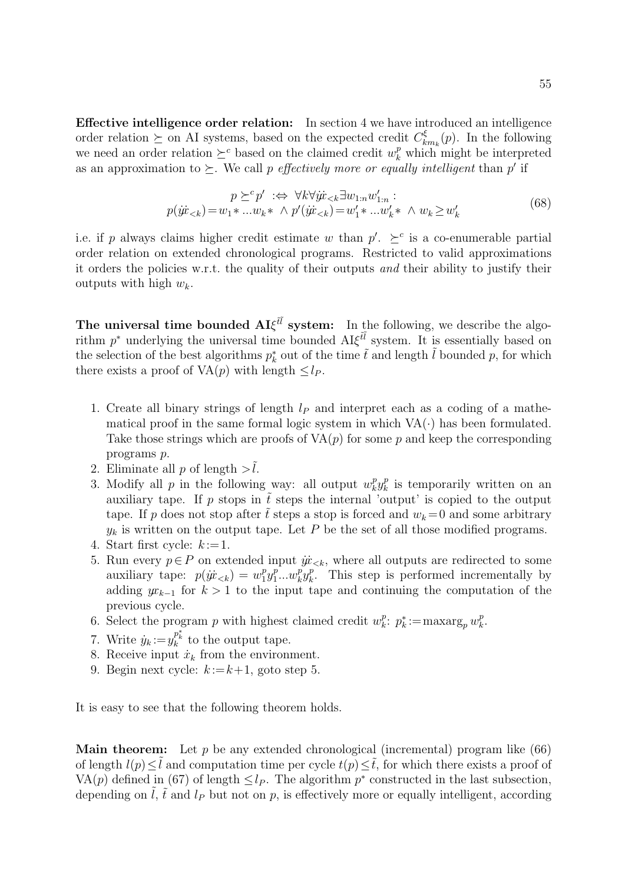Effective intelligence order relation: In section 4 we have introduced an intelligence order relation  $\succeq$  on AI systems, based on the expected credit  $C_k^{\xi}$  $\zeta_{km_k}(p)$ . In the following we need an order relation  $\succeq^c$  based on the claimed credit  $w_k^p$  which might be interpreted as an approximation to  $\succeq$ . We call p effectively more or equally intelligent than p' if

$$
p \succeq^c p' \iff \forall k \forall \dot{w}_{< k} \exists w_{1:n} w'_{1:n} : p(\dot{w}_{< k}) = w_1 * \dots w_k * \land p'(\dot{w}_{< k}) = w'_1 * \dots w'_k * \land w_k \ge w'_k
$$
 (68)

i.e. if p always claims higher credit estimate w than  $p'$ .  $\succeq^c$  is a co-enumerable partial order relation on extended chronological programs. Restricted to valid approximations it orders the policies w.r.t. the quality of their outputs and their ability to justify their outputs with high  $w_k$ .

The universal time bounded  $AI\xi^{t\tilde{l}}$  system: In the following, we describe the algorithm  $p^*$  underlying the universal time bounded  $\text{AI}\xi^{\tilde{t}\tilde{t}}$  system. It is essentially based on the selection of the best algorithms  $p_k^*$  out of the time  $\tilde{t}$  and length  $\tilde{l}$  bounded p, for which there exists a proof of  $VA(p)$  with length  $\leq l_P$ .

- 1. Create all binary strings of length  $l_P$  and interpret each as a coding of a mathematical proof in the same formal logic system in which  $VA(\cdot)$  has been formulated. Take those strings which are proofs of  $VA(p)$  for some p and keep the corresponding programs p.
- 2. Eliminate all  $p$  of length  $>l$ .
- 3. Modify all p in the following way: all output  $w_k^p$  $_{k}^{p}y_{k}^{p}$  $\frac{p}{k}$  is temporarily written on an auxiliary tape. If p stops in  $\tilde{t}$  steps the internal 'output' is copied to the output tape. If p does not stop after  $\tilde{t}$  steps a stop is forced and  $w_k = 0$  and some arbitrary  $y_k$  is written on the output tape. Let P be the set of all those modified programs.
- 4. Start first cycle:  $k := 1$ .
- 5. Run every  $p \in P$  on extended input  $\dot{w}_{\leq k}$ , where all outputs are redirected to some auxiliary tape:  $p(\dot{w}_{< k}) = w_1^p y_1^p$  $x_1^p...x_k^p$  ${}_{k}^{p}y_{k}^{p}$  $\mu_k^p$ . This step is performed incrementally by adding  $\mu_{k-1}$  for  $k > 1$  to the input tape and continuing the computation of the previous cycle.
- 6. Select the program p with highest claimed credit  $w_k^p$  $_k^p$ :  $p_k^*$ :=maxarg<sub>p</sub>  $w_k^p$  $_k^p$ .
- 7. Write  $\dot{y}_k := y_k^{p_k^*}$  to the output tape.
- 8. Receive input  $\dot{x}_k$  from the environment.
- 9. Begin next cycle:  $k := k+1$ , goto step 5.

It is easy to see that the following theorem holds.

**Main theorem:** Let p be any extended chronological (incremental) program like  $(66)$ of length  $l(p) \leq l$  and computation time per cycle  $t(p) \leq \tilde{t}$ , for which there exists a proof of VA(p) defined in (67) of length  $\leq l_P$ . The algorithm p<sup>\*</sup> constructed in the last subsection, depending on  $l, \tilde{t}$  and  $l_P$  but not on p, is effectively more or equally intelligent, according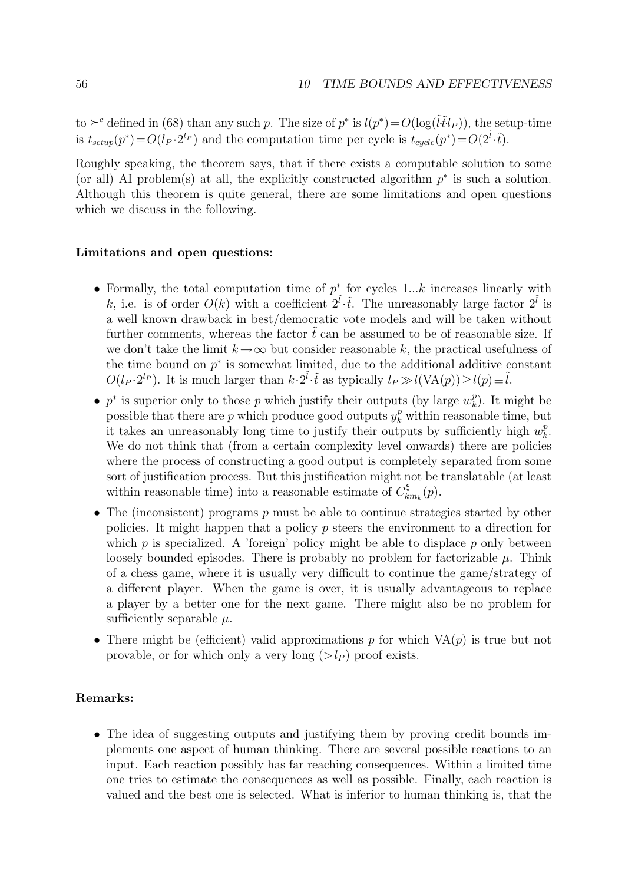to  $\succeq^c$  defined in (68) than any such p. The size of p<sup>\*</sup> is  $l(p^*) = O(\log(\tilde{l} \tilde{t} l_P))$ , the setup-time is  $t_{setup}(p^*) = O(l_P \cdot 2^{l_P})$  and the computation time per cycle is  $t_{cycle}(p^*) = O(2^{\tilde{l}} \cdot \tilde{t}).$ 

Roughly speaking, the theorem says, that if there exists a computable solution to some (or all) AI problem(s) at all, the explicitly constructed algorithm  $p^*$  is such a solution. Although this theorem is quite general, there are some limitations and open questions which we discuss in the following.

#### Limitations and open questions:

- Formally, the total computation time of  $p^*$  for cycles 1...k increases linearly with k, i.e. is of order  $O(k)$  with a coefficient  $2^{\tilde{l}} \cdot \tilde{t}$ . The unreasonably large factor  $2^{\tilde{l}}$  is a well known drawback in best/democratic vote models and will be taken without further comments, whereas the factor  $\hat{t}$  can be assumed to be of reasonable size. If we don't take the limit  $k \to \infty$  but consider reasonable k, the practical usefulness of the time bound on  $p^*$  is somewhat limited, due to the additional additive constant  $O(l_P \cdot 2^{l_P})$ . It is much larger than  $k \cdot 2^{\tilde{l}} \cdot \tilde{t}$  as typically  $l_P \gg l(VA(p)) \ge l(p) \equiv \tilde{l}$ .
- $p^*$  is superior only to those p which justify their outputs (by large  $w_k^p$ )  $\binom{p}{k}$ . It might be possible that there are p which produce good outputs  $y_k^p$  within reasonable time, but it takes an unreasonably long time to justify their outputs by sufficiently high  $w_k^p$  $k^p$ We do not think that (from a certain complexity level onwards) there are policies where the process of constructing a good output is completely separated from some sort of justification process. But this justification might not be translatable (at least within reasonable time) into a reasonable estimate of  $C_k^{\xi}$  $\zeta_{km_k}(p).$
- The (inconsistent) programs p must be able to continue strategies started by other policies. It might happen that a policy p steers the environment to a direction for which  $p$  is specialized. A 'foreign' policy might be able to displace  $p$  only between loosely bounded episodes. There is probably no problem for factorizable  $\mu$ . Think of a chess game, where it is usually very difficult to continue the game/strategy of a different player. When the game is over, it is usually advantageous to replace a player by a better one for the next game. There might also be no problem for sufficiently separable  $\mu$ .
- There might be (efficient) valid approximations p for which  $VA(p)$  is true but not provable, or for which only a very long  $(>l_P)$  proof exists.

#### Remarks:

• The idea of suggesting outputs and justifying them by proving credit bounds implements one aspect of human thinking. There are several possible reactions to an input. Each reaction possibly has far reaching consequences. Within a limited time one tries to estimate the consequences as well as possible. Finally, each reaction is valued and the best one is selected. What is inferior to human thinking is, that the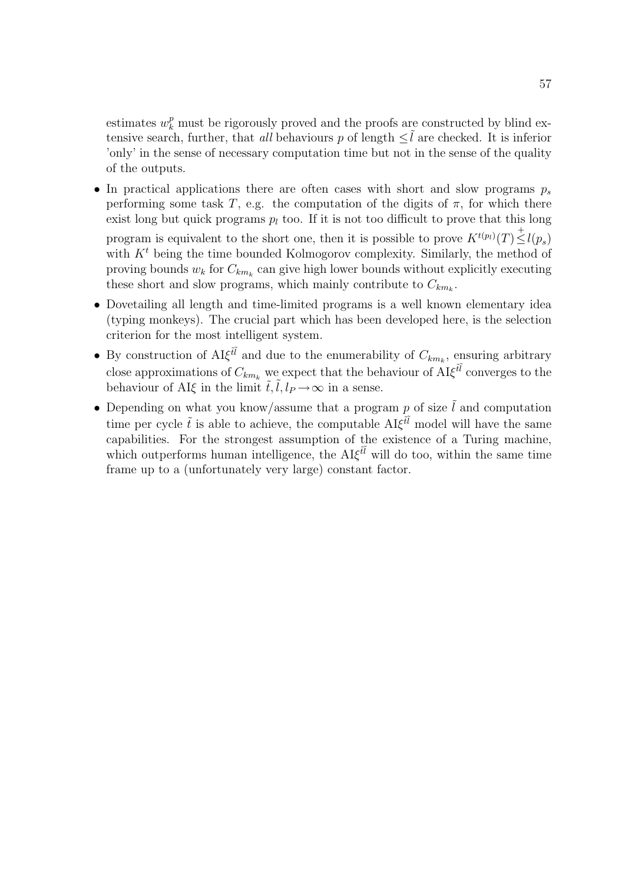estimates  $w_k^p$  must be rigorously proved and the proofs are constructed by blind extensive search, further, that all behaviours p of length  $\leq \tilde{l}$  are checked. It is inferior 'only' in the sense of necessary computation time but not in the sense of the quality of the outputs.

- In practical applications there are often cases with short and slow programs  $p_s$ performing some task T, e.g. the computation of the digits of  $\pi$ , for which there exist long but quick programs  $p_l$  too. If it is not too difficult to prove that this long program is equivalent to the short one, then it is possible to prove  $K^{t(p_l)}(T) \stackrel{+}{\leq} l(p_s)$ with  $K<sup>t</sup>$  being the time bounded Kolmogorov complexity. Similarly, the method of proving bounds  $w_k$  for  $C_{km_k}$  can give high lower bounds without explicitly executing these short and slow programs, which mainly contribute to  $C_{km_k}$ .
- Dovetailing all length and time-limited programs is a well known elementary idea (typing monkeys). The crucial part which has been developed here, is the selection criterion for the most intelligent system.
- By construction of  $\text{AI}\xi^{\tilde{t}\tilde{l}}$  and due to the enumerability of  $C_{km_k}$ , ensuring arbitrary close approximations of  $C_{km_k}$  we expect that the behaviour of  $\text{AI}\xi^{\tilde{t}\tilde{l}}$  converges to the behaviour of AI $\xi$  in the limit  $\tilde{t}, \tilde{l}, l_P \rightarrow \infty$  in a sense.
- Depending on what you know/assume that a program p of size  $\tilde{l}$  and computation time per cycle  $\tilde{t}$  is able to achieve, the computable  $AI\xi^{\tilde{t}\tilde{l}}$  model will have the same capabilities. For the strongest assumption of the existence of a Turing machine, which outperforms human intelligence, the  $AI\xi^{\tilde{t}\tilde{t}}$  will do too, within the same time frame up to a (unfortunately very large) constant factor.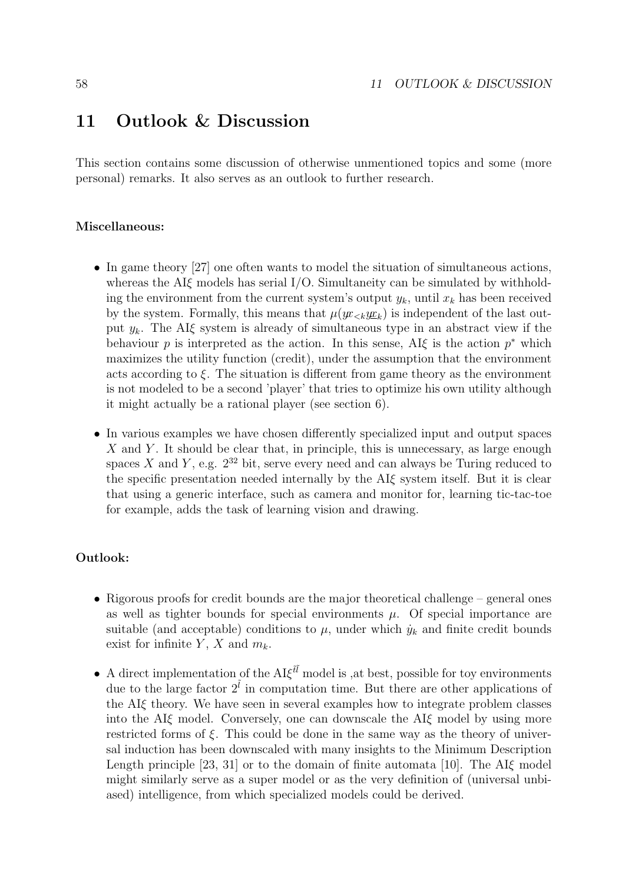### 11 Outlook & Discussion

This section contains some discussion of otherwise unmentioned topics and some (more personal) remarks. It also serves as an outlook to further research.

#### Miscellaneous:

- In game theory [27] one often wants to model the situation of simultaneous actions, whereas the AI $\xi$  models has serial I/O. Simultaneity can be simulated by withholding the environment from the current system's output  $y_k$ , until  $x_k$  has been received by the system. Formally, this means that  $\mu(y_{\ell k}, y_{\ell k})$  is independent of the last output  $y_k$ . The AI $\xi$  system is already of simultaneous type in an abstract view if the behaviour p is interpreted as the action. In this sense,  $\Lambda I\xi$  is the action  $p^*$  which maximizes the utility function (credit), under the assumption that the environment acts according to  $\xi$ . The situation is different from game theory as the environment is not modeled to be a second 'player' that tries to optimize his own utility although it might actually be a rational player (see section 6).
- In various examples we have chosen differently specialized input and output spaces  $X$  and Y. It should be clear that, in principle, this is unnecessary, as large enough spaces X and Y, e.g.  $2^{32}$  bit, serve every need and can always be Turing reduced to the specific presentation needed internally by the AIξ system itself. But it is clear that using a generic interface, such as camera and monitor for, learning tic-tac-toe for example, adds the task of learning vision and drawing.

#### Outlook:

- Rigorous proofs for credit bounds are the major theoretical challenge general ones as well as tighter bounds for special environments  $\mu$ . Of special importance are suitable (and acceptable) conditions to  $\mu$ , under which  $\dot{y}_k$  and finite credit bounds exist for infinite Y, X and  $m_k$ .
- A direct implementation of the  $\text{AI}\xi^{\tilde{t}\tilde{t}}$  model is , at best, possible for toy environments due to the large factor  $2^{\tilde{l}}$  in computation time. But there are other applications of the AIξ theory. We have seen in several examples how to integrate problem classes into the AIξ model. Conversely, one can downscale the AIξ model by using more restricted forms of  $\xi$ . This could be done in the same way as the theory of universal induction has been downscaled with many insights to the Minimum Description Length principle [23, 31] or to the domain of finite automata [10]. The AI $\xi$  model might similarly serve as a super model or as the very definition of (universal unbiased) intelligence, from which specialized models could be derived.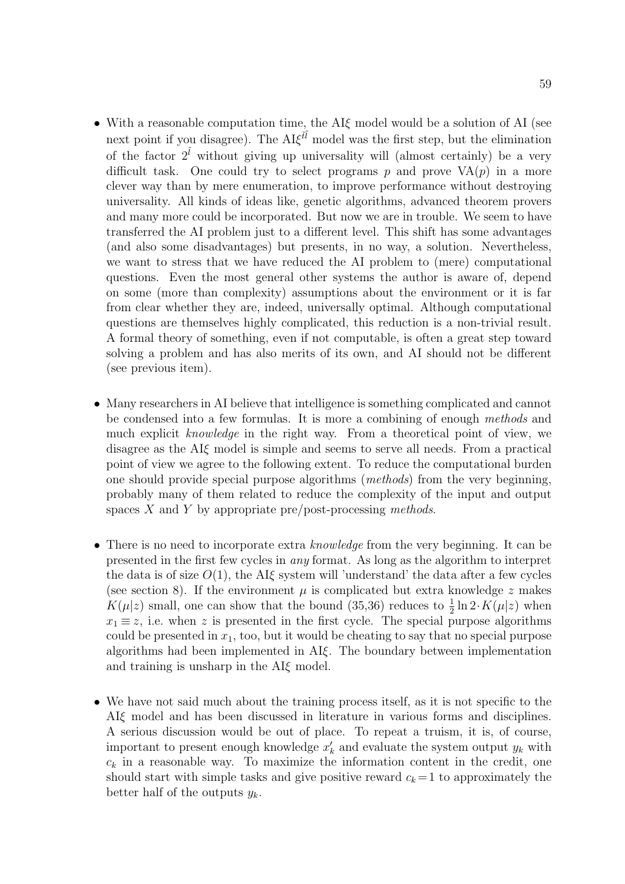- With a reasonable computation time, the AI $\xi$  model would be a solution of AI (see next point if you disagree). The  $AI\xi^{\tilde{t}\tilde{t}}$  model was the first step, but the elimination of the factor  $2^{\tilde{l}}$  without giving up universality will (almost certainly) be a very difficult task. One could try to select programs p and prove  $VA(p)$  in a more clever way than by mere enumeration, to improve performance without destroying universality. All kinds of ideas like, genetic algorithms, advanced theorem provers and many more could be incorporated. But now we are in trouble. We seem to have transferred the AI problem just to a different level. This shift has some advantages (and also some disadvantages) but presents, in no way, a solution. Nevertheless, we want to stress that we have reduced the AI problem to (mere) computational questions. Even the most general other systems the author is aware of, depend on some (more than complexity) assumptions about the environment or it is far from clear whether they are, indeed, universally optimal. Although computational questions are themselves highly complicated, this reduction is a non-trivial result. A formal theory of something, even if not computable, is often a great step toward solving a problem and has also merits of its own, and AI should not be different (see previous item).
- Many researchers in AI believe that intelligence is something complicated and cannot be condensed into a few formulas. It is more a combining of enough methods and much explicit knowledge in the right way. From a theoretical point of view, we disagree as the AIξ model is simple and seems to serve all needs. From a practical point of view we agree to the following extent. To reduce the computational burden one should provide special purpose algorithms (methods) from the very beginning, probably many of them related to reduce the complexity of the input and output spaces  $X$  and  $Y$  by appropriate pre/post-processing methods.
- There is no need to incorporate extra knowledge from the very beginning. It can be presented in the first few cycles in any format. As long as the algorithm to interpret the data is of size  $O(1)$ , the AI $\xi$  system will 'understand' the data after a few cycles (see section 8). If the environment  $\mu$  is complicated but extra knowledge z makes  $K(\mu|z)$  small, one can show that the bound (35,36) reduces to  $\frac{1}{2}\ln 2 \cdot K(\mu|z)$  when  $x_1 \equiv z$ , i.e. when z is presented in the first cycle. The special purpose algorithms could be presented in  $x_1$ , too, but it would be cheating to say that no special purpose algorithms had been implemented in AIξ. The boundary between implementation and training is unsharp in the AIξ model.
- We have not said much about the training process itself, as it is not specific to the AIξ model and has been discussed in literature in various forms and disciplines. A serious discussion would be out of place. To repeat a truism, it is, of course, important to present enough knowledge  $x'_{k}$  and evaluate the system output  $y_{k}$  with  $c_k$  in a reasonable way. To maximize the information content in the credit, one should start with simple tasks and give positive reward  $c_k = 1$  to approximately the better half of the outputs  $y_k$ .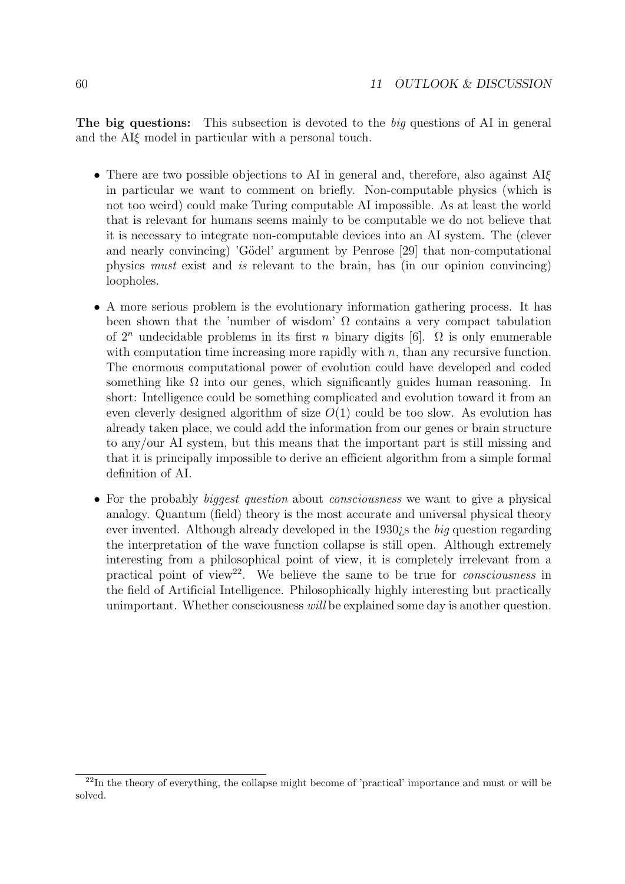**The big questions:** This subsection is devoted to the *big* questions of AI in general and the AIξ model in particular with a personal touch.

- There are two possible objections to AI in general and, therefore, also against  $A I \xi$ in particular we want to comment on briefly. Non-computable physics (which is not too weird) could make Turing computable AI impossible. As at least the world that is relevant for humans seems mainly to be computable we do not believe that it is necessary to integrate non-computable devices into an AI system. The (clever and nearly convincing) 'Gödel' argument by Penrose [29] that non-computational physics must exist and is relevant to the brain, has (in our opinion convincing) loopholes.
- A more serious problem is the evolutionary information gathering process. It has been shown that the 'number of wisdom'  $\Omega$  contains a very compact tabulation of  $2^n$  undecidable problems in its first *n* binary digits [6].  $\Omega$  is only enumerable with computation time increasing more rapidly with  $n$ , than any recursive function. The enormous computational power of evolution could have developed and coded something like  $\Omega$  into our genes, which significantly guides human reasoning. In short: Intelligence could be something complicated and evolution toward it from an even cleverly designed algorithm of size  $O(1)$  could be too slow. As evolution has already taken place, we could add the information from our genes or brain structure to any/our AI system, but this means that the important part is still missing and that it is principally impossible to derive an efficient algorithm from a simple formal definition of AI.
- For the probably *biggest question* about *consciousness* we want to give a physical analogy. Quantum (field) theory is the most accurate and universal physical theory ever invented. Although already developed in the 1930¿s the big question regarding the interpretation of the wave function collapse is still open. Although extremely interesting from a philosophical point of view, it is completely irrelevant from a practical point of view<sup>22</sup>. We believe the same to be true for *consciousness* in the field of Artificial Intelligence. Philosophically highly interesting but practically unimportant. Whether consciousness will be explained some day is another question.

 $^{22}$ In the theory of everything, the collapse might become of 'practical' importance and must or will be solved.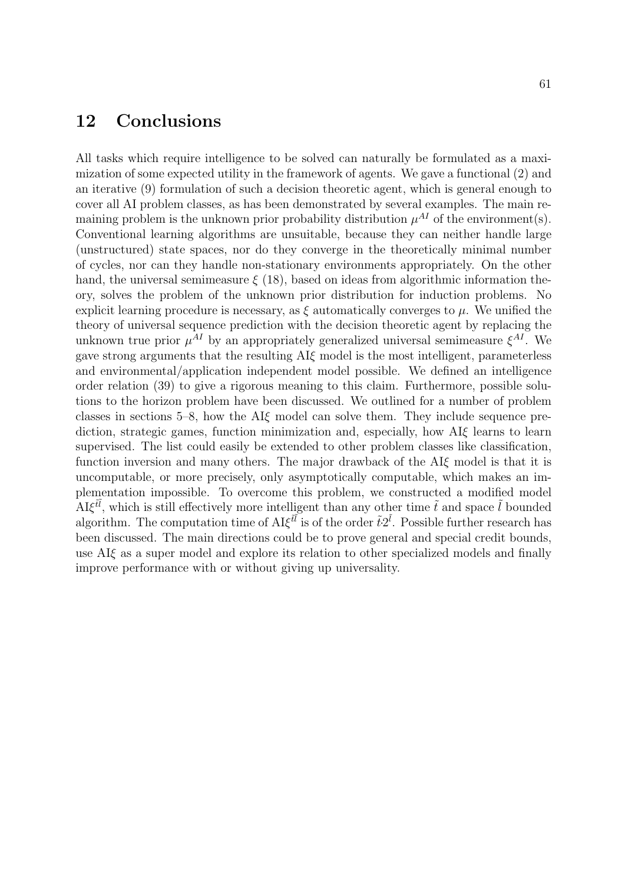#### 12 Conclusions

All tasks which require intelligence to be solved can naturally be formulated as a maximization of some expected utility in the framework of agents. We gave a functional (2) and an iterative (9) formulation of such a decision theoretic agent, which is general enough to cover all AI problem classes, as has been demonstrated by several examples. The main remaining problem is the unknown prior probability distribution  $\mu^{AI}$  of the environment(s). Conventional learning algorithms are unsuitable, because they can neither handle large (unstructured) state spaces, nor do they converge in the theoretically minimal number of cycles, nor can they handle non-stationary environments appropriately. On the other hand, the universal semimeasure  $\xi$  (18), based on ideas from algorithmic information theory, solves the problem of the unknown prior distribution for induction problems. No explicit learning procedure is necessary, as  $\xi$  automatically converges to  $\mu$ . We unified the theory of universal sequence prediction with the decision theoretic agent by replacing the unknown true prior  $\mu^{AI}$  by an appropriately generalized universal semimeasure  $\xi^{AI}$ . We gave strong arguments that the resulting AIξ model is the most intelligent, parameterless and environmental/application independent model possible. We defined an intelligence order relation (39) to give a rigorous meaning to this claim. Furthermore, possible solutions to the horizon problem have been discussed. We outlined for a number of problem classes in sections 5–8, how the AIξ model can solve them. They include sequence prediction, strategic games, function minimization and, especially, how AIξ learns to learn supervised. The list could easily be extended to other problem classes like classification, function inversion and many others. The major drawback of the AIξ model is that it is uncomputable, or more precisely, only asymptotically computable, which makes an implementation impossible. To overcome this problem, we constructed a modified model  $\overline{A}I\xi^{\tilde{t}\tilde{t}}$ , which is still effectively more intelligent than any other time  $\tilde{t}$  and space  $\tilde{l}$  bounded algorithm. The computation time of  $\text{AI}\xi^{\tilde{t}\tilde{t}}$  is of the order  $\tilde{t}2^{\tilde{t}}$ . Possible further research has been discussed. The main directions could be to prove general and special credit bounds, use AIξ as a super model and explore its relation to other specialized models and finally improve performance with or without giving up universality.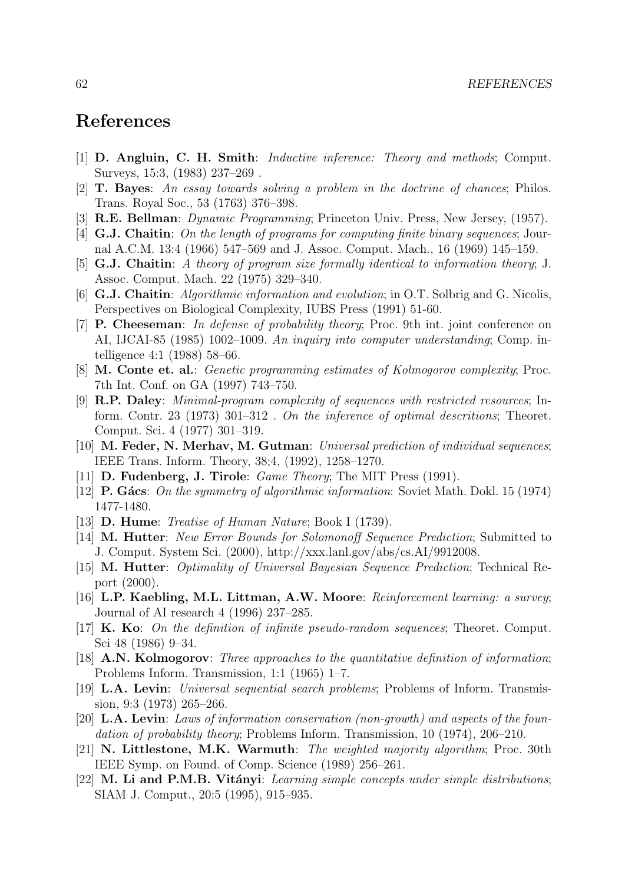### References

- [1] D. Angluin, C. H. Smith: Inductive inference: Theory and methods; Comput. Surveys, 15:3, (1983) 237–269 .
- [2] T. Bayes: An essay towards solving a problem in the doctrine of chances; Philos. Trans. Royal Soc., 53 (1763) 376–398.
- [3] R.E. Bellman: Dynamic Programming; Princeton Univ. Press, New Jersey, (1957).
- [4] **G.J. Chaitin**: On the length of programs for computing finite binary sequences; Journal A.C.M. 13:4 (1966) 547–569 and J. Assoc. Comput. Mach., 16 (1969) 145–159.
- [5] **G.J. Chaitin**: A theory of program size formally identical to information theory; J. Assoc. Comput. Mach. 22 (1975) 329–340.
- [6] **G.J. Chaitin**: *Algorithmic information and evolution*; in O.T. Solbrig and G. Nicolis, Perspectives on Biological Complexity, IUBS Press (1991) 51-60.
- [7] P. Cheeseman: In defense of probability theory; Proc. 9th int. joint conference on AI, IJCAI-85 (1985) 1002–1009. An inquiry into computer understanding; Comp. intelligence 4:1 (1988) 58–66.
- [8] M. Conte et. al.: Genetic programming estimates of Kolmogorov complexity; Proc. 7th Int. Conf. on GA (1997) 743–750.
- [9] R.P. Daley: Minimal-program complexity of sequences with restricted resources; Inform. Contr. 23 (1973) 301–312 . On the inference of optimal descritions; Theoret. Comput. Sci. 4 (1977) 301–319.
- [10] M. Feder, N. Merhav, M. Gutman: Universal prediction of individual sequences; IEEE Trans. Inform. Theory, 38;4, (1992), 1258–1270.
- [11] **D. Fudenberg, J. Tirole**: *Game Theory*; The MIT Press (1991).
- [12] **P. Gács**: On the symmetry of algorithmic information: Soviet Math. Dokl. 15 (1974) 1477-1480.
- [13] **D. Hume**: *Treatise of Human Nature*; Book I (1739).
- [14] M. Hutter: New Error Bounds for Solomonoff Sequence Prediction; Submitted to J. Comput. System Sci. (2000), http://xxx.lanl.gov/abs/cs.AI/9912008.
- [15] M. Hutter: Optimality of Universal Bayesian Sequence Prediction; Technical Report (2000).
- [16] L.P. Kaebling, M.L. Littman, A.W. Moore: Reinforcement learning: a survey; Journal of AI research 4 (1996) 237–285.
- [17] K. Ko: On the definition of infinite pseudo-random sequences; Theoret. Comput. Sci 48 (1986) 9–34.
- [18] **A.N. Kolmogorov**: Three approaches to the quantitative definition of information; Problems Inform. Transmission, 1:1 (1965) 1–7.
- [19] L.A. Levin: Universal sequential search problems; Problems of Inform. Transmission, 9:3 (1973) 265–266.
- [20] **L.A. Levin**: Laws of information conservation (non-growth) and aspects of the foundation of probability theory; Problems Inform. Transmission, 10 (1974), 206–210.
- [21] N. Littlestone, M.K. Warmuth: The weighted majority algorithm; Proc. 30th IEEE Symp. on Found. of Comp. Science (1989) 256–261.
- [22] M. Li and P.M.B. Vitányi: Learning simple concepts under simple distributions; SIAM J. Comput., 20:5 (1995), 915–935.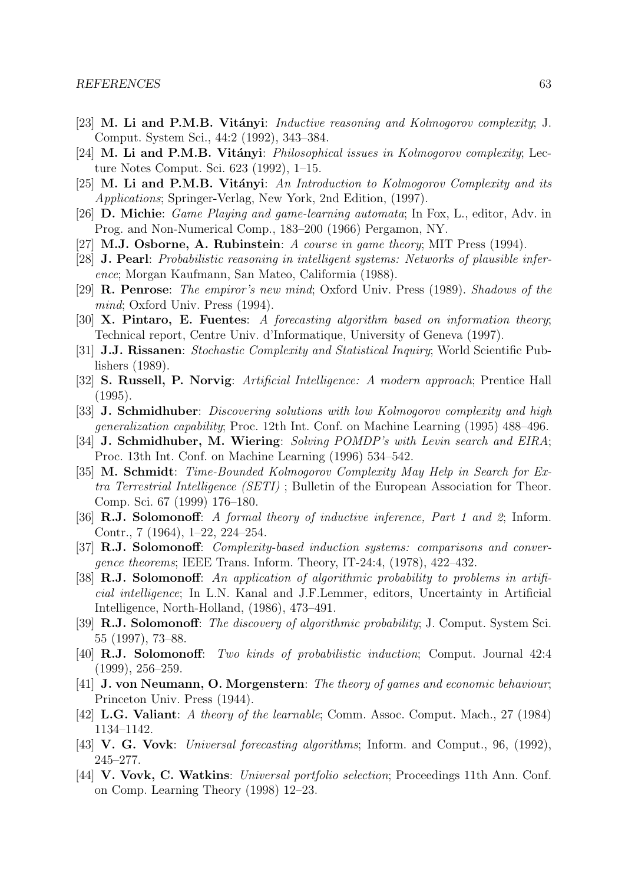- [23] M. Li and P.M.B. Vitányi: Inductive reasoning and Kolmogorov complexity; J. Comput. System Sci., 44:2 (1992), 343–384.
- [24] M. Li and P.M.B. Vitányi: *Philosophical issues in Kolmogorov complexity*; Lecture Notes Comput. Sci. 623 (1992), 1–15.
- [25] M. Li and P.M.B. Vitányi: An Introduction to Kolmogorov Complexity and its Applications; Springer-Verlag, New York, 2nd Edition, (1997).
- [26] D. Michie: Game Playing and game-learning automata; In Fox, L., editor, Adv. in Prog. and Non-Numerical Comp., 183–200 (1966) Pergamon, NY.
- [27] M.J. Osborne, A. Rubinstein: A course in game theory; MIT Press (1994).
- [28] **J. Pearl**: *Probabilistic reasoning in intelligent systems: Networks of plausible infer*ence; Morgan Kaufmann, San Mateo, Califormia (1988).
- [29] R. Penrose: The empiror's new mind; Oxford Univ. Press (1989). Shadows of the mind; Oxford Univ. Press (1994).
- [30] X. Pintaro, E. Fuentes: A forecasting algorithm based on information theory; Technical report, Centre Univ. d'Informatique, University of Geneva (1997).
- [31] J.J. Rissanen: Stochastic Complexity and Statistical Inquiry; World Scientific Publishers (1989).
- [32] S. Russell, P. Norvig: Artificial Intelligence: A modern approach; Prentice Hall (1995).
- [33] J. Schmidhuber: Discovering solutions with low Kolmogorov complexity and high generalization capability; Proc. 12th Int. Conf. on Machine Learning (1995) 488–496.
- [34] **J. Schmidhuber, M. Wiering**: Solving POMDP's with Levin search and EIRA; Proc. 13th Int. Conf. on Machine Learning (1996) 534–542.
- [35] M. Schmidt: Time-Bounded Kolmogorov Complexity May Help in Search for Extra Terrestrial Intelligence (SETI) ; Bulletin of the European Association for Theor. Comp. Sci. 67 (1999) 176–180.
- [36] R.J. Solomonoff: A formal theory of inductive inference, Part 1 and 2; Inform. Contr., 7 (1964), 1–22, 224–254.
- [37] R.J. Solomonoff: Complexity-based induction systems: comparisons and convergence theorems; IEEE Trans. Inform. Theory, IT-24:4, (1978), 422–432.
- [38] R.J. Solomonoff: An application of algorithmic probability to problems in artificial intelligence; In L.N. Kanal and J.F.Lemmer, editors, Uncertainty in Artificial Intelligence, North-Holland, (1986), 473–491.
- [39] R.J. Solomonoff: The discovery of algorithmic probability; J. Comput. System Sci. 55 (1997), 73–88.
- [40] R.J. Solomonoff: Two kinds of probabilistic induction; Comput. Journal 42:4 (1999), 256–259.
- [41] **J. von Neumann, O. Morgenstern**: The theory of games and economic behaviour; Princeton Univ. Press (1944).
- [42] L.G. Valiant: A theory of the learnable; Comm. Assoc. Comput. Mach., 27 (1984) 1134–1142.
- [43] V. G. Vovk: Universal forecasting algorithms; Inform. and Comput., 96, (1992), 245–277.
- [44] V. Vovk, C. Watkins: Universal portfolio selection; Proceedings 11th Ann. Conf. on Comp. Learning Theory (1998) 12–23.